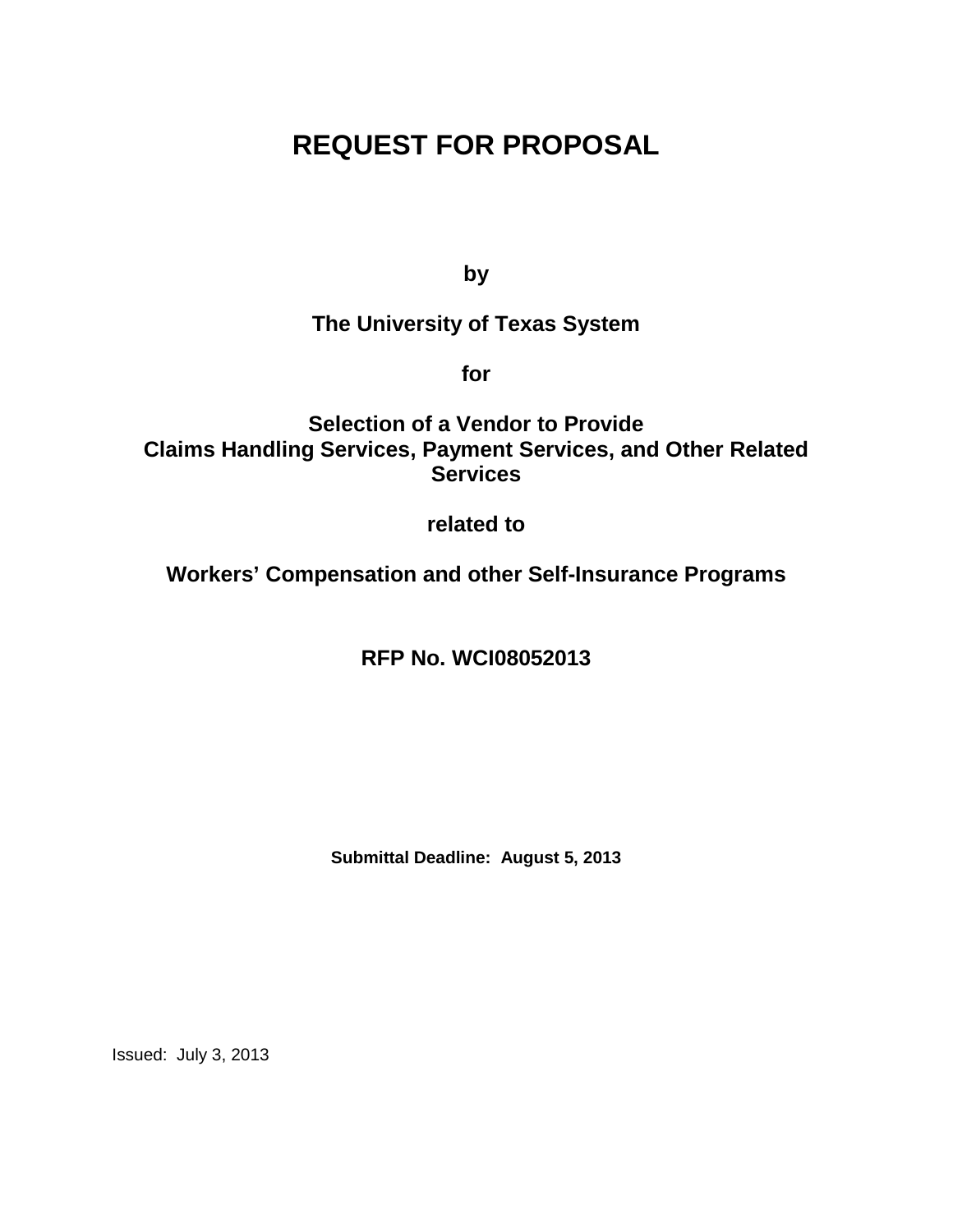# **REQUEST FOR PROPOSAL**

**by**

# **The University of Texas System**

**for**

**Selection of a Vendor to Provide Claims Handling Services, Payment Services, and Other Related Services**

# **related to**

**Workers' Compensation and other Self-Insurance Programs**

**RFP No. WCI08052013**

**Submittal Deadline: August 5, 2013**

Issued: July 3, 2013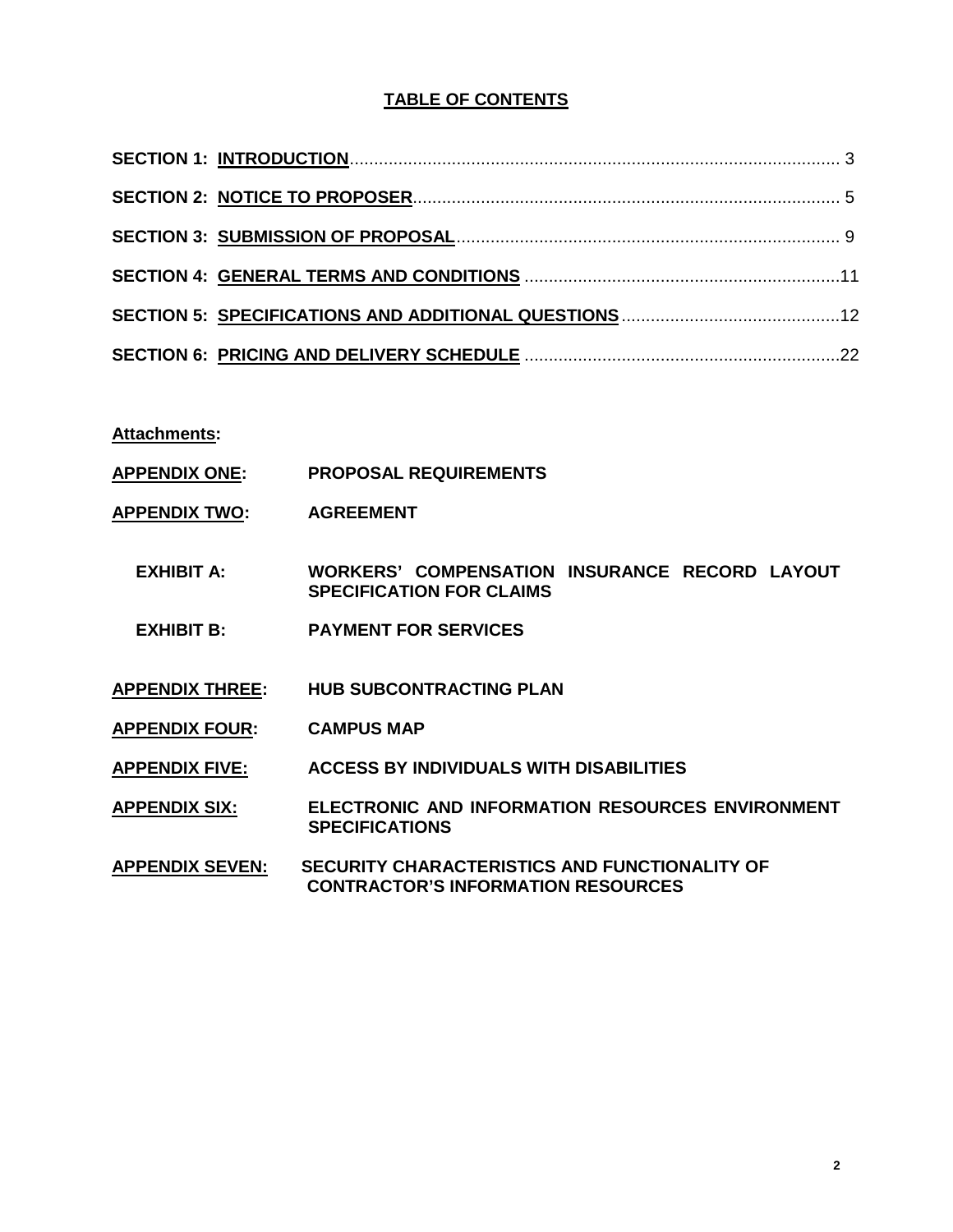# **TABLE OF CONTENTS**

**Attachments:**

- **APPENDIX ONE: PROPOSAL REQUIREMENTS**
- **APPENDIX TWO: AGREEMENT**
	- **EXHIBIT A: WORKERS' COMPENSATION INSURANCE RECORD LAYOUT SPECIFICATION FOR CLAIMS**
	- **EXHIBIT B: PAYMENT FOR SERVICES**
- **APPENDIX THREE: HUB SUBCONTRACTING PLAN**
- **APPENDIX FOUR: CAMPUS MAP**
- **APPENDIX FIVE: ACCESS BY INDIVIDUALS WITH DISABILITIES**

**APPENDIX SIX: ELECTRONIC AND INFORMATION RESOURCES ENVIRONMENT SPECIFICATIONS**

**APPENDIX SEVEN: SECURITY CHARACTERISTICS AND FUNCTIONALITY OF CONTRACTOR'S INFORMATION RESOURCES**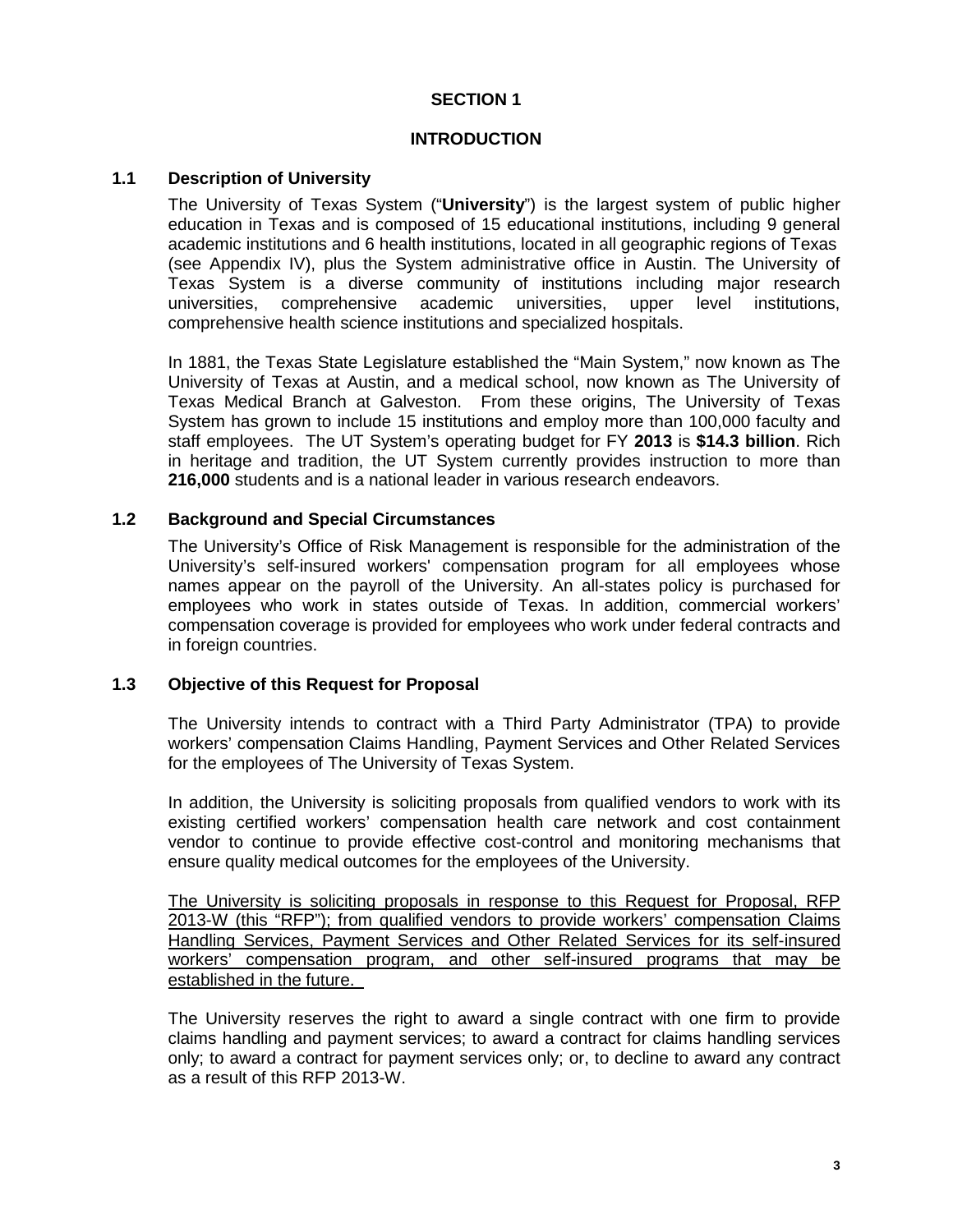# **SECTION 1**

#### **INTRODUCTION**

# **1.1 Description of University**

The University of Texas System ("**University**") is the largest system of public higher education in Texas and is composed of 15 educational institutions, including 9 general academic institutions and 6 health institutions, located in all geographic regions of Texas (see Appendix IV), plus the System administrative office in Austin. The University of Texas System is a diverse community of institutions including major research universities, comprehensive academic universities, upper level institutions, comprehensive health science institutions and specialized hospitals.

In 1881, the Texas State Legislature established the "Main System," now known as The University of Texas at Austin, and a medical school, now known as The University of Texas Medical Branch at Galveston. From these origins, The University of Texas System has grown to include 15 institutions and employ more than 100,000 faculty and staff employees. The UT System's operating budget for FY **2013** is **\$14.3 billion**. Rich in heritage and tradition, the UT System currently provides instruction to more than **216,000** students and is a national leader in various research endeavors.

# **1.2 Background and Special Circumstances**

The University's Office of Risk Management is responsible for the administration of the University's self-insured workers' compensation program for all employees whose names appear on the payroll of the University. An all-states policy is purchased for employees who work in states outside of Texas. In addition, commercial workers' compensation coverage is provided for employees who work under federal contracts and in foreign countries.

#### **1.3 Objective of this Request for Proposal**

The University intends to contract with a Third Party Administrator (TPA) to provide workers' compensation Claims Handling, Payment Services and Other Related Services for the employees of The University of Texas System.

In addition, the University is soliciting proposals from qualified vendors to work with its existing certified workers' compensation health care network and cost containment vendor to continue to provide effective cost-control and monitoring mechanisms that ensure quality medical outcomes for the employees of the University.

The University is soliciting proposals in response to this Request for Proposal, RFP 2013-W (this "RFP"); from qualified vendors to provide workers' compensation Claims Handling Services, Payment Services and Other Related Services for its self-insured workers' compensation program, and other self-insured programs that may be established in the future.

The University reserves the right to award a single contract with one firm to provide claims handling and payment services; to award a contract for claims handling services only; to award a contract for payment services only; or, to decline to award any contract as a result of this RFP 2013-W.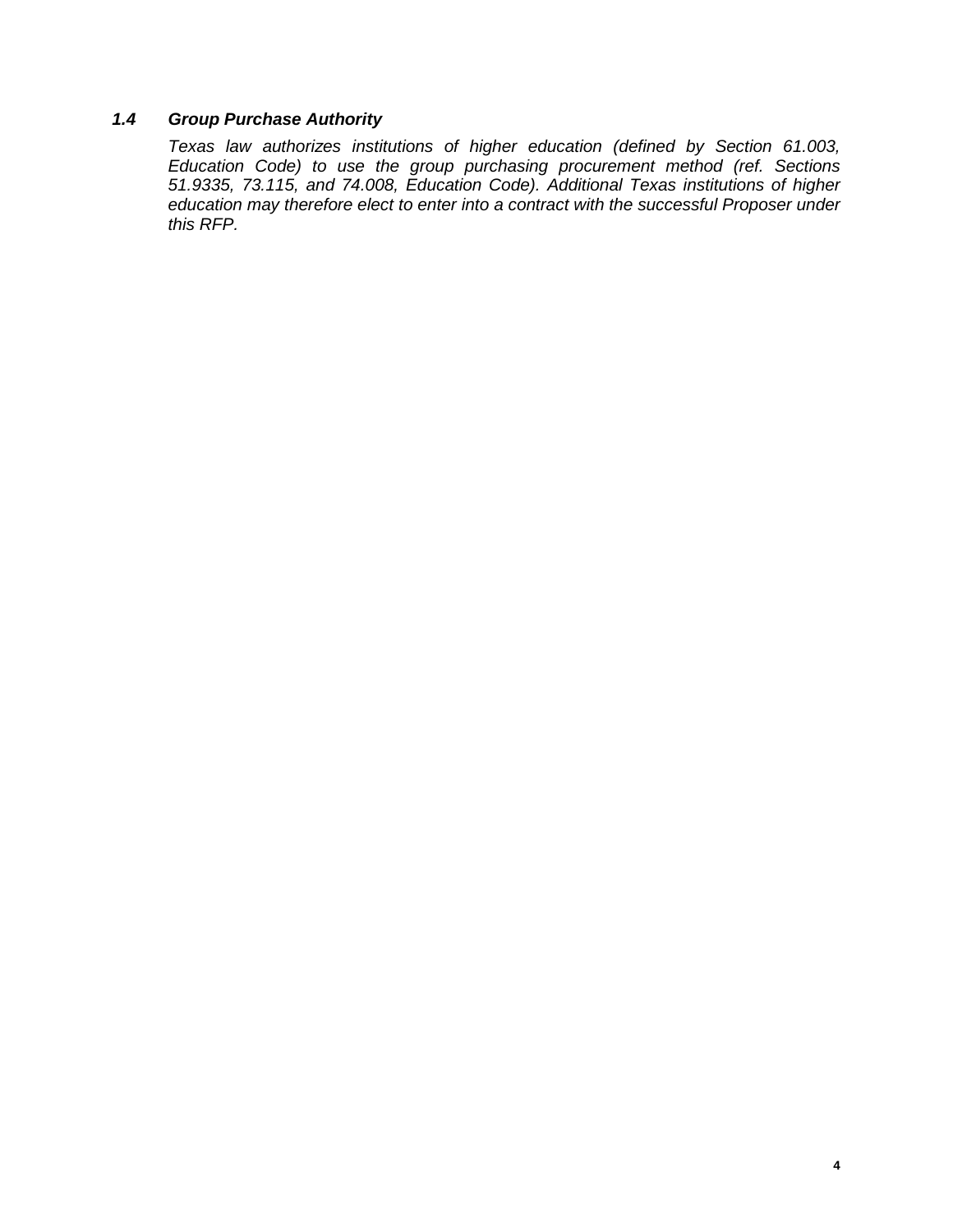# *1.4 Group Purchase Authority*

*Texas law authorizes institutions of higher education (defined by Section 61.003, Education Code) to use the group purchasing procurement method (ref. Sections 51.9335, 73.115, and 74.008, Education Code). Additional Texas institutions of higher education may therefore elect to enter into a contract with the successful Proposer under this RFP.*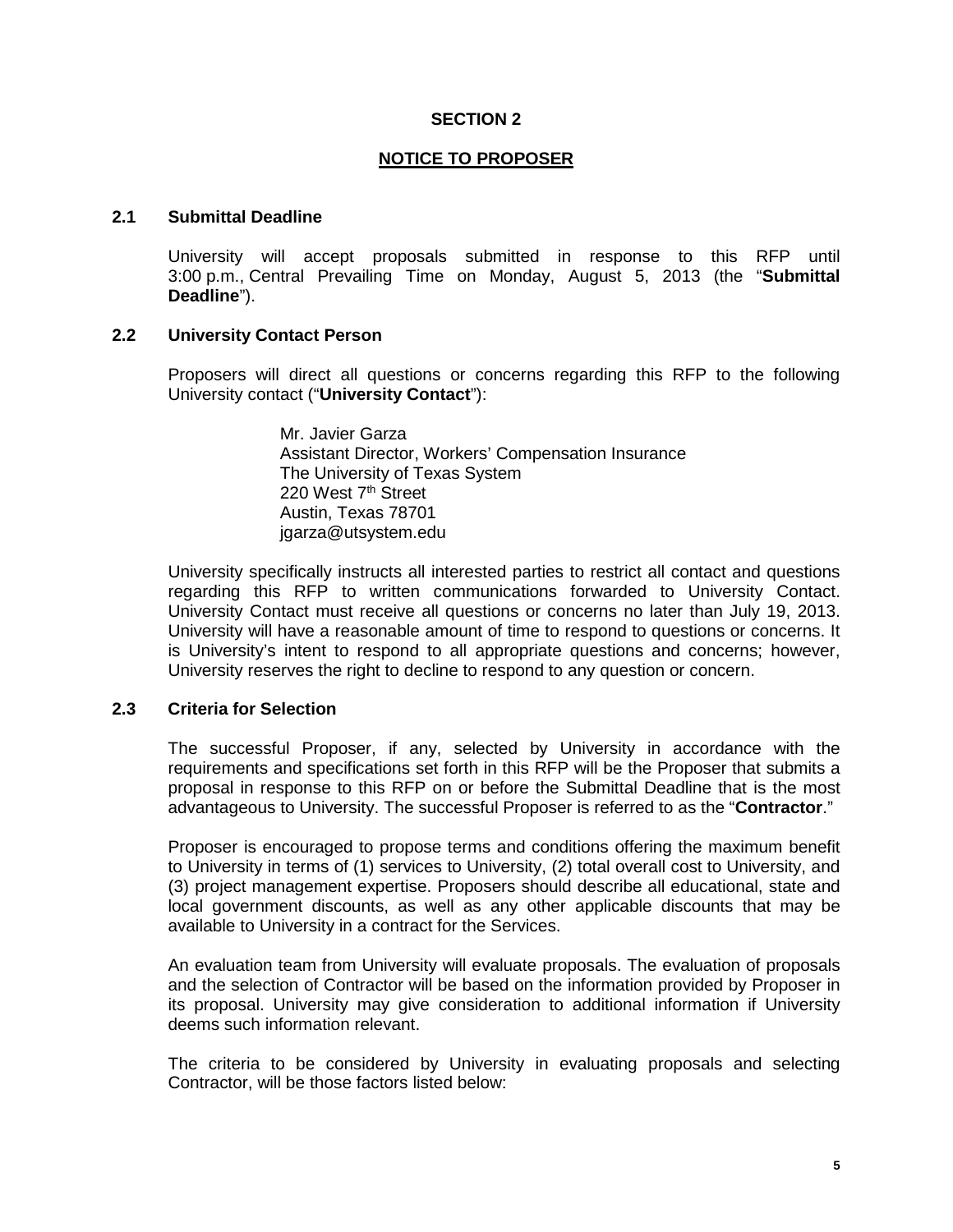#### **SECTION 2**

#### **NOTICE TO PROPOSER**

#### **2.1 Submittal Deadline**

University will accept proposals submitted in response to this RFP until 3:00 p.m., Central Prevailing Time on Monday, August 5, 2013 (the "**Submittal Deadline**").

#### **2.2 University Contact Person**

Proposers will direct all questions or concerns regarding this RFP to the following University contact ("**University Contact**"):

> Mr. Javier Garza Assistant Director, Workers' Compensation Insurance The University of Texas System 220 West 7<sup>th</sup> Street Austin, Texas 78701 jgarza@utsystem.edu

University specifically instructs all interested parties to restrict all contact and questions regarding this RFP to written communications forwarded to University Contact. University Contact must receive all questions or concerns no later than July 19, 2013. University will have a reasonable amount of time to respond to questions or concerns. It is University's intent to respond to all appropriate questions and concerns; however, University reserves the right to decline to respond to any question or concern.

#### **2.3 Criteria for Selection**

The successful Proposer, if any, selected by University in accordance with the requirements and specifications set forth in this RFP will be the Proposer that submits a proposal in response to this RFP on or before the Submittal Deadline that is the most advantageous to University. The successful Proposer is referred to as the "**Contractor**."

Proposer is encouraged to propose terms and conditions offering the maximum benefit to University in terms of (1) services to University, (2) total overall cost to University, and (3) project management expertise. Proposers should describe all educational, state and local government discounts, as well as any other applicable discounts that may be available to University in a contract for the Services.

An evaluation team from University will evaluate proposals. The evaluation of proposals and the selection of Contractor will be based on the information provided by Proposer in its proposal. University may give consideration to additional information if University deems such information relevant.

The criteria to be considered by University in evaluating proposals and selecting Contractor, will be those factors listed below: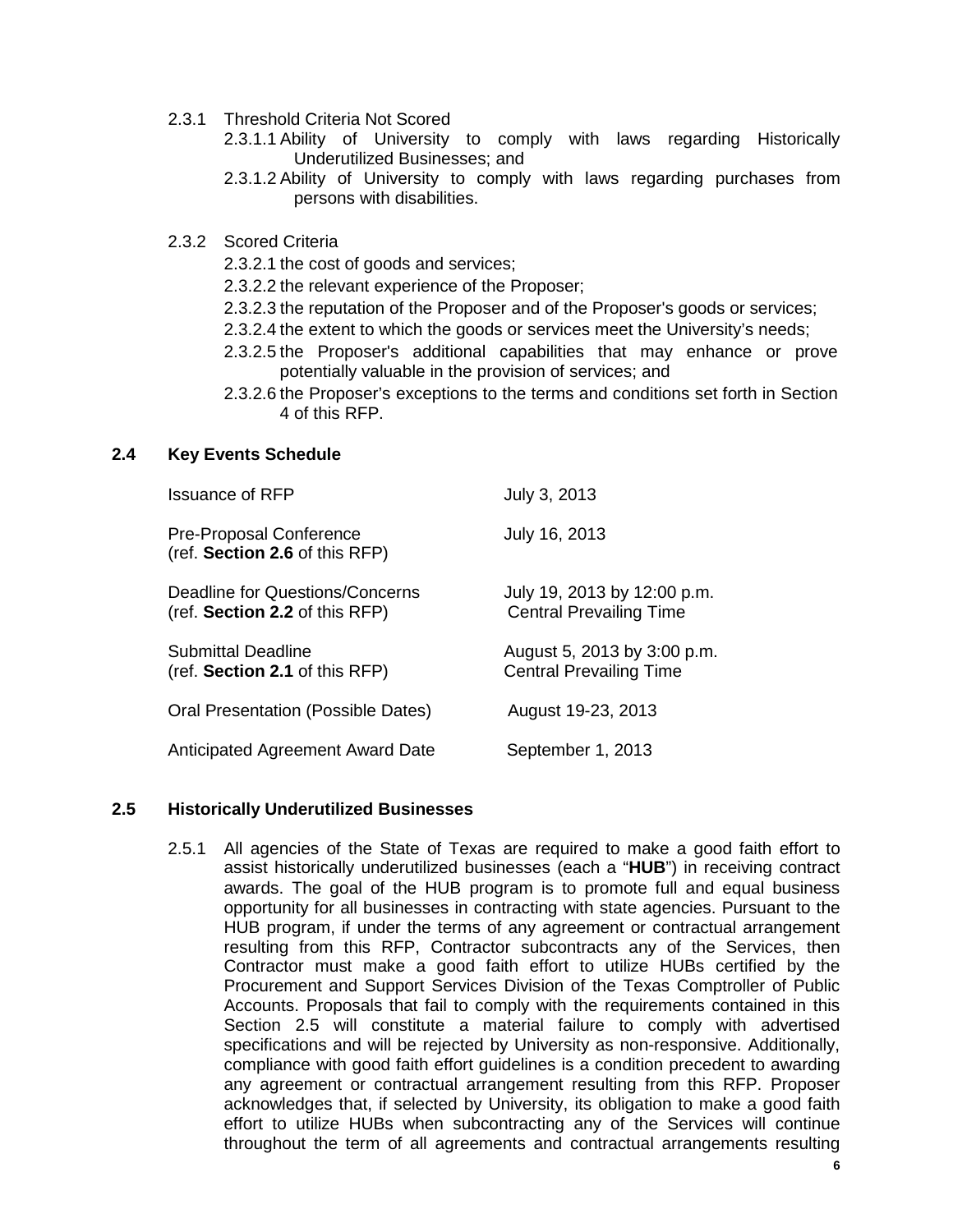- 2.3.1 Threshold Criteria Not Scored
	- 2.3.1.1 Ability of University to comply with laws regarding Historically Underutilized Businesses; and
	- 2.3.1.2 Ability of University to comply with laws regarding purchases from persons with disabilities.
- 2.3.2 Scored Criteria
	- 2.3.2.1 the cost of goods and services;
	- 2.3.2.2 the relevant experience of the Proposer;
	- 2.3.2.3 the reputation of the Proposer and of the Proposer's goods or services;
	- 2.3.2.4 the extent to which the goods or services meet the University's needs;
	- 2.3.2.5 the Proposer's additional capabilities that may enhance or prove potentially valuable in the provision of services; and
	- 2.3.2.6 the Proposer's exceptions to the terms and conditions set forth in Section 4 of this RFP.

#### **2.4 Key Events Schedule**

| <b>Issuance of RFP</b>                                            | July 3, 2013                                                  |
|-------------------------------------------------------------------|---------------------------------------------------------------|
| <b>Pre-Proposal Conference</b><br>(ref. Section 2.6 of this RFP)  | July 16, 2013                                                 |
| Deadline for Questions/Concerns<br>(ref. Section 2.2 of this RFP) | July 19, 2013 by 12:00 p.m.<br><b>Central Prevailing Time</b> |
| Submittal Deadline<br>(ref. Section 2.1 of this RFP)              | August 5, 2013 by 3:00 p.m.<br><b>Central Prevailing Time</b> |
| Oral Presentation (Possible Dates)                                | August 19-23, 2013                                            |
| Anticipated Agreement Award Date                                  | September 1, 2013                                             |

#### **2.5 Historically Underutilized Businesses**

2.5.1 All agencies of the State of Texas are required to make a good faith effort to assist historically underutilized businesses (each a "**HUB**") in receiving contract awards. The goal of the HUB program is to promote full and equal business opportunity for all businesses in contracting with state agencies. Pursuant to the HUB program, if under the terms of any agreement or contractual arrangement resulting from this RFP, Contractor subcontracts any of the Services, then Contractor must make a good faith effort to utilize HUBs certified by the Procurement and Support Services Division of the Texas Comptroller of Public Accounts. Proposals that fail to comply with the requirements contained in this Section 2.5 will constitute a material failure to comply with advertised specifications and will be rejected by University as non-responsive. Additionally, compliance with good faith effort guidelines is a condition precedent to awarding any agreement or contractual arrangement resulting from this RFP. Proposer acknowledges that, if selected by University, its obligation to make a good faith effort to utilize HUBs when subcontracting any of the Services will continue throughout the term of all agreements and contractual arrangements resulting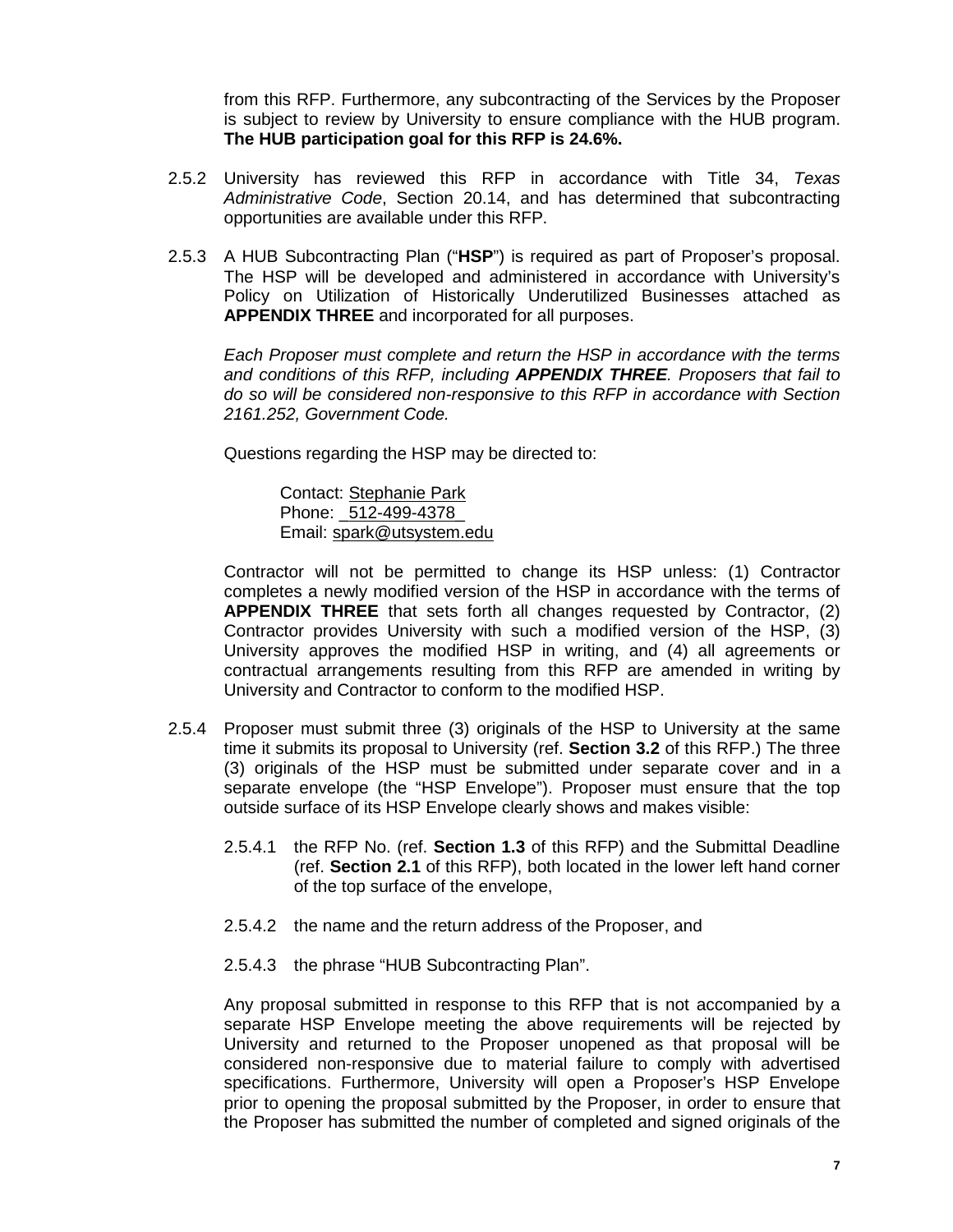from this RFP. Furthermore, any subcontracting of the Services by the Proposer is subject to review by University to ensure compliance with the HUB program. **The HUB participation goal for this RFP is 24.6%.**

- 2.5.2 University has reviewed this RFP in accordance with Title 34, *Texas Administrative Code*, Section 20.14, and has determined that subcontracting opportunities are available under this RFP.
- 2.5.3 A HUB Subcontracting Plan ("**HSP**") is required as part of Proposer's proposal. The HSP will be developed and administered in accordance with University's Policy on Utilization of Historically Underutilized Businesses attached as **APPENDIX THREE** and incorporated for all purposes.

*Each Proposer must complete and return the HSP in accordance with the terms and conditions of this RFP, including APPENDIX THREE. Proposers that fail to do so will be considered non-responsive to this RFP in accordance with Section 2161.252, Government Code.*

Questions regarding the HSP may be directed to:

Contact: Stephanie Park Phone: \_512-499-4378\_ Email: spark@utsystem.edu

Contractor will not be permitted to change its HSP unless: (1) Contractor completes a newly modified version of the HSP in accordance with the terms of **APPENDIX THREE** that sets forth all changes requested by Contractor, (2) Contractor provides University with such a modified version of the HSP, (3) University approves the modified HSP in writing, and (4) all agreements or contractual arrangements resulting from this RFP are amended in writing by University and Contractor to conform to the modified HSP.

- 2.5.4 Proposer must submit three (3) originals of the HSP to University at the same time it submits its proposal to University (ref. **Section 3.2** of this RFP.) The three (3) originals of the HSP must be submitted under separate cover and in a separate envelope (the "HSP Envelope"). Proposer must ensure that the top outside surface of its HSP Envelope clearly shows and makes visible:
	- 2.5.4.1 the RFP No. (ref. **Section 1.3** of this RFP) and the Submittal Deadline (ref. **Section 2.1** of this RFP), both located in the lower left hand corner of the top surface of the envelope,
	- 2.5.4.2 the name and the return address of the Proposer, and
	- 2.5.4.3 the phrase "HUB Subcontracting Plan".

Any proposal submitted in response to this RFP that is not accompanied by a separate HSP Envelope meeting the above requirements will be rejected by University and returned to the Proposer unopened as that proposal will be considered non-responsive due to material failure to comply with advertised specifications. Furthermore, University will open a Proposer's HSP Envelope prior to opening the proposal submitted by the Proposer, in order to ensure that the Proposer has submitted the number of completed and signed originals of the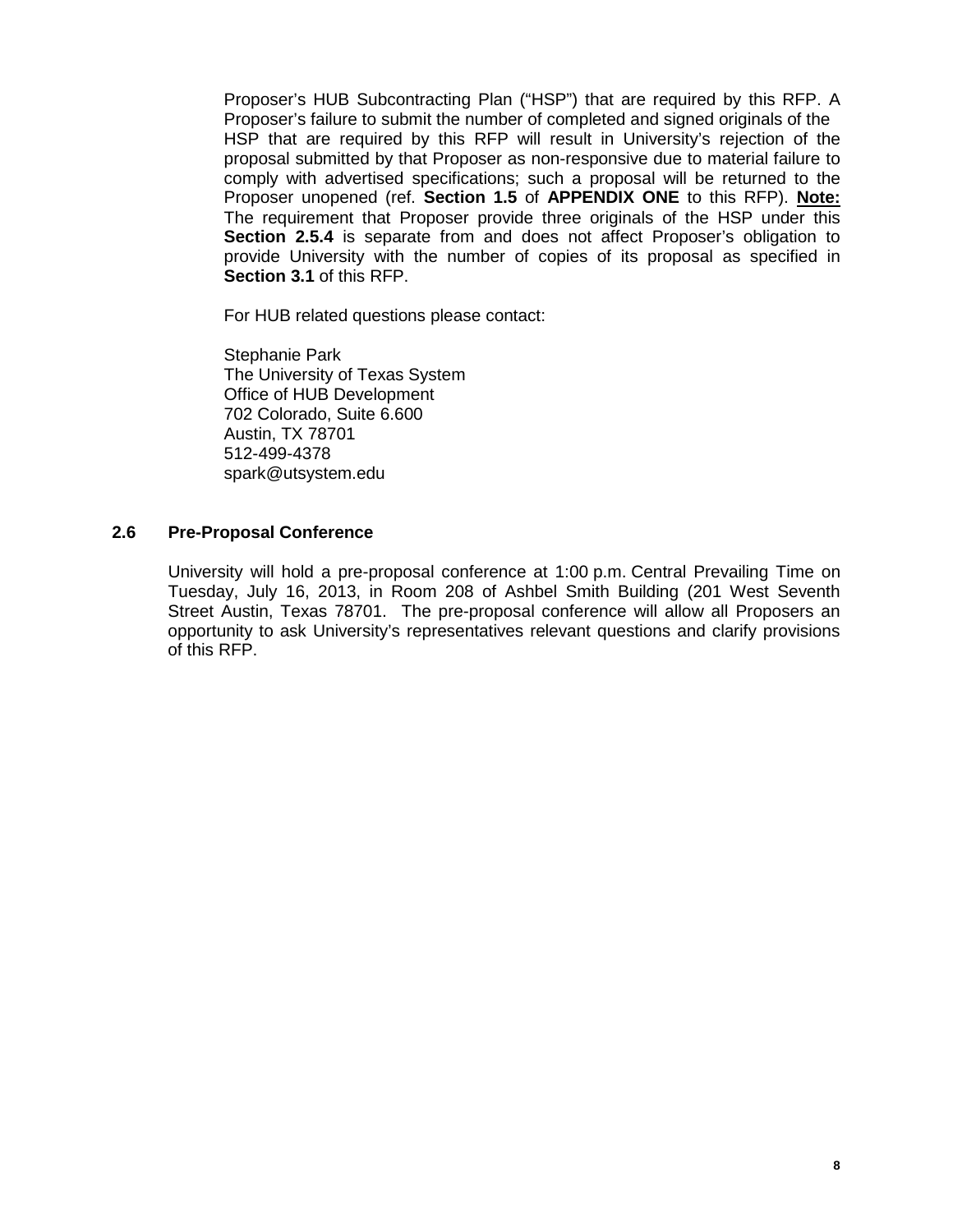Proposer's HUB Subcontracting Plan ("HSP") that are required by this RFP. A Proposer's failure to submit the number of completed and signed originals of the HSP that are required by this RFP will result in University's rejection of the proposal submitted by that Proposer as non-responsive due to material failure to comply with advertised specifications; such a proposal will be returned to the Proposer unopened (ref. **Section 1.5** of **APPENDIX ONE** to this RFP). **Note:** The requirement that Proposer provide three originals of the HSP under this **Section 2.5.4** is separate from and does not affect Proposer's obligation to provide University with the number of copies of its proposal as specified in **Section 3.1** of this RFP.

For HUB related questions please contact:

Stephanie Park The University of Texas System Office of HUB Development 702 Colorado, Suite 6.600 Austin, TX 78701 512-499-4378 spark@utsystem.edu

#### **2.6 Pre-Proposal Conference**

University will hold a pre-proposal conference at 1:00 p.m. Central Prevailing Time on Tuesday, July 16, 2013, in Room 208 of Ashbel Smith Building (201 West Seventh Street Austin, Texas 78701. The pre-proposal conference will allow all Proposers an opportunity to ask University's representatives relevant questions and clarify provisions of this RFP.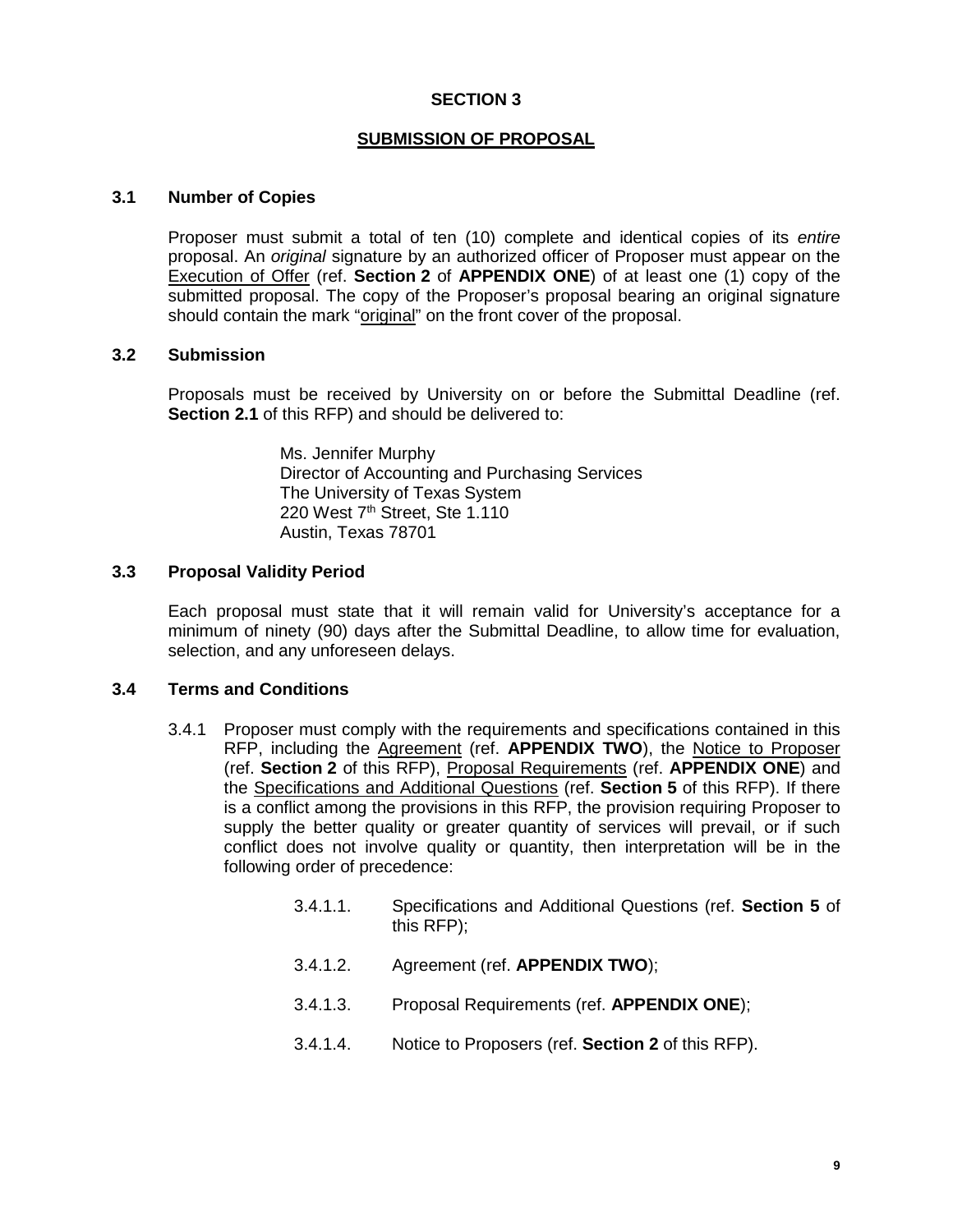# **SECTION 3**

#### **SUBMISSION OF PROPOSAL**

#### **3.1 Number of Copies**

Proposer must submit a total of ten (10) complete and identical copies of its *entire* proposal. An *original* signature by an authorized officer of Proposer must appear on the Execution of Offer (ref. **Section 2** of **APPENDIX ONE**) of at least one (1) copy of the submitted proposal. The copy of the Proposer's proposal bearing an original signature should contain the mark "original" on the front cover of the proposal.

#### **3.2 Submission**

Proposals must be received by University on or before the Submittal Deadline (ref. **Section 2.1** of this RFP) and should be delivered to:

> Ms. Jennifer Murphy Director of Accounting and Purchasing Services The University of Texas System 220 West  $7<sup>th</sup>$  Street, Ste 1.110 Austin, Texas 78701

# **3.3 Proposal Validity Period**

Each proposal must state that it will remain valid for University's acceptance for a minimum of ninety (90) days after the Submittal Deadline, to allow time for evaluation, selection, and any unforeseen delays.

#### **3.4 Terms and Conditions**

- 3.4.1 Proposer must comply with the requirements and specifications contained in this RFP, including the Agreement (ref. **APPENDIX TWO**), the Notice to Proposer (ref. **Section 2** of this RFP), Proposal Requirements (ref. **APPENDIX ONE**) and the Specifications and Additional Questions (ref. **Section 5** of this RFP). If there is a conflict among the provisions in this RFP, the provision requiring Proposer to supply the better quality or greater quantity of services will prevail, or if such conflict does not involve quality or quantity, then interpretation will be in the following order of precedence:
	- 3.4.1.1. Specifications and Additional Questions (ref. **Section 5** of this RFP);
	- 3.4.1.2. Agreement (ref. **APPENDIX TWO**);
	- 3.4.1.3. Proposal Requirements (ref. **APPENDIX ONE**);
	- 3.4.1.4. Notice to Proposers (ref. **Section 2** of this RFP).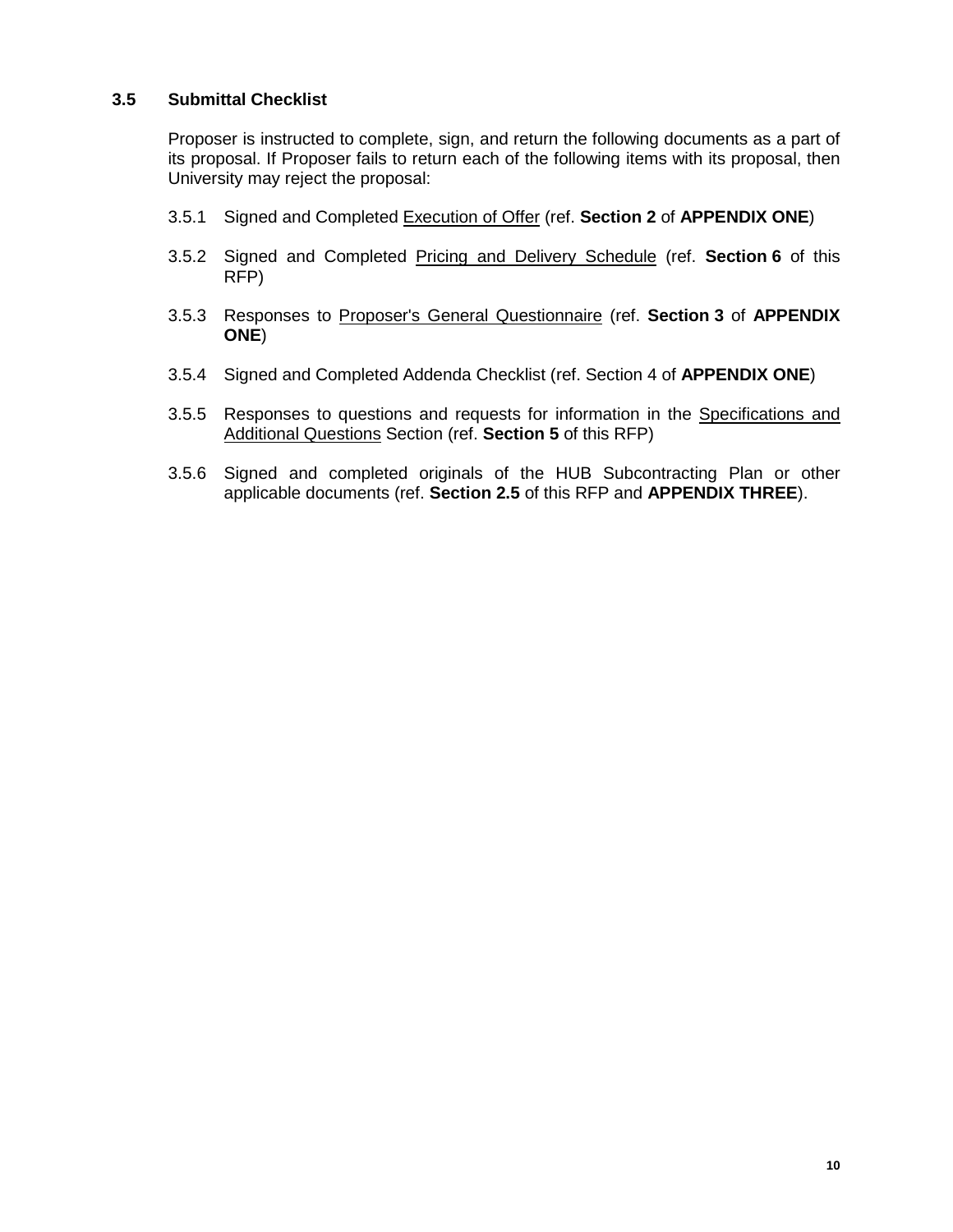# **3.5 Submittal Checklist**

Proposer is instructed to complete, sign, and return the following documents as a part of its proposal. If Proposer fails to return each of the following items with its proposal, then University may reject the proposal:

- 3.5.1 Signed and Completed Execution of Offer (ref. **Section 2** of **APPENDIX ONE**)
- 3.5.2 Signed and Completed Pricing and Delivery Schedule (ref. **Section 6** of this RFP)
- 3.5.3 Responses to Proposer's General Questionnaire (ref. **Section 3** of **APPENDIX ONE**)
- 3.5.4 Signed and Completed Addenda Checklist (ref. Section 4 of **APPENDIX ONE**)
- 3.5.5 Responses to questions and requests for information in the Specifications and Additional Questions Section (ref. **Section 5** of this RFP)
- 3.5.6 Signed and completed originals of the HUB Subcontracting Plan or other applicable documents (ref. **Section 2.5** of this RFP and **APPENDIX THREE**).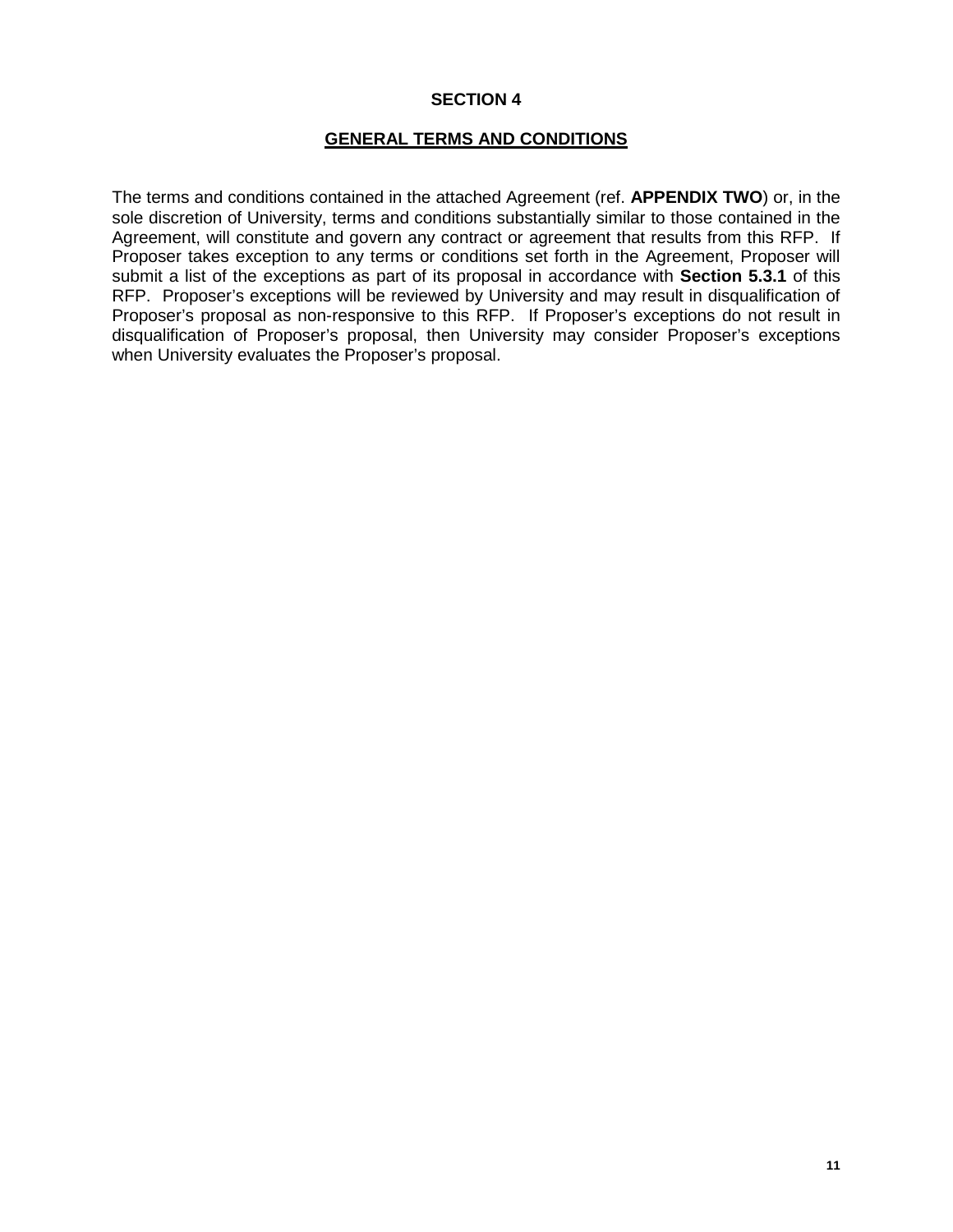# **SECTION 4**

# **GENERAL TERMS AND CONDITIONS**

The terms and conditions contained in the attached Agreement (ref. **APPENDIX TWO**) or, in the sole discretion of University, terms and conditions substantially similar to those contained in the Agreement, will constitute and govern any contract or agreement that results from this RFP. If Proposer takes exception to any terms or conditions set forth in the Agreement, Proposer will submit a list of the exceptions as part of its proposal in accordance with **Section 5.3.1** of this RFP. Proposer's exceptions will be reviewed by University and may result in disqualification of Proposer's proposal as non-responsive to this RFP. If Proposer's exceptions do not result in disqualification of Proposer's proposal, then University may consider Proposer's exceptions when University evaluates the Proposer's proposal.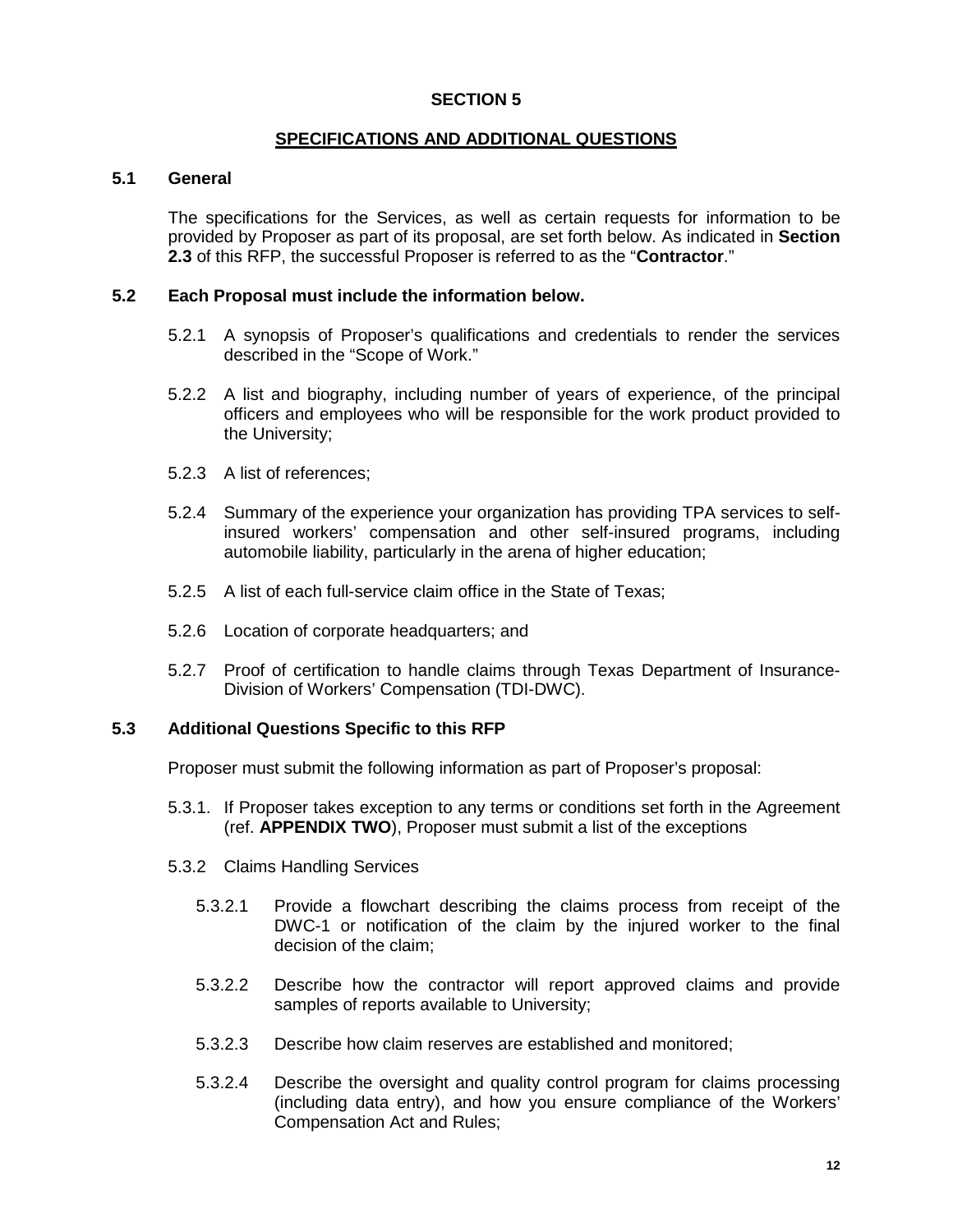# **SECTION 5**

#### **SPECIFICATIONS AND ADDITIONAL QUESTIONS**

#### **5.1 General**

The specifications for the Services, as well as certain requests for information to be provided by Proposer as part of its proposal, are set forth below. As indicated in **Section 2.3** of this RFP, the successful Proposer is referred to as the "**Contractor**."

# **5.2 Each Proposal must include the information below.**

- 5.2.1 A synopsis of Proposer's qualifications and credentials to render the services described in the "Scope of Work."
- 5.2.2 A list and biography, including number of years of experience, of the principal officers and employees who will be responsible for the work product provided to the University;
- 5.2.3 A list of references;
- 5.2.4 Summary of the experience your organization has providing TPA services to selfinsured workers' compensation and other self-insured programs, including automobile liability, particularly in the arena of higher education;
- 5.2.5 A list of each full-service claim office in the State of Texas;
- 5.2.6 Location of corporate headquarters; and
- 5.2.7 Proof of certification to handle claims through Texas Department of Insurance-Division of Workers' Compensation (TDI-DWC).

#### **5.3 Additional Questions Specific to this RFP**

Proposer must submit the following information as part of Proposer's proposal:

- 5.3.1. If Proposer takes exception to any terms or conditions set forth in the Agreement (ref. **APPENDIX TWO**), Proposer must submit a list of the exceptions
- 5.3.2 Claims Handling Services
	- 5.3.2.1 Provide a flowchart describing the claims process from receipt of the DWC-1 or notification of the claim by the injured worker to the final decision of the claim;
	- 5.3.2.2 Describe how the contractor will report approved claims and provide samples of reports available to University;
	- 5.3.2.3 Describe how claim reserves are established and monitored;
	- 5.3.2.4 Describe the oversight and quality control program for claims processing (including data entry), and how you ensure compliance of the Workers' Compensation Act and Rules;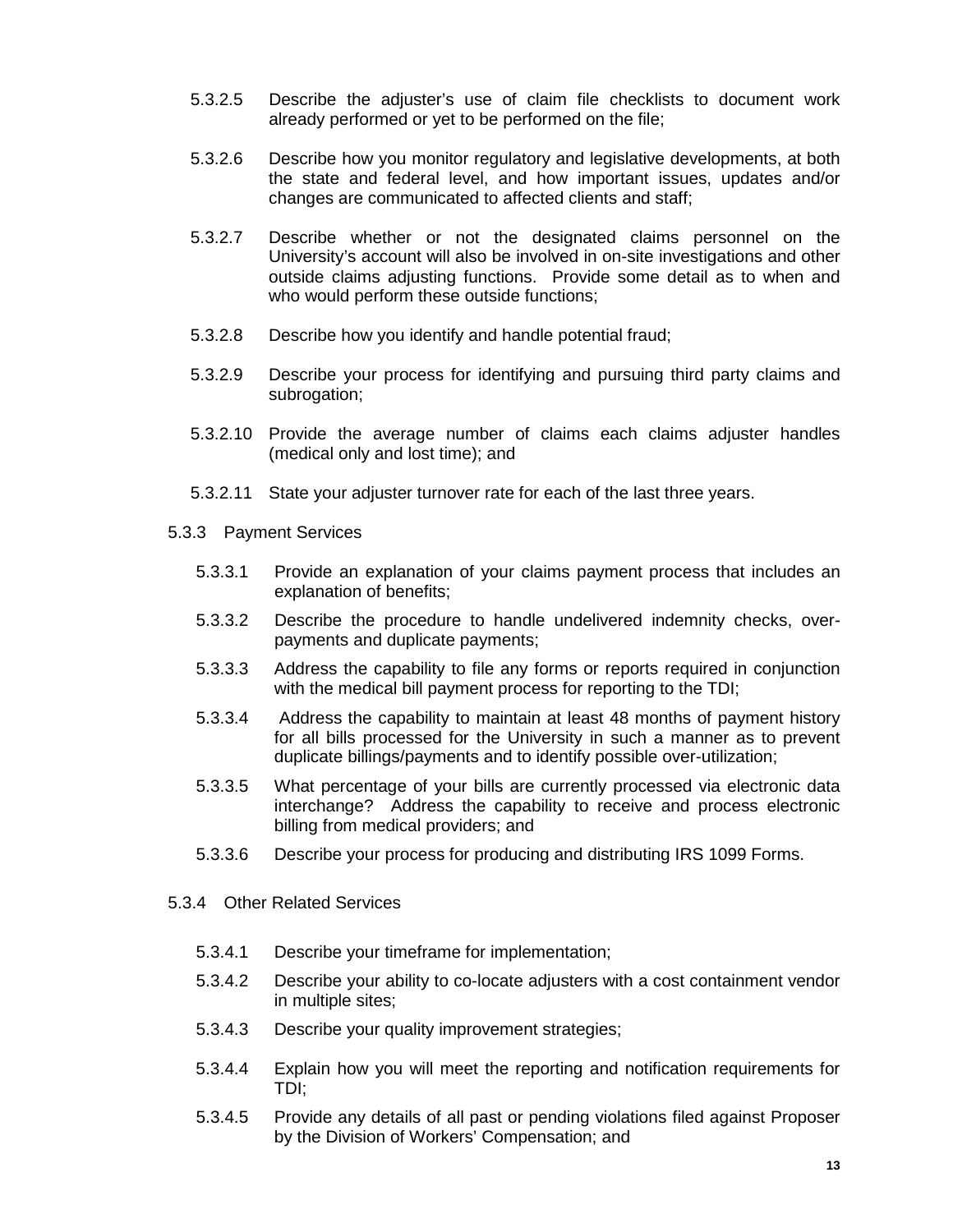- 5.3.2.5 Describe the adjuster's use of claim file checklists to document work already performed or yet to be performed on the file;
- 5.3.2.6 Describe how you monitor regulatory and legislative developments, at both the state and federal level, and how important issues, updates and/or changes are communicated to affected clients and staff;
- 5.3.2.7 Describe whether or not the designated claims personnel on the University's account will also be involved in on-site investigations and other outside claims adjusting functions. Provide some detail as to when and who would perform these outside functions:
- 5.3.2.8 Describe how you identify and handle potential fraud;
- 5.3.2.9 Describe your process for identifying and pursuing third party claims and subrogation;
- 5.3.2.10 Provide the average number of claims each claims adjuster handles (medical only and lost time); and
- 5.3.2.11 State your adjuster turnover rate for each of the last three years.
- 5.3.3 Payment Services
	- 5.3.3.1 Provide an explanation of your claims payment process that includes an explanation of benefits;
	- 5.3.3.2 Describe the procedure to handle undelivered indemnity checks, overpayments and duplicate payments;
	- 5.3.3.3 Address the capability to file any forms or reports required in conjunction with the medical bill payment process for reporting to the TDI;
	- 5.3.3.4 Address the capability to maintain at least 48 months of payment history for all bills processed for the University in such a manner as to prevent duplicate billings/payments and to identify possible over-utilization;
	- 5.3.3.5 What percentage of your bills are currently processed via electronic data interchange? Address the capability to receive and process electronic billing from medical providers; and
	- 5.3.3.6 Describe your process for producing and distributing IRS 1099 Forms.
- 5.3.4 Other Related Services
	- 5.3.4.1 Describe your timeframe for implementation;
	- 5.3.4.2 Describe your ability to co-locate adjusters with a cost containment vendor in multiple sites;
	- 5.3.4.3 Describe your quality improvement strategies;
	- 5.3.4.4 Explain how you will meet the reporting and notification requirements for TDI;
	- 5.3.4.5 Provide any details of all past or pending violations filed against Proposer by the Division of Workers' Compensation; and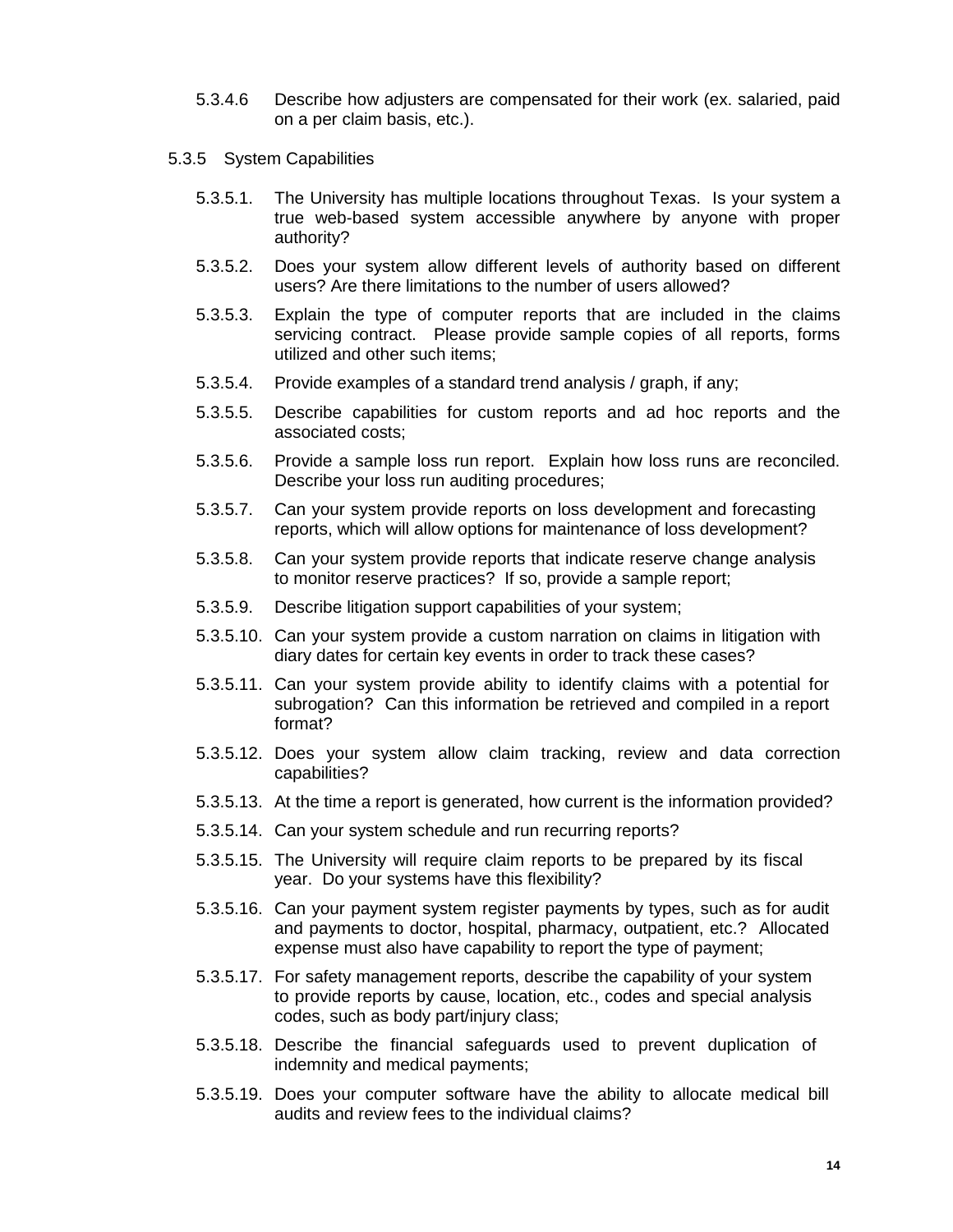- 5.3.4.6 Describe how adjusters are compensated for their work (ex. salaried, paid on a per claim basis, etc.).
- 5.3.5 System Capabilities
	- 5.3.5.1. The University has multiple locations throughout Texas. Is your system a true web-based system accessible anywhere by anyone with proper authority?
	- 5.3.5.2. Does your system allow different levels of authority based on different users? Are there limitations to the number of users allowed?
	- 5.3.5.3. Explain the type of computer reports that are included in the claims servicing contract. Please provide sample copies of all reports, forms utilized and other such items;
	- 5.3.5.4. Provide examples of a standard trend analysis / graph, if any;
	- 5.3.5.5. Describe capabilities for custom reports and ad hoc reports and the associated costs;
	- 5.3.5.6. Provide a sample loss run report. Explain how loss runs are reconciled. Describe your loss run auditing procedures;
	- 5.3.5.7. Can your system provide reports on loss development and forecasting reports, which will allow options for maintenance of loss development?
	- 5.3.5.8. Can your system provide reports that indicate reserve change analysis to monitor reserve practices? If so, provide a sample report;
	- 5.3.5.9. Describe litigation support capabilities of your system;
	- 5.3.5.10. Can your system provide a custom narration on claims in litigation with diary dates for certain key events in order to track these cases?
	- 5.3.5.11. Can your system provide ability to identify claims with a potential for subrogation? Can this information be retrieved and compiled in a report format?
	- 5.3.5.12. Does your system allow claim tracking, review and data correction capabilities?
	- 5.3.5.13. At the time a report is generated, how current is the information provided?
	- 5.3.5.14. Can your system schedule and run recurring reports?
	- 5.3.5.15. The University will require claim reports to be prepared by its fiscal year. Do your systems have this flexibility?
	- 5.3.5.16. Can your payment system register payments by types, such as for audit and payments to doctor, hospital, pharmacy, outpatient, etc.? Allocated expense must also have capability to report the type of payment;
	- 5.3.5.17. For safety management reports, describe the capability of your system to provide reports by cause, location, etc., codes and special analysis codes, such as body part/injury class;
	- 5.3.5.18. Describe the financial safeguards used to prevent duplication of indemnity and medical payments;
	- 5.3.5.19. Does your computer software have the ability to allocate medical bill audits and review fees to the individual claims?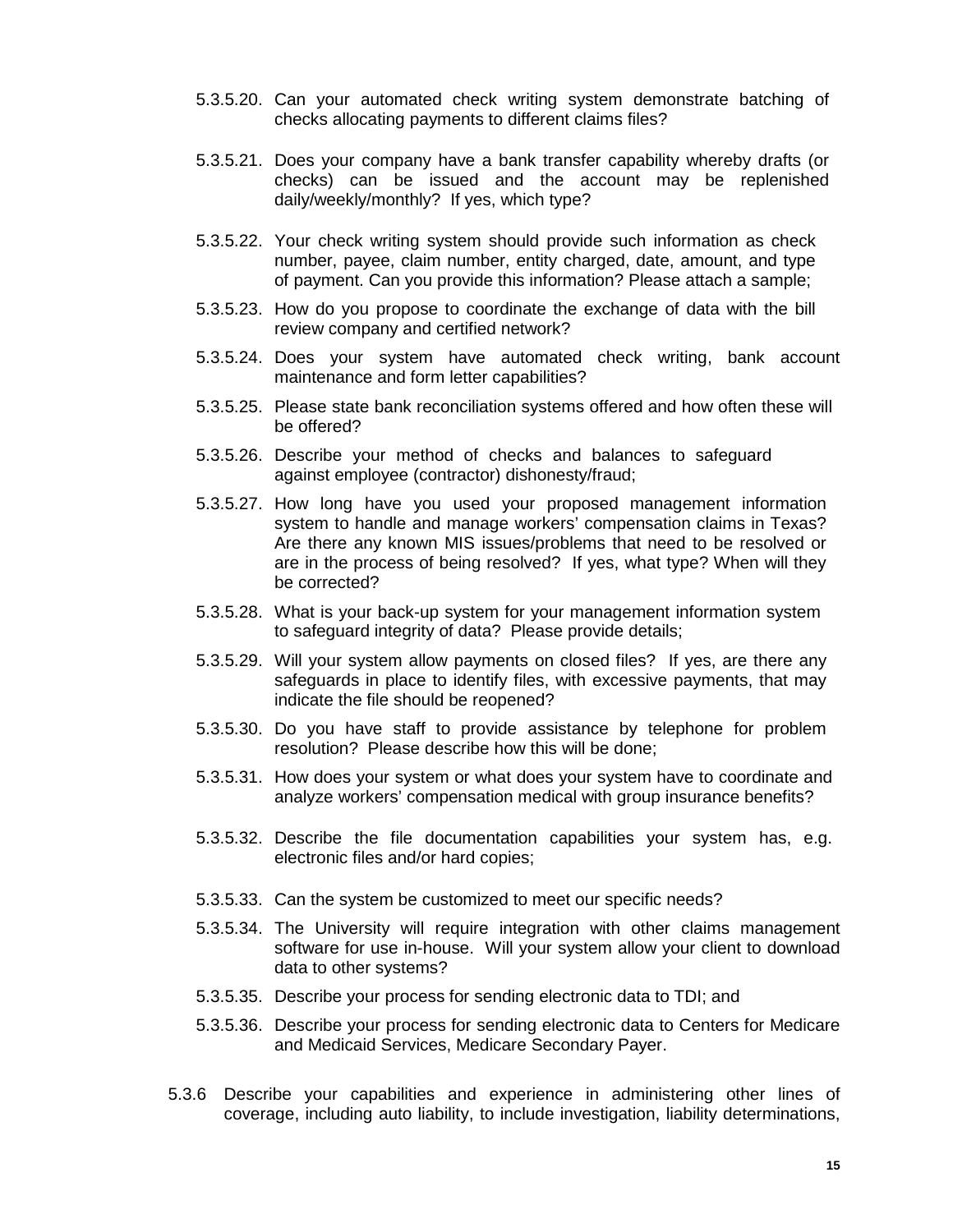- 5.3.5.20. Can your automated check writing system demonstrate batching of checks allocating payments to different claims files?
- 5.3.5.21. Does your company have a bank transfer capability whereby drafts (or checks) can be issued and the account may be replenished daily/weekly/monthly? If yes, which type?
- 5.3.5.22. Your check writing system should provide such information as check number, payee, claim number, entity charged, date, amount, and type of payment. Can you provide this information? Please attach a sample;
- 5.3.5.23. How do you propose to coordinate the exchange of data with the bill review company and certified network?
- 5.3.5.24. Does your system have automated check writing, bank account maintenance and form letter capabilities?
- 5.3.5.25. Please state bank reconciliation systems offered and how often these will be offered?
- 5.3.5.26. Describe your method of checks and balances to safeguard against employee (contractor) dishonesty/fraud;
- 5.3.5.27. How long have you used your proposed management information system to handle and manage workers' compensation claims in Texas? Are there any known MIS issues/problems that need to be resolved or are in the process of being resolved? If yes, what type? When will they be corrected?
- 5.3.5.28. What is your back-up system for your management information system to safeguard integrity of data? Please provide details;
- 5.3.5.29. Will your system allow payments on closed files? If yes, are there any safeguards in place to identify files, with excessive payments, that may indicate the file should be reopened?
- 5.3.5.30. Do you have staff to provide assistance by telephone for problem resolution? Please describe how this will be done;
- 5.3.5.31. How does your system or what does your system have to coordinate and analyze workers' compensation medical with group insurance benefits?
- 5.3.5.32. Describe the file documentation capabilities your system has, e.g. electronic files and/or hard copies;
- 5.3.5.33. Can the system be customized to meet our specific needs?
- 5.3.5.34. The University will require integration with other claims management software for use in-house. Will your system allow your client to download data to other systems?
- 5.3.5.35. Describe your process for sending electronic data to TDI; and
- 5.3.5.36. Describe your process for sending electronic data to Centers for Medicare and Medicaid Services, Medicare Secondary Payer.
- 5.3.6 Describe your capabilities and experience in administering other lines of coverage, including auto liability, to include investigation, liability determinations,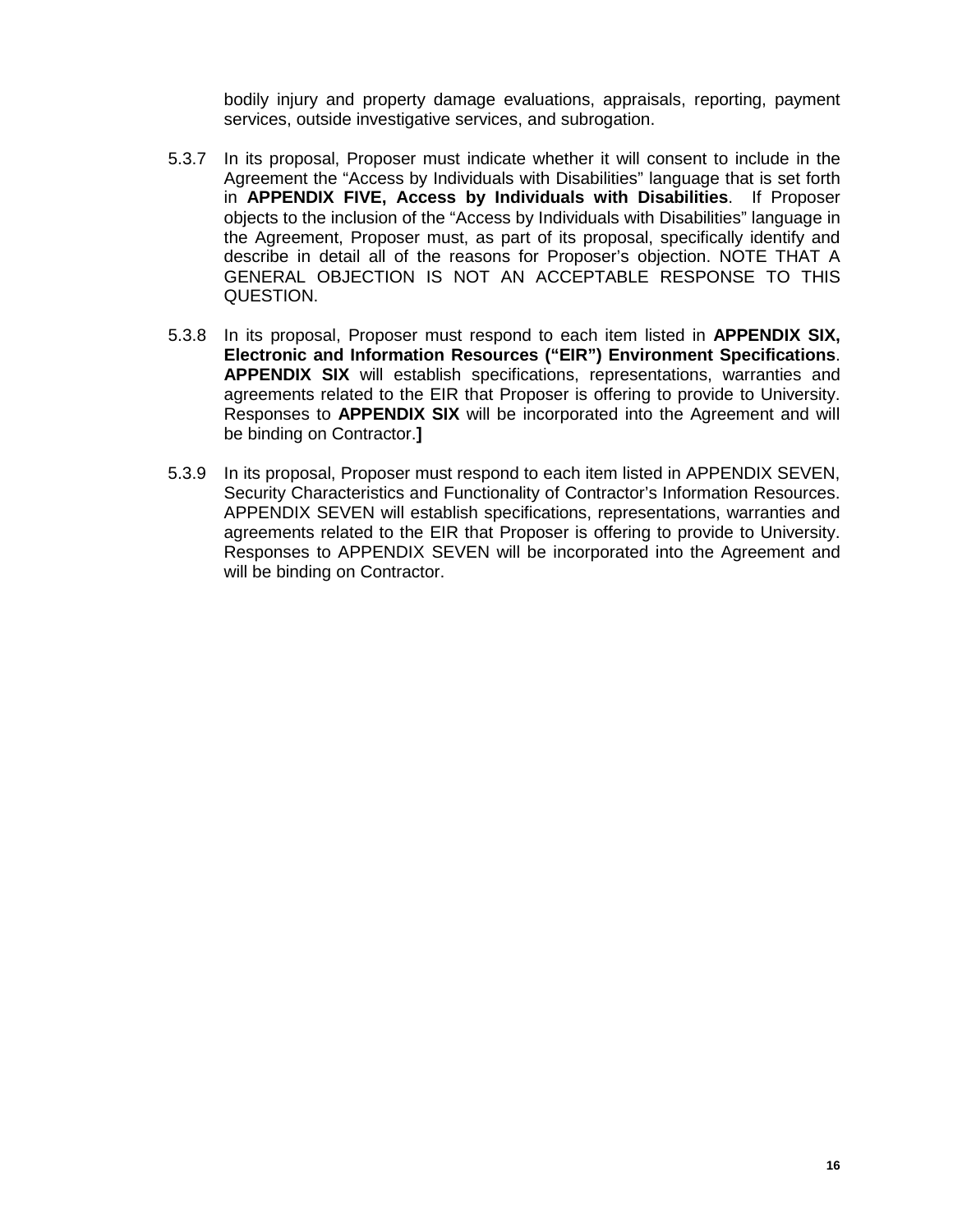bodily injury and property damage evaluations, appraisals, reporting, payment services, outside investigative services, and subrogation.

- 5.3.7 In its proposal, Proposer must indicate whether it will consent to include in the Agreement the "Access by Individuals with Disabilities" language that is set forth in **APPENDIX FIVE, Access by Individuals with Disabilities**. If Proposer objects to the inclusion of the "Access by Individuals with Disabilities" language in the Agreement, Proposer must, as part of its proposal, specifically identify and describe in detail all of the reasons for Proposer's objection. NOTE THAT A GENERAL OBJECTION IS NOT AN ACCEPTABLE RESPONSE TO THIS QUESTION.
- 5.3.8 In its proposal, Proposer must respond to each item listed in **APPENDIX SIX, Electronic and Information Resources ("EIR") Environment Specifications**. **APPENDIX SIX** will establish specifications, representations, warranties and agreements related to the EIR that Proposer is offering to provide to University. Responses to **APPENDIX SIX** will be incorporated into the Agreement and will be binding on Contractor.**]**
- 5.3.9 In its proposal, Proposer must respond to each item listed in APPENDIX SEVEN, Security Characteristics and Functionality of Contractor's Information Resources. APPENDIX SEVEN will establish specifications, representations, warranties and agreements related to the EIR that Proposer is offering to provide to University. Responses to APPENDIX SEVEN will be incorporated into the Agreement and will be binding on Contractor.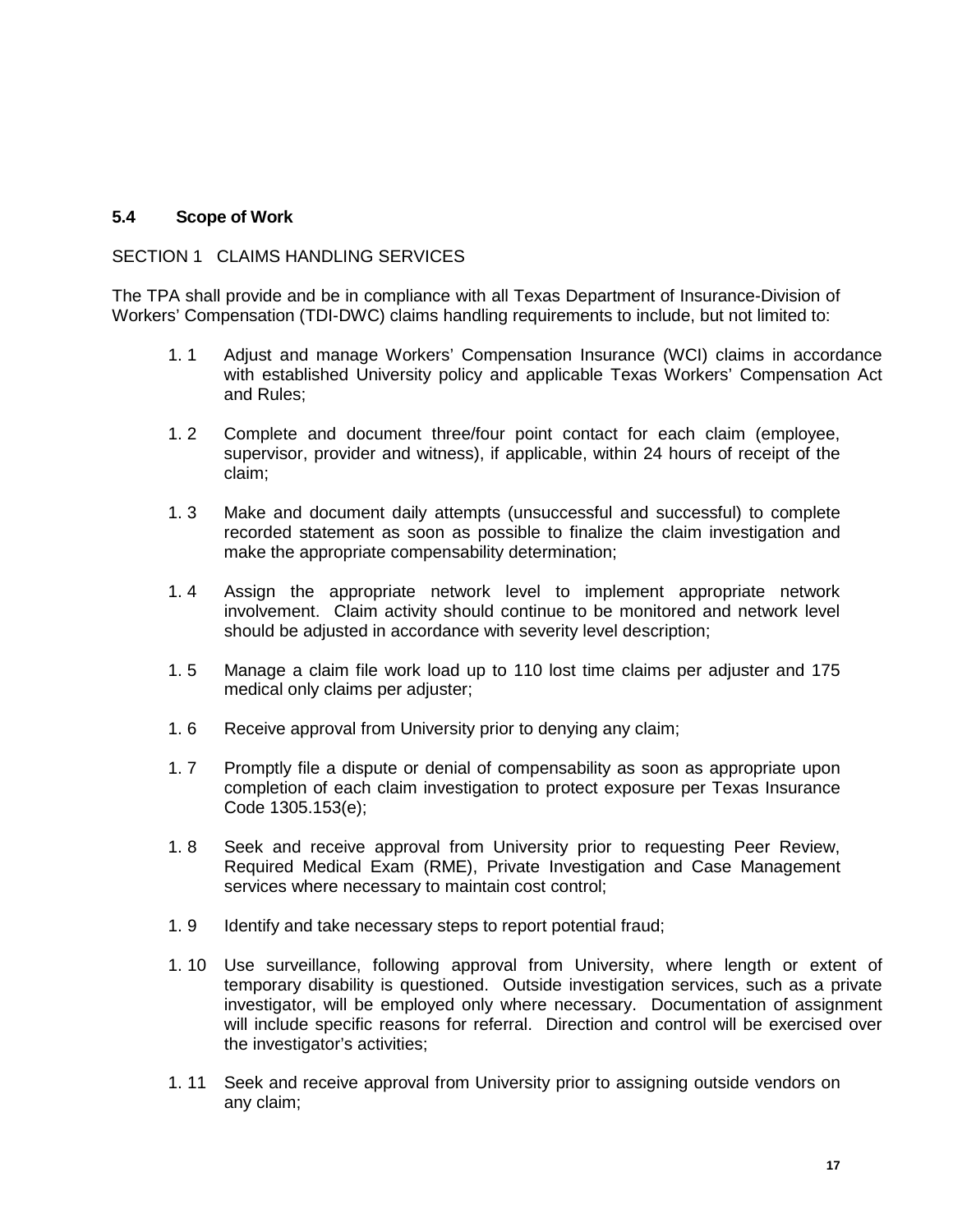# **5.4 Scope of Work**

# SECTION 1 CLAIMS HANDLING SERVICES

The TPA shall provide and be in compliance with all Texas Department of Insurance-Division of Workers' Compensation (TDI-DWC) claims handling requirements to include, but not limited to:

- 1. 1 Adjust and manage Workers' Compensation Insurance (WCI) claims in accordance with established University policy and applicable Texas Workers' Compensation Act and Rules;
- 1. 2 Complete and document three/four point contact for each claim (employee, supervisor, provider and witness), if applicable, within 24 hours of receipt of the claim;
- 1. 3 Make and document daily attempts (unsuccessful and successful) to complete recorded statement as soon as possible to finalize the claim investigation and make the appropriate compensability determination;
- 1. 4 Assign the appropriate network level to implement appropriate network involvement. Claim activity should continue to be monitored and network level should be adjusted in accordance with severity level description;
- 1. 5 Manage a claim file work load up to 110 lost time claims per adjuster and 175 medical only claims per adjuster;
- 1. 6 Receive approval from University prior to denying any claim;
- 1. 7 Promptly file a dispute or denial of compensability as soon as appropriate upon completion of each claim investigation to protect exposure per Texas Insurance Code 1305.153(e);
- 1. 8 Seek and receive approval from University prior to requesting Peer Review, Required Medical Exam (RME), Private Investigation and Case Management services where necessary to maintain cost control;
- 1. 9 Identify and take necessary steps to report potential fraud;
- 1. 10 Use surveillance, following approval from University, where length or extent of temporary disability is questioned. Outside investigation services, such as a private investigator, will be employed only where necessary. Documentation of assignment will include specific reasons for referral. Direction and control will be exercised over the investigator's activities;
- 1. 11 Seek and receive approval from University prior to assigning outside vendors on any claim;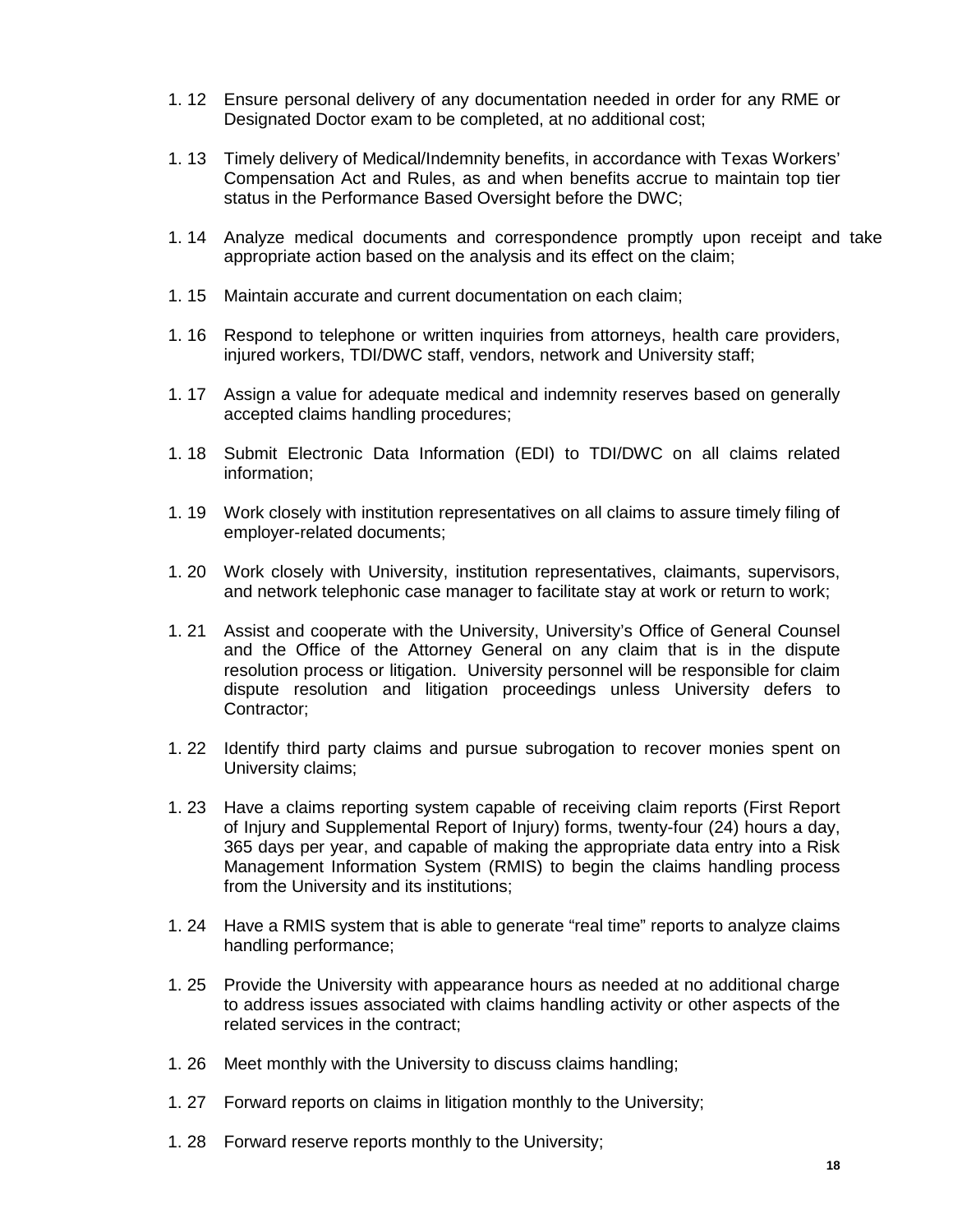- 1. 12 Ensure personal delivery of any documentation needed in order for any RME or Designated Doctor exam to be completed, at no additional cost;
- 1. 13 Timely delivery of Medical/Indemnity benefits, in accordance with Texas Workers' Compensation Act and Rules, as and when benefits accrue to maintain top tier status in the Performance Based Oversight before the DWC;
- 1. 14 Analyze medical documents and correspondence promptly upon receipt and take appropriate action based on the analysis and its effect on the claim;
- 1. 15 Maintain accurate and current documentation on each claim;
- 1. 16 Respond to telephone or written inquiries from attorneys, health care providers, injured workers, TDI/DWC staff, vendors, network and University staff;
- 1. 17 Assign a value for adequate medical and indemnity reserves based on generally accepted claims handling procedures;
- 1. 18 Submit Electronic Data Information (EDI) to TDI/DWC on all claims related information;
- 1. 19 Work closely with institution representatives on all claims to assure timely filing of employer-related documents;
- 1. 20 Work closely with University, institution representatives, claimants, supervisors, and network telephonic case manager to facilitate stay at work or return to work;
- 1. 21 Assist and cooperate with the University, University's Office of General Counsel and the Office of the Attorney General on any claim that is in the dispute resolution process or litigation. University personnel will be responsible for claim dispute resolution and litigation proceedings unless University defers to Contractor;
- 1. 22 Identify third party claims and pursue subrogation to recover monies spent on University claims;
- 1. 23 Have a claims reporting system capable of receiving claim reports (First Report of Injury and Supplemental Report of Injury) forms, twenty-four (24) hours a day, 365 days per year, and capable of making the appropriate data entry into a Risk Management Information System (RMIS) to begin the claims handling process from the University and its institutions;
- 1. 24 Have a RMIS system that is able to generate "real time" reports to analyze claims handling performance;
- 1. 25 Provide the University with appearance hours as needed at no additional charge to address issues associated with claims handling activity or other aspects of the related services in the contract;
- 1. 26 Meet monthly with the University to discuss claims handling;
- 1. 27 Forward reports on claims in litigation monthly to the University;
- 1. 28 Forward reserve reports monthly to the University;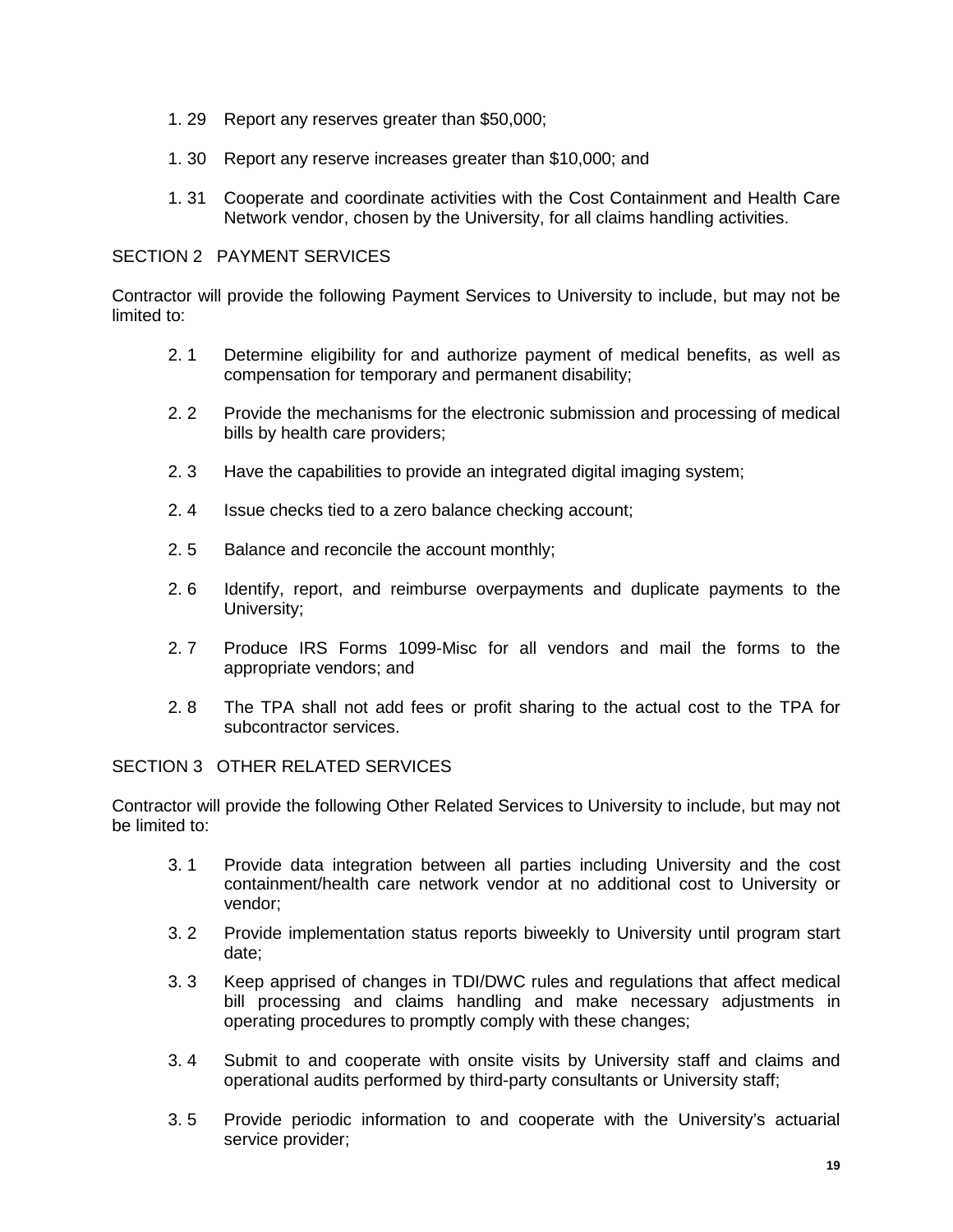- 1. 29 Report any reserves greater than \$50,000;
- 1. 30 Report any reserve increases greater than \$10,000; and
- 1. 31 Cooperate and coordinate activities with the Cost Containment and Health Care Network vendor, chosen by the University, for all claims handling activities.

# SECTION 2 PAYMENT SERVICES

Contractor will provide the following Payment Services to University to include, but may not be limited to:

- 2. 1 Determine eligibility for and authorize payment of medical benefits, as well as compensation for temporary and permanent disability;
- 2. 2 Provide the mechanisms for the electronic submission and processing of medical bills by health care providers;
- 2. 3 Have the capabilities to provide an integrated digital imaging system;
- 2. 4 Issue checks tied to a zero balance checking account;
- 2. 5 Balance and reconcile the account monthly;
- 2. 6 Identify, report, and reimburse overpayments and duplicate payments to the University;
- 2. 7 Produce IRS Forms 1099-Misc for all vendors and mail the forms to the appropriate vendors; and
- 2. 8 The TPA shall not add fees or profit sharing to the actual cost to the TPA for subcontractor services.

SECTION 3 OTHER RELATED SERVICES

Contractor will provide the following Other Related Services to University to include, but may not be limited to:

- 3. 1 Provide data integration between all parties including University and the cost containment/health care network vendor at no additional cost to University or vendor;
- 3. 2 Provide implementation status reports biweekly to University until program start date;
- 3. 3 Keep apprised of changes in TDI/DWC rules and regulations that affect medical bill processing and claims handling and make necessary adjustments in operating procedures to promptly comply with these changes;
- 3. 4 Submit to and cooperate with onsite visits by University staff and claims and operational audits performed by third-party consultants or University staff;
- 3. 5 Provide periodic information to and cooperate with the University's actuarial service provider;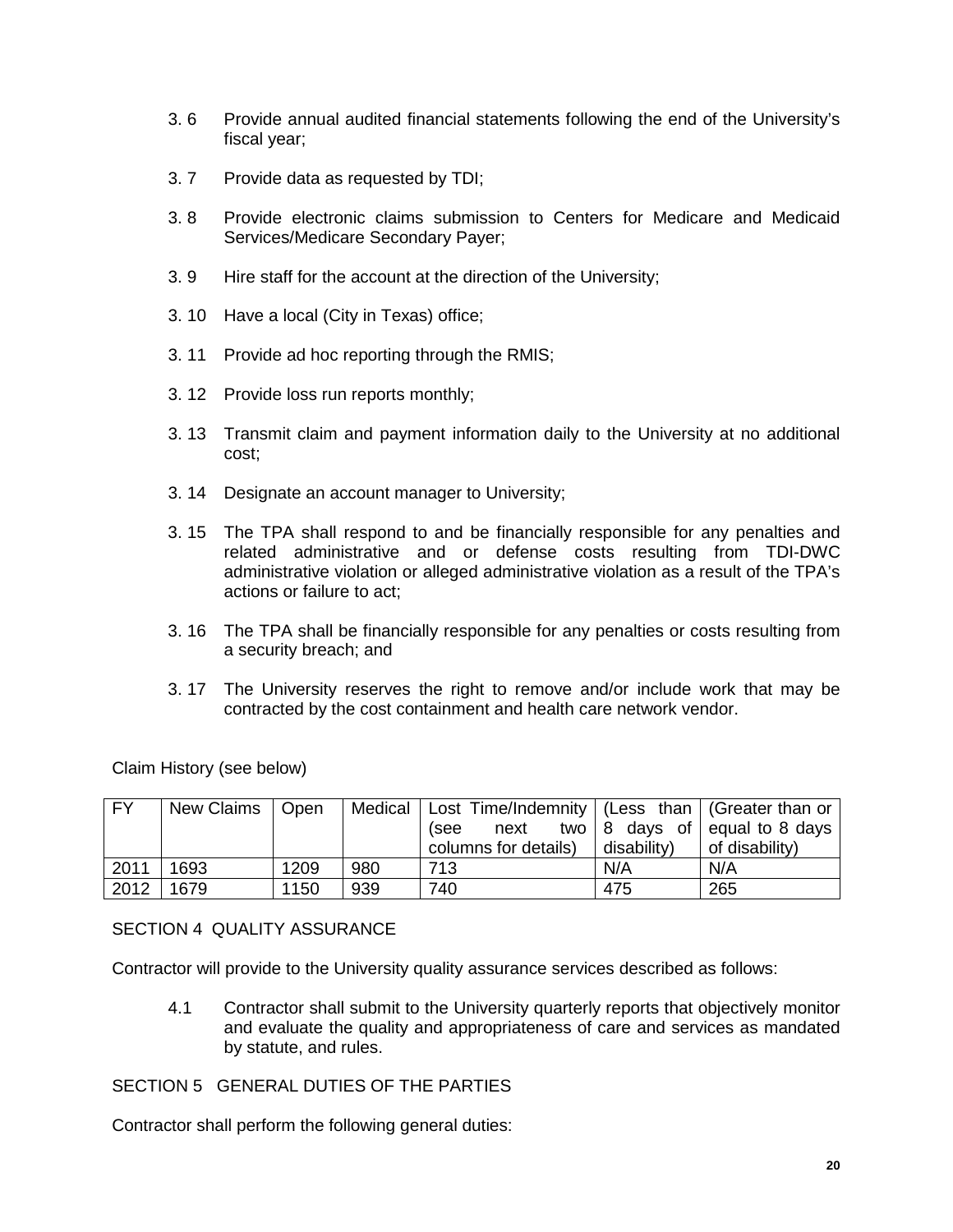- 3. 6 Provide annual audited financial statements following the end of the University's fiscal year;
- 3. 7 Provide data as requested by TDI;
- 3. 8 Provide electronic claims submission to Centers for Medicare and Medicaid Services/Medicare Secondary Payer;
- 3. 9 Hire staff for the account at the direction of the University;
- 3. 10 Have a local (City in Texas) office;
- 3. 11 Provide ad hoc reporting through the RMIS;
- 3. 12 Provide loss run reports monthly;
- 3. 13 Transmit claim and payment information daily to the University at no additional cost;
- 3. 14 Designate an account manager to University;
- 3. 15 The TPA shall respond to and be financially responsible for any penalties and related administrative and or defense costs resulting from TDI-DWC administrative violation or alleged administrative violation as a result of the TPA's actions or failure to act;
- 3. 16 The TPA shall be financially responsible for any penalties or costs resulting from a security breach; and
- 3. 17 The University reserves the right to remove and/or include work that may be contracted by the cost containment and health care network vendor.

Claim History (see below)

| <b>FY</b> | New Claims   Open |      |     | Medical   Lost Time/Indemnity   (Less than   (Greater than or |                     |                                                                                      |
|-----------|-------------------|------|-----|---------------------------------------------------------------|---------------------|--------------------------------------------------------------------------------------|
|           |                   |      |     | (see                                                          |                     | next two $\begin{vmatrix} 8 & \text{days} & \text{of} \end{vmatrix}$ equal to 8 days |
|           |                   |      |     | columns for details)                                          | $\vert$ disability) | of disability)                                                                       |
| 2011      | 1693              | 1209 | 980 | 713                                                           | N/A                 | N/A                                                                                  |
| 2012      | 1679              | 1150 | 939 | 740                                                           | 475                 | 265                                                                                  |

SECTION 4 OUALITY ASSURANCE

Contractor will provide to the University quality assurance services described as follows:

4.1 Contractor shall submit to the University quarterly reports that objectively monitor and evaluate the quality and appropriateness of care and services as mandated by statute, and rules.

# SECTION 5 GENERAL DUTIES OF THE PARTIES

Contractor shall perform the following general duties: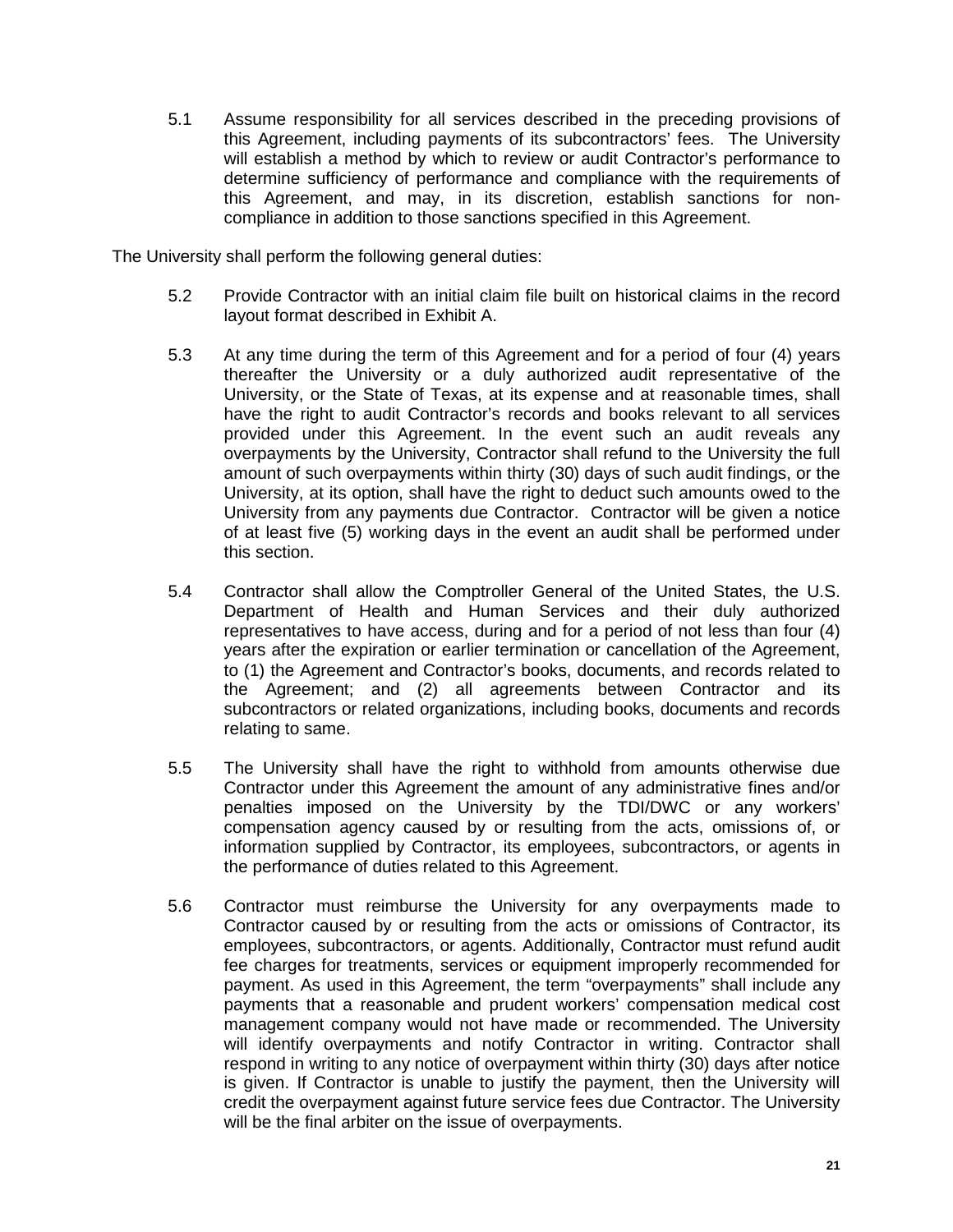5.1 Assume responsibility for all services described in the preceding provisions of this Agreement, including payments of its subcontractors' fees. The University will establish a method by which to review or audit Contractor's performance to determine sufficiency of performance and compliance with the requirements of this Agreement, and may, in its discretion, establish sanctions for noncompliance in addition to those sanctions specified in this Agreement.

The University shall perform the following general duties:

- 5.2 Provide Contractor with an initial claim file built on historical claims in the record layout format described in Exhibit A.
- 5.3 At any time during the term of this Agreement and for a period of four (4) years thereafter the University or a duly authorized audit representative of the University, or the State of Texas, at its expense and at reasonable times, shall have the right to audit Contractor's records and books relevant to all services provided under this Agreement. In the event such an audit reveals any overpayments by the University, Contractor shall refund to the University the full amount of such overpayments within thirty (30) days of such audit findings, or the University, at its option, shall have the right to deduct such amounts owed to the University from any payments due Contractor. Contractor will be given a notice of at least five (5) working days in the event an audit shall be performed under this section.
- 5.4 Contractor shall allow the Comptroller General of the United States, the U.S. Department of Health and Human Services and their duly authorized representatives to have access, during and for a period of not less than four (4) years after the expiration or earlier termination or cancellation of the Agreement, to (1) the Agreement and Contractor's books, documents, and records related to the Agreement; and (2) all agreements between Contractor and its subcontractors or related organizations, including books, documents and records relating to same.
- 5.5 The University shall have the right to withhold from amounts otherwise due Contractor under this Agreement the amount of any administrative fines and/or penalties imposed on the University by the TDI/DWC or any workers' compensation agency caused by or resulting from the acts, omissions of, or information supplied by Contractor, its employees, subcontractors, or agents in the performance of duties related to this Agreement.
- 5.6 Contractor must reimburse the University for any overpayments made to Contractor caused by or resulting from the acts or omissions of Contractor, its employees, subcontractors, or agents. Additionally, Contractor must refund audit fee charges for treatments, services or equipment improperly recommended for payment. As used in this Agreement, the term "overpayments" shall include any payments that a reasonable and prudent workers' compensation medical cost management company would not have made or recommended. The University will identify overpayments and notify Contractor in writing. Contractor shall respond in writing to any notice of overpayment within thirty (30) days after notice is given. If Contractor is unable to justify the payment, then the University will credit the overpayment against future service fees due Contractor. The University will be the final arbiter on the issue of overpayments.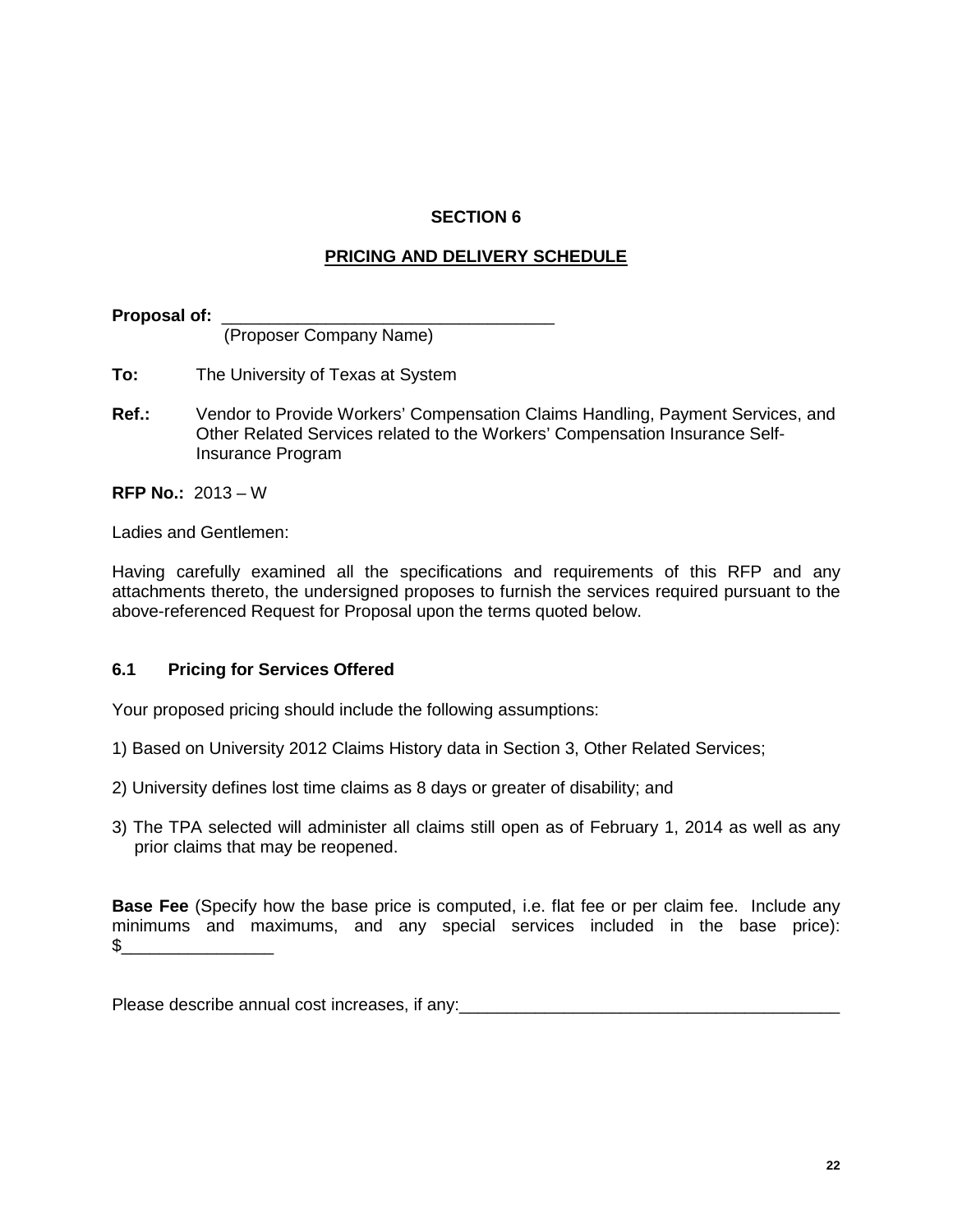# **SECTION 6**

# **PRICING AND DELIVERY SCHEDULE**

Proposal of: \_ (Proposer Company Name)

- **To:** The University of Texas at System
- **Ref.:** Vendor to Provide Workers' Compensation Claims Handling, Payment Services, and Other Related Services related to the Workers' Compensation Insurance Self-Insurance Program

**RFP No.:** 2013 – W

Ladies and Gentlemen:

Having carefully examined all the specifications and requirements of this RFP and any attachments thereto, the undersigned proposes to furnish the services required pursuant to the above-referenced Request for Proposal upon the terms quoted below.

# **6.1 Pricing for Services Offered**

Your proposed pricing should include the following assumptions:

- 1) Based on University 2012 Claims History data in Section 3, Other Related Services;
- 2) University defines lost time claims as 8 days or greater of disability; and
- 3) The TPA selected will administer all claims still open as of February 1, 2014 as well as any prior claims that may be reopened.

**Base Fee** (Specify how the base price is computed, i.e. flat fee or per claim fee. Include any minimums and maximums, and any special services included in the base price):  $\frac{1}{2}$ 

Please describe annual cost increases, if any: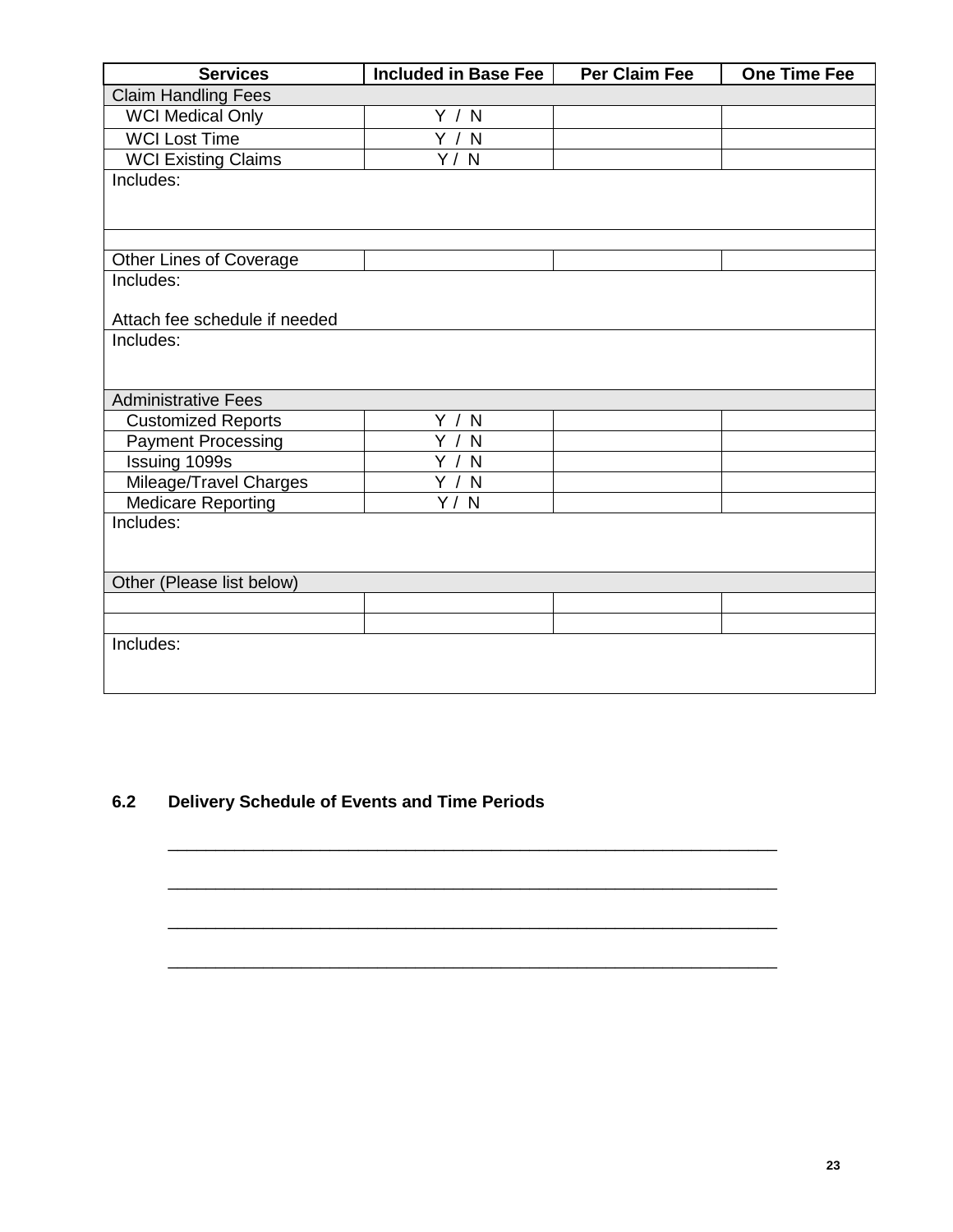| <b>Services</b>               | Included in Base Fee | <b>Per Claim Fee</b> | <b>One Time Fee</b> |
|-------------------------------|----------------------|----------------------|---------------------|
| <b>Claim Handling Fees</b>    |                      |                      |                     |
| <b>WCI Medical Only</b>       | Y / N                |                      |                     |
| <b>WCI Lost Time</b>          | Y / N                |                      |                     |
| <b>WCI Existing Claims</b>    | Y / N                |                      |                     |
| Includes:                     |                      |                      |                     |
|                               |                      |                      |                     |
|                               |                      |                      |                     |
|                               |                      |                      |                     |
| Other Lines of Coverage       |                      |                      |                     |
| Includes:                     |                      |                      |                     |
| Attach fee schedule if needed |                      |                      |                     |
| Includes:                     |                      |                      |                     |
|                               |                      |                      |                     |
|                               |                      |                      |                     |
| <b>Administrative Fees</b>    |                      |                      |                     |
| <b>Customized Reports</b>     | Y / N                |                      |                     |
| <b>Payment Processing</b>     | Y /<br>N             |                      |                     |
| Issuing 1099s                 | Y /<br>N             |                      |                     |
| Mileage/Travel Charges        | $\overline{Y}$ / N   |                      |                     |
| Medicare Reporting            | Y/N                  |                      |                     |
| Includes:                     |                      |                      |                     |
|                               |                      |                      |                     |
| Other (Please list below)     |                      |                      |                     |
|                               |                      |                      |                     |
|                               |                      |                      |                     |
| Includes:                     |                      |                      |                     |
|                               |                      |                      |                     |
|                               |                      |                      |                     |

\_\_\_\_\_\_\_\_\_\_\_\_\_\_\_\_\_\_\_\_\_\_\_\_\_\_\_\_\_\_\_\_\_\_\_\_\_\_\_\_\_\_\_\_\_\_\_\_\_\_\_\_\_\_\_\_\_\_\_\_\_\_\_\_

\_\_\_\_\_\_\_\_\_\_\_\_\_\_\_\_\_\_\_\_\_\_\_\_\_\_\_\_\_\_\_\_\_\_\_\_\_\_\_\_\_\_\_\_\_\_\_\_\_\_\_\_\_\_\_\_\_\_\_\_\_\_\_\_

\_\_\_\_\_\_\_\_\_\_\_\_\_\_\_\_\_\_\_\_\_\_\_\_\_\_\_\_\_\_\_\_\_\_\_\_\_\_\_\_\_\_\_\_\_\_\_\_\_\_\_\_\_\_\_\_\_\_\_\_\_\_\_\_

\_\_\_\_\_\_\_\_\_\_\_\_\_\_\_\_\_\_\_\_\_\_\_\_\_\_\_\_\_\_\_\_\_\_\_\_\_\_\_\_\_\_\_\_\_\_\_\_\_\_\_\_\_\_\_\_\_\_\_\_\_\_\_\_

# **6.2 Delivery Schedule of Events and Time Periods**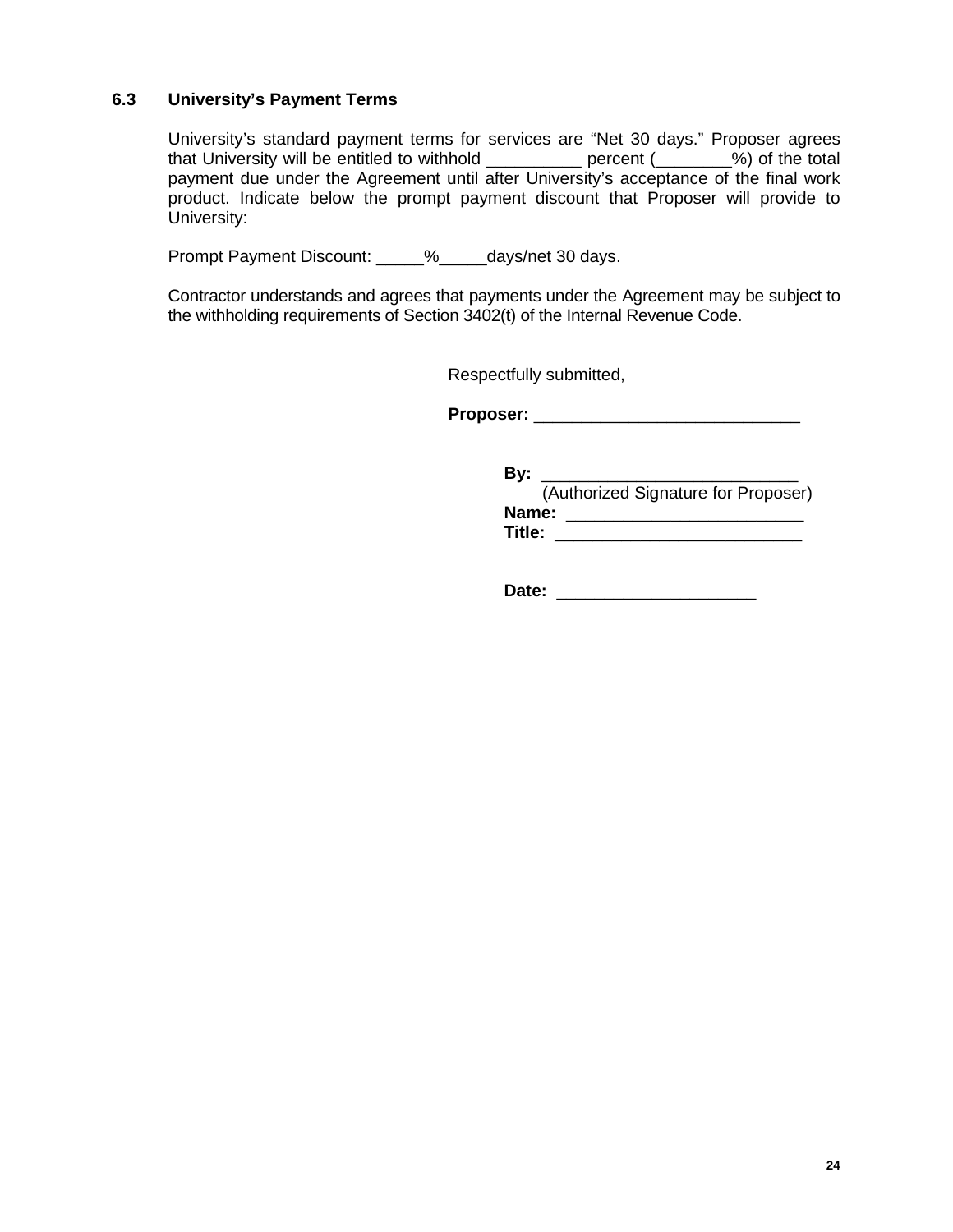# **6.3 University's Payment Terms**

University's standard payment terms for services are "Net 30 days." Proposer agrees that University will be entitled to withhold \_\_\_\_\_\_\_\_\_\_ percent (\_\_\_\_\_\_\_\_%) of the total payment due under the Agreement until after University's acceptance of the final work product. Indicate below the prompt payment discount that Proposer will provide to University:

Prompt Payment Discount: \_\_\_\_\_%\_\_\_\_\_days/net 30 days.

Contractor understands and agrees that payments under the Agreement may be subject to the withholding requirements of Section 3402(t) of the Internal Revenue Code.

Respectfully submitted,

**Proposer:** \_\_\_\_\_\_\_\_\_\_\_\_\_\_\_\_\_\_\_\_\_\_\_\_\_\_\_\_

**By:** \_\_\_\_\_\_\_\_\_\_\_\_\_\_\_\_\_\_\_\_\_\_\_\_\_\_\_ (Authorized Signature for Proposer) **Name:**  $\blacksquare$ **Title:** \_\_\_\_\_\_\_\_\_\_\_\_\_\_\_\_\_\_\_\_\_\_\_\_\_\_

**Date:** \_\_\_\_\_\_\_\_\_\_\_\_\_\_\_\_\_\_\_\_\_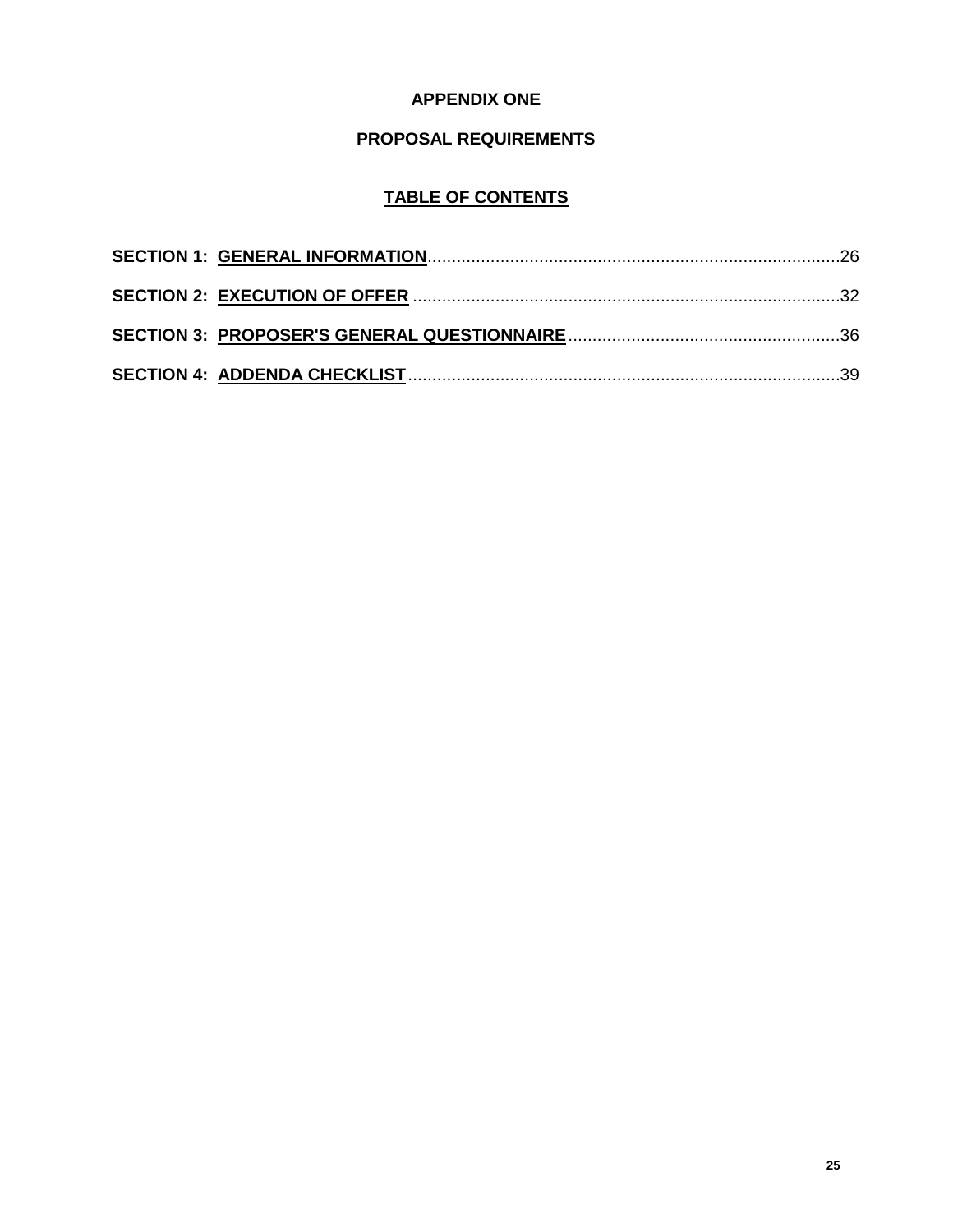# **APPENDIX ONE**

# **PROPOSAL REQUIREMENTS**

# **TABLE OF CONTENTS**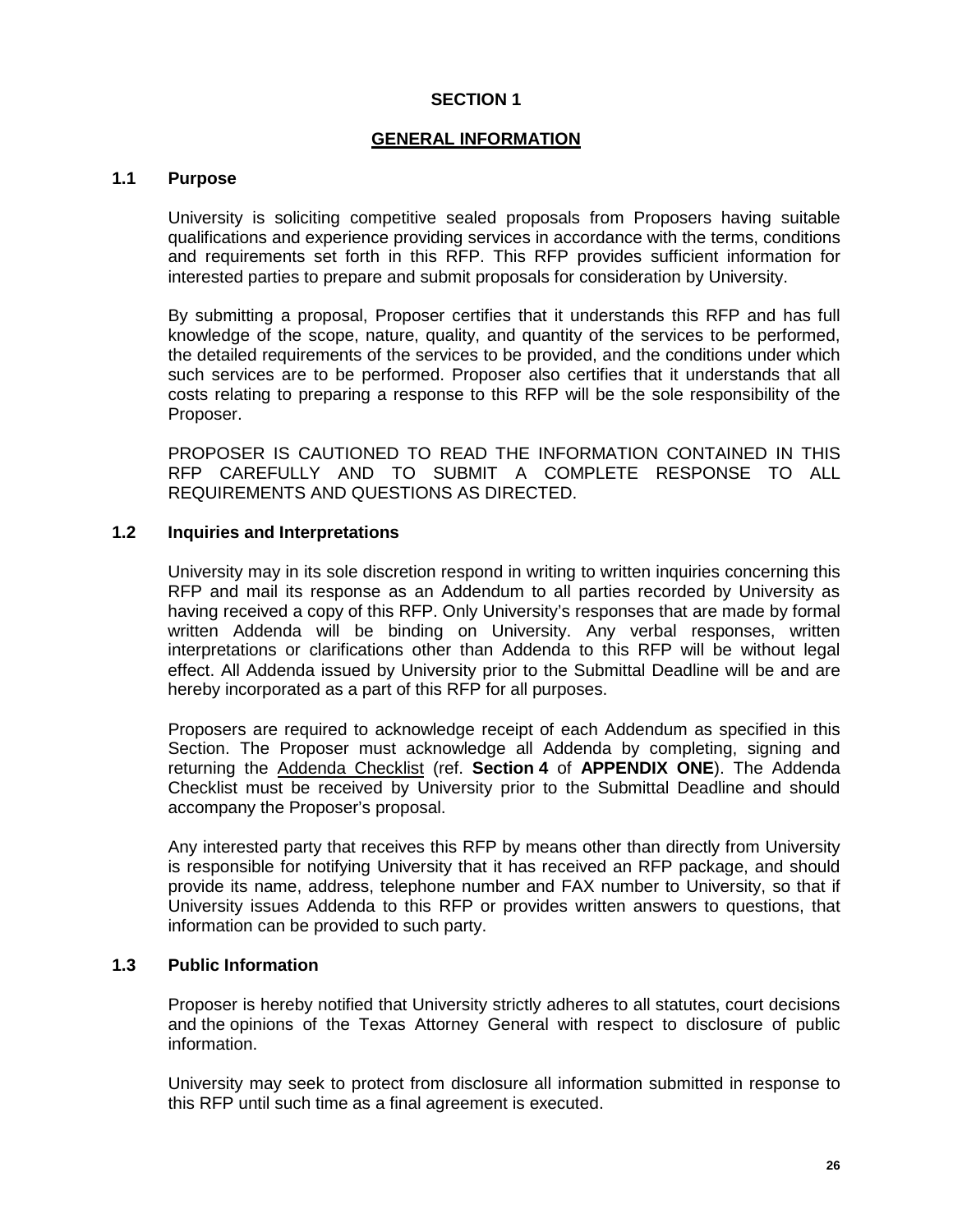# **SECTION 1**

#### **GENERAL INFORMATION**

#### **1.1 Purpose**

University is soliciting competitive sealed proposals from Proposers having suitable qualifications and experience providing services in accordance with the terms, conditions and requirements set forth in this RFP. This RFP provides sufficient information for interested parties to prepare and submit proposals for consideration by University.

By submitting a proposal, Proposer certifies that it understands this RFP and has full knowledge of the scope, nature, quality, and quantity of the services to be performed, the detailed requirements of the services to be provided, and the conditions under which such services are to be performed. Proposer also certifies that it understands that all costs relating to preparing a response to this RFP will be the sole responsibility of the Proposer.

PROPOSER IS CAUTIONED TO READ THE INFORMATION CONTAINED IN THIS RFP CAREFULLY AND TO SUBMIT A COMPLETE RESPONSE TO ALL REQUIREMENTS AND QUESTIONS AS DIRECTED.

# **1.2 Inquiries and Interpretations**

University may in its sole discretion respond in writing to written inquiries concerning this RFP and mail its response as an Addendum to all parties recorded by University as having received a copy of this RFP. Only University's responses that are made by formal written Addenda will be binding on University. Any verbal responses, written interpretations or clarifications other than Addenda to this RFP will be without legal effect. All Addenda issued by University prior to the Submittal Deadline will be and are hereby incorporated as a part of this RFP for all purposes.

Proposers are required to acknowledge receipt of each Addendum as specified in this Section. The Proposer must acknowledge all Addenda by completing, signing and returning the Addenda Checklist (ref. **Section 4** of **APPENDIX ONE**). The Addenda Checklist must be received by University prior to the Submittal Deadline and should accompany the Proposer's proposal.

Any interested party that receives this RFP by means other than directly from University is responsible for notifying University that it has received an RFP package, and should provide its name, address, telephone number and FAX number to University, so that if University issues Addenda to this RFP or provides written answers to questions, that information can be provided to such party.

#### **1.3 Public Information**

Proposer is hereby notified that University strictly adheres to all statutes, court decisions and the opinions of the Texas Attorney General with respect to disclosure of public information.

University may seek to protect from disclosure all information submitted in response to this RFP until such time as a final agreement is executed.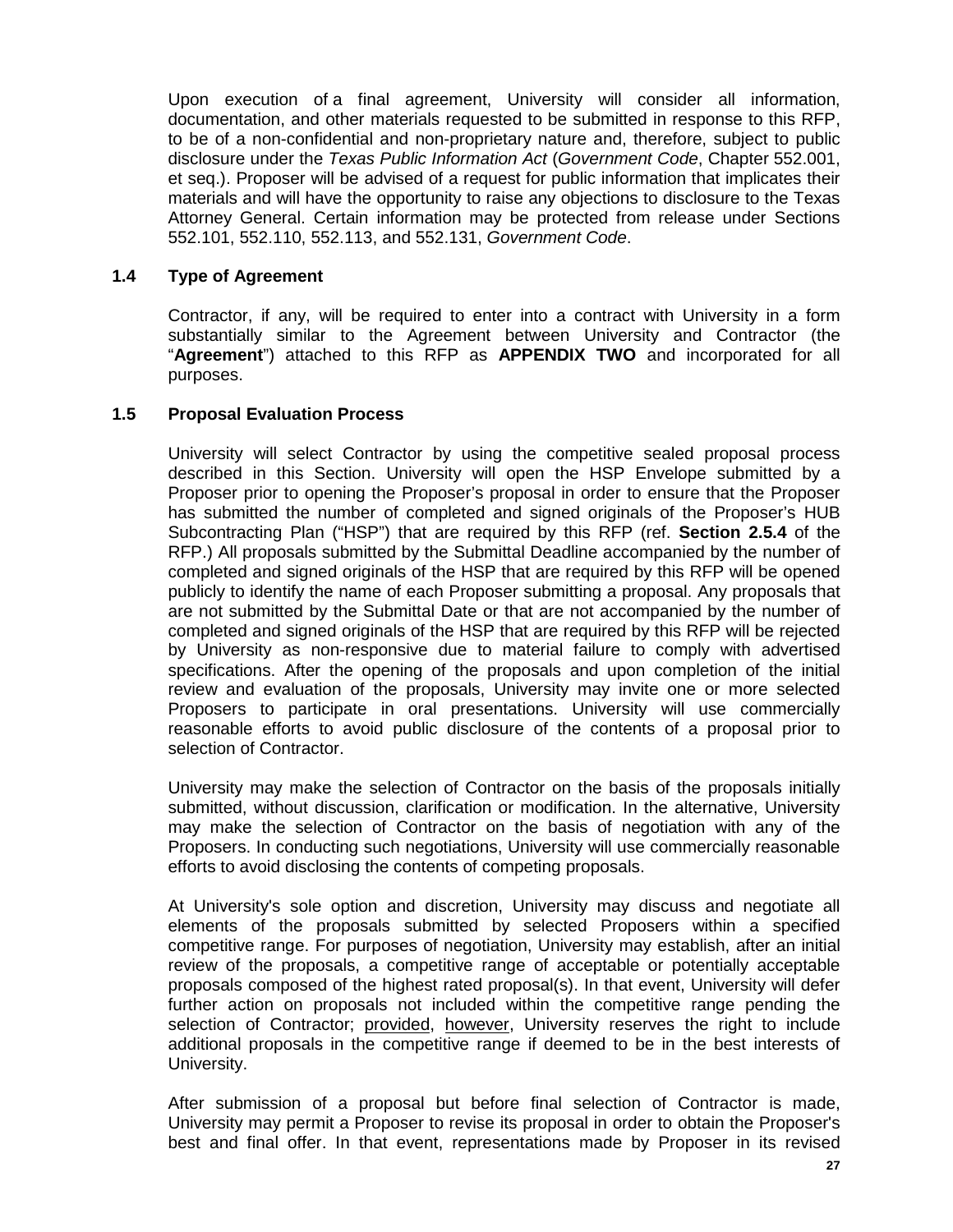Upon execution of a final agreement, University will consider all information, documentation, and other materials requested to be submitted in response to this RFP, to be of a non-confidential and non-proprietary nature and, therefore, subject to public disclosure under the *Texas Public Information Act* (*Government Code*, Chapter 552.001, et seq.). Proposer will be advised of a request for public information that implicates their materials and will have the opportunity to raise any objections to disclosure to the Texas Attorney General. Certain information may be protected from release under Sections 552.101, 552.110, 552.113, and 552.131, *Government Code*.

# **1.4 Type of Agreement**

Contractor, if any, will be required to enter into a contract with University in a form substantially similar to the Agreement between University and Contractor (the "**Agreement**") attached to this RFP as **APPENDIX TWO** and incorporated for all purposes.

# **1.5 Proposal Evaluation Process**

University will select Contractor by using the competitive sealed proposal process described in this Section. University will open the HSP Envelope submitted by a Proposer prior to opening the Proposer's proposal in order to ensure that the Proposer has submitted the number of completed and signed originals of the Proposer's HUB Subcontracting Plan ("HSP") that are required by this RFP (ref. **Section 2.5.4** of the RFP.) All proposals submitted by the Submittal Deadline accompanied by the number of completed and signed originals of the HSP that are required by this RFP will be opened publicly to identify the name of each Proposer submitting a proposal. Any proposals that are not submitted by the Submittal Date or that are not accompanied by the number of completed and signed originals of the HSP that are required by this RFP will be rejected by University as non-responsive due to material failure to comply with advertised specifications. After the opening of the proposals and upon completion of the initial review and evaluation of the proposals, University may invite one or more selected Proposers to participate in oral presentations. University will use commercially reasonable efforts to avoid public disclosure of the contents of a proposal prior to selection of Contractor.

University may make the selection of Contractor on the basis of the proposals initially submitted, without discussion, clarification or modification. In the alternative, University may make the selection of Contractor on the basis of negotiation with any of the Proposers. In conducting such negotiations, University will use commercially reasonable efforts to avoid disclosing the contents of competing proposals.

At University's sole option and discretion, University may discuss and negotiate all elements of the proposals submitted by selected Proposers within a specified competitive range. For purposes of negotiation, University may establish, after an initial review of the proposals, a competitive range of acceptable or potentially acceptable proposals composed of the highest rated proposal(s). In that event, University will defer further action on proposals not included within the competitive range pending the selection of Contractor; provided, however, University reserves the right to include additional proposals in the competitive range if deemed to be in the best interests of University.

After submission of a proposal but before final selection of Contractor is made, University may permit a Proposer to revise its proposal in order to obtain the Proposer's best and final offer. In that event, representations made by Proposer in its revised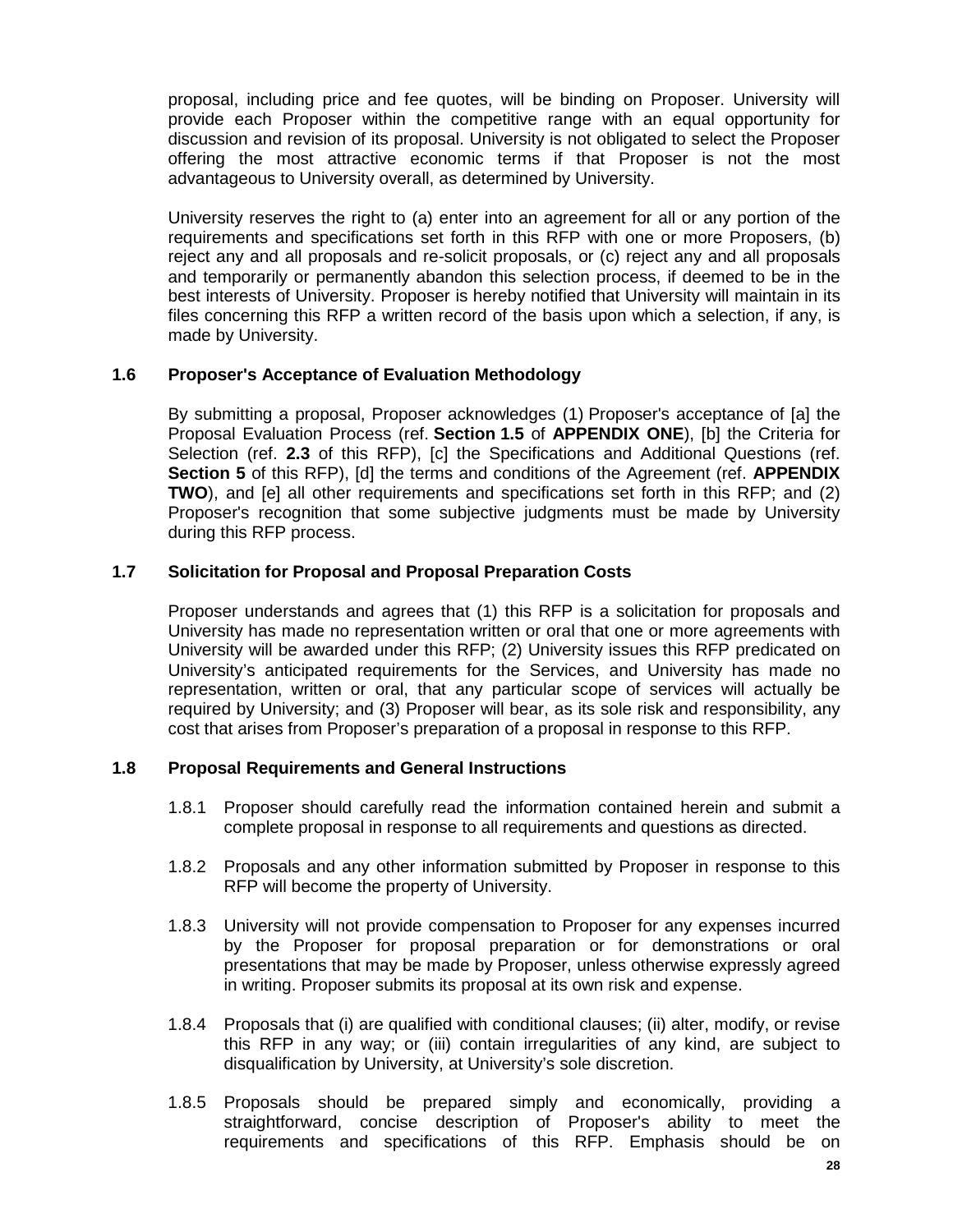proposal, including price and fee quotes, will be binding on Proposer. University will provide each Proposer within the competitive range with an equal opportunity for discussion and revision of its proposal. University is not obligated to select the Proposer offering the most attractive economic terms if that Proposer is not the most advantageous to University overall, as determined by University.

University reserves the right to (a) enter into an agreement for all or any portion of the requirements and specifications set forth in this RFP with one or more Proposers, (b) reject any and all proposals and re-solicit proposals, or (c) reject any and all proposals and temporarily or permanently abandon this selection process, if deemed to be in the best interests of University. Proposer is hereby notified that University will maintain in its files concerning this RFP a written record of the basis upon which a selection, if any, is made by University.

#### **1.6 Proposer's Acceptance of Evaluation Methodology**

By submitting a proposal, Proposer acknowledges (1) Proposer's acceptance of [a] the Proposal Evaluation Process (ref. **Section 1.5** of **APPENDIX ONE**), [b] the Criteria for Selection (ref. **2.3** of this RFP), [c] the Specifications and Additional Questions (ref. **Section 5** of this RFP), [d] the terms and conditions of the Agreement (ref. **APPENDIX TWO**), and [e] all other requirements and specifications set forth in this RFP; and (2) Proposer's recognition that some subjective judgments must be made by University during this RFP process.

# **1.7 Solicitation for Proposal and Proposal Preparation Costs**

Proposer understands and agrees that (1) this RFP is a solicitation for proposals and University has made no representation written or oral that one or more agreements with University will be awarded under this RFP; (2) University issues this RFP predicated on University's anticipated requirements for the Services, and University has made no representation, written or oral, that any particular scope of services will actually be required by University; and (3) Proposer will bear, as its sole risk and responsibility, any cost that arises from Proposer's preparation of a proposal in response to this RFP.

#### **1.8 Proposal Requirements and General Instructions**

- 1.8.1 Proposer should carefully read the information contained herein and submit a complete proposal in response to all requirements and questions as directed.
- 1.8.2 Proposals and any other information submitted by Proposer in response to this RFP will become the property of University.
- 1.8.3 University will not provide compensation to Proposer for any expenses incurred by the Proposer for proposal preparation or for demonstrations or oral presentations that may be made by Proposer, unless otherwise expressly agreed in writing. Proposer submits its proposal at its own risk and expense.
- 1.8.4 Proposals that (i) are qualified with conditional clauses; (ii) alter, modify, or revise this RFP in any way; or (iii) contain irregularities of any kind, are subject to disqualification by University, at University's sole discretion.
- 1.8.5 Proposals should be prepared simply and economically, providing a straightforward, concise description of Proposer's ability to meet the requirements and specifications of this RFP. Emphasis should be on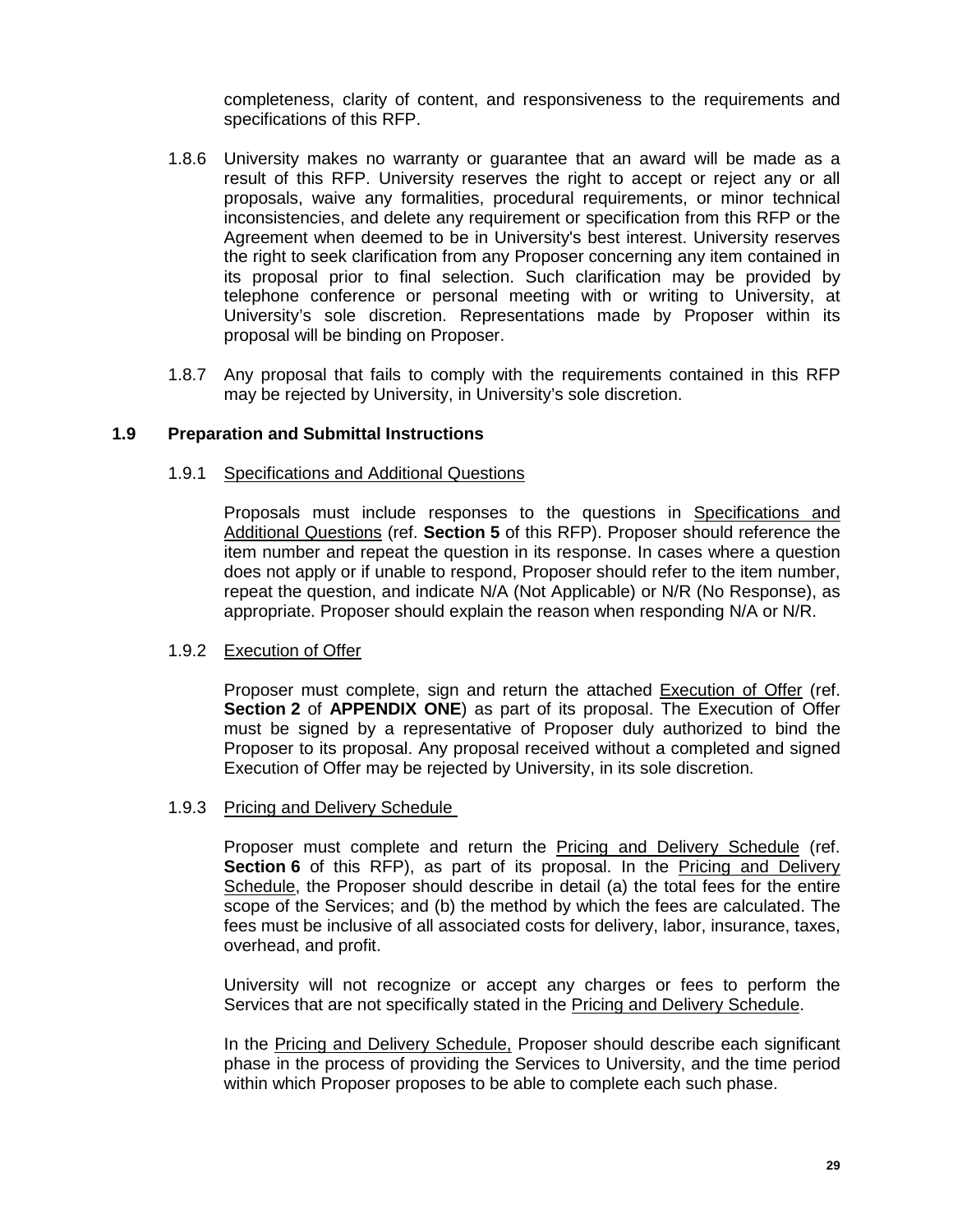completeness, clarity of content, and responsiveness to the requirements and specifications of this RFP.

- 1.8.6 University makes no warranty or guarantee that an award will be made as a result of this RFP. University reserves the right to accept or reject any or all proposals, waive any formalities, procedural requirements, or minor technical inconsistencies, and delete any requirement or specification from this RFP or the Agreement when deemed to be in University's best interest. University reserves the right to seek clarification from any Proposer concerning any item contained in its proposal prior to final selection. Such clarification may be provided by telephone conference or personal meeting with or writing to University, at University's sole discretion. Representations made by Proposer within its proposal will be binding on Proposer.
- 1.8.7 Any proposal that fails to comply with the requirements contained in this RFP may be rejected by University, in University's sole discretion.

# **1.9 Preparation and Submittal Instructions**

#### 1.9.1 Specifications and Additional Questions

Proposals must include responses to the questions in Specifications and Additional Questions (ref. **Section 5** of this RFP). Proposer should reference the item number and repeat the question in its response. In cases where a question does not apply or if unable to respond, Proposer should refer to the item number, repeat the question, and indicate N/A (Not Applicable) or N/R (No Response), as appropriate. Proposer should explain the reason when responding N/A or N/R.

#### 1.9.2 Execution of Offer

Proposer must complete, sign and return the attached Execution of Offer (ref. **Section 2** of **APPENDIX ONE**) as part of its proposal. The Execution of Offer must be signed by a representative of Proposer duly authorized to bind the Proposer to its proposal. Any proposal received without a completed and signed Execution of Offer may be rejected by University, in its sole discretion.

#### 1.9.3 Pricing and Delivery Schedule

Proposer must complete and return the Pricing and Delivery Schedule (ref. **Section 6** of this RFP), as part of its proposal. In the Pricing and Delivery Schedule, the Proposer should describe in detail (a) the total fees for the entire scope of the Services; and (b) the method by which the fees are calculated. The fees must be inclusive of all associated costs for delivery, labor, insurance, taxes, overhead, and profit.

University will not recognize or accept any charges or fees to perform the Services that are not specifically stated in the Pricing and Delivery Schedule.

In the Pricing and Delivery Schedule, Proposer should describe each significant phase in the process of providing the Services to University, and the time period within which Proposer proposes to be able to complete each such phase.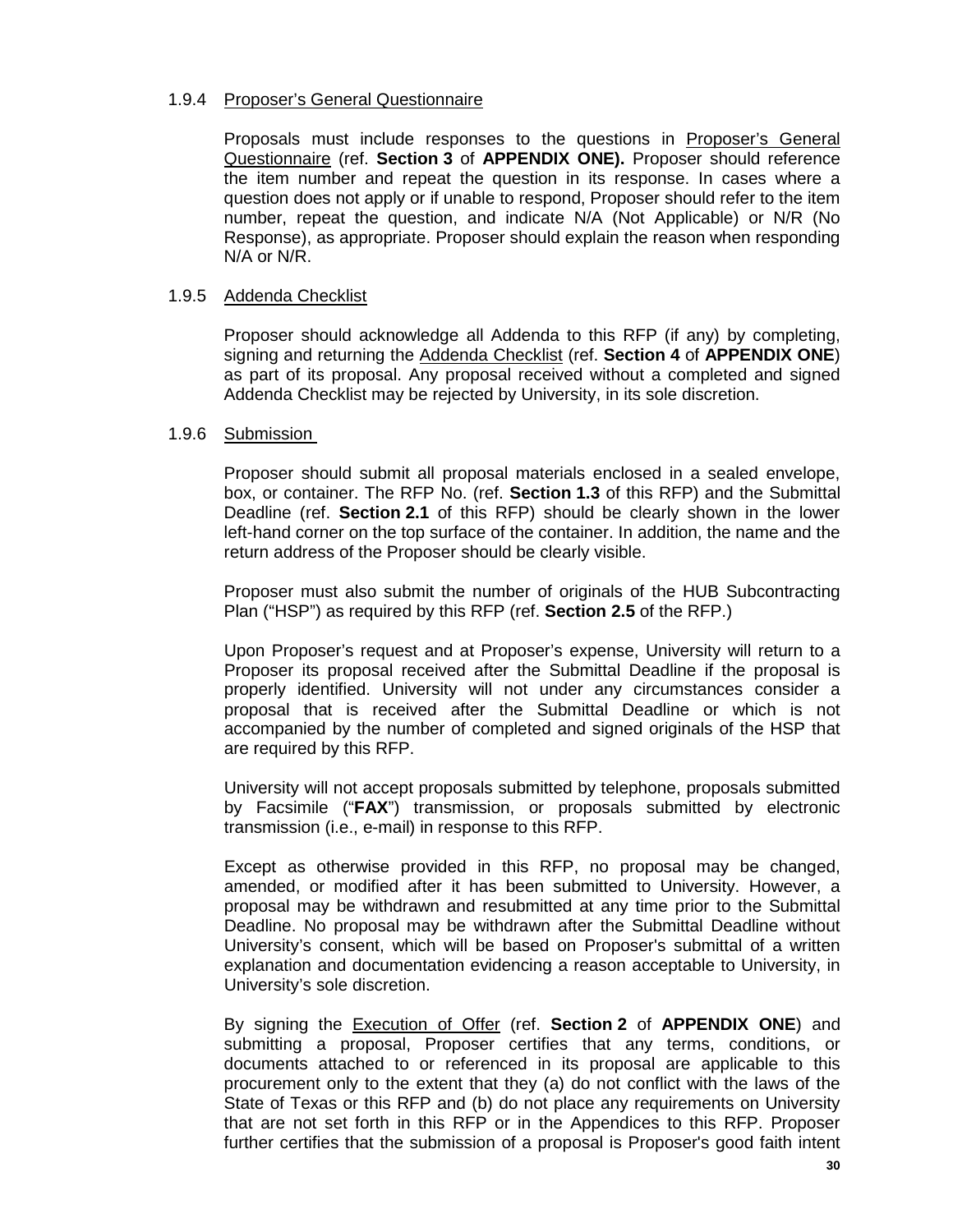#### 1.9.4 Proposer's General Questionnaire

Proposals must include responses to the questions in Proposer's General Questionnaire (ref. **Section 3** of **APPENDIX ONE).** Proposer should reference the item number and repeat the question in its response. In cases where a question does not apply or if unable to respond, Proposer should refer to the item number, repeat the question, and indicate N/A (Not Applicable) or N/R (No Response), as appropriate. Proposer should explain the reason when responding N/A or N/R.

#### 1.9.5 Addenda Checklist

Proposer should acknowledge all Addenda to this RFP (if any) by completing, signing and returning the Addenda Checklist (ref. **Section 4** of **APPENDIX ONE**) as part of its proposal. Any proposal received without a completed and signed Addenda Checklist may be rejected by University, in its sole discretion.

#### 1.9.6 Submission

Proposer should submit all proposal materials enclosed in a sealed envelope, box, or container. The RFP No. (ref. **Section 1.3** of this RFP) and the Submittal Deadline (ref. **Section 2.1** of this RFP) should be clearly shown in the lower left-hand corner on the top surface of the container. In addition, the name and the return address of the Proposer should be clearly visible.

Proposer must also submit the number of originals of the HUB Subcontracting Plan ("HSP") as required by this RFP (ref. **Section 2.5** of the RFP.)

Upon Proposer's request and at Proposer's expense, University will return to a Proposer its proposal received after the Submittal Deadline if the proposal is properly identified. University will not under any circumstances consider a proposal that is received after the Submittal Deadline or which is not accompanied by the number of completed and signed originals of the HSP that are required by this RFP.

University will not accept proposals submitted by telephone, proposals submitted by Facsimile ("**FAX**") transmission, or proposals submitted by electronic transmission (i.e., e-mail) in response to this RFP.

Except as otherwise provided in this RFP, no proposal may be changed, amended, or modified after it has been submitted to University. However, a proposal may be withdrawn and resubmitted at any time prior to the Submittal Deadline. No proposal may be withdrawn after the Submittal Deadline without University's consent, which will be based on Proposer's submittal of a written explanation and documentation evidencing a reason acceptable to University, in University's sole discretion.

By signing the Execution of Offer (ref. **Section 2** of **APPENDIX ONE**) and submitting a proposal, Proposer certifies that any terms, conditions, or documents attached to or referenced in its proposal are applicable to this procurement only to the extent that they (a) do not conflict with the laws of the State of Texas or this RFP and (b) do not place any requirements on University that are not set forth in this RFP or in the Appendices to this RFP. Proposer further certifies that the submission of a proposal is Proposer's good faith intent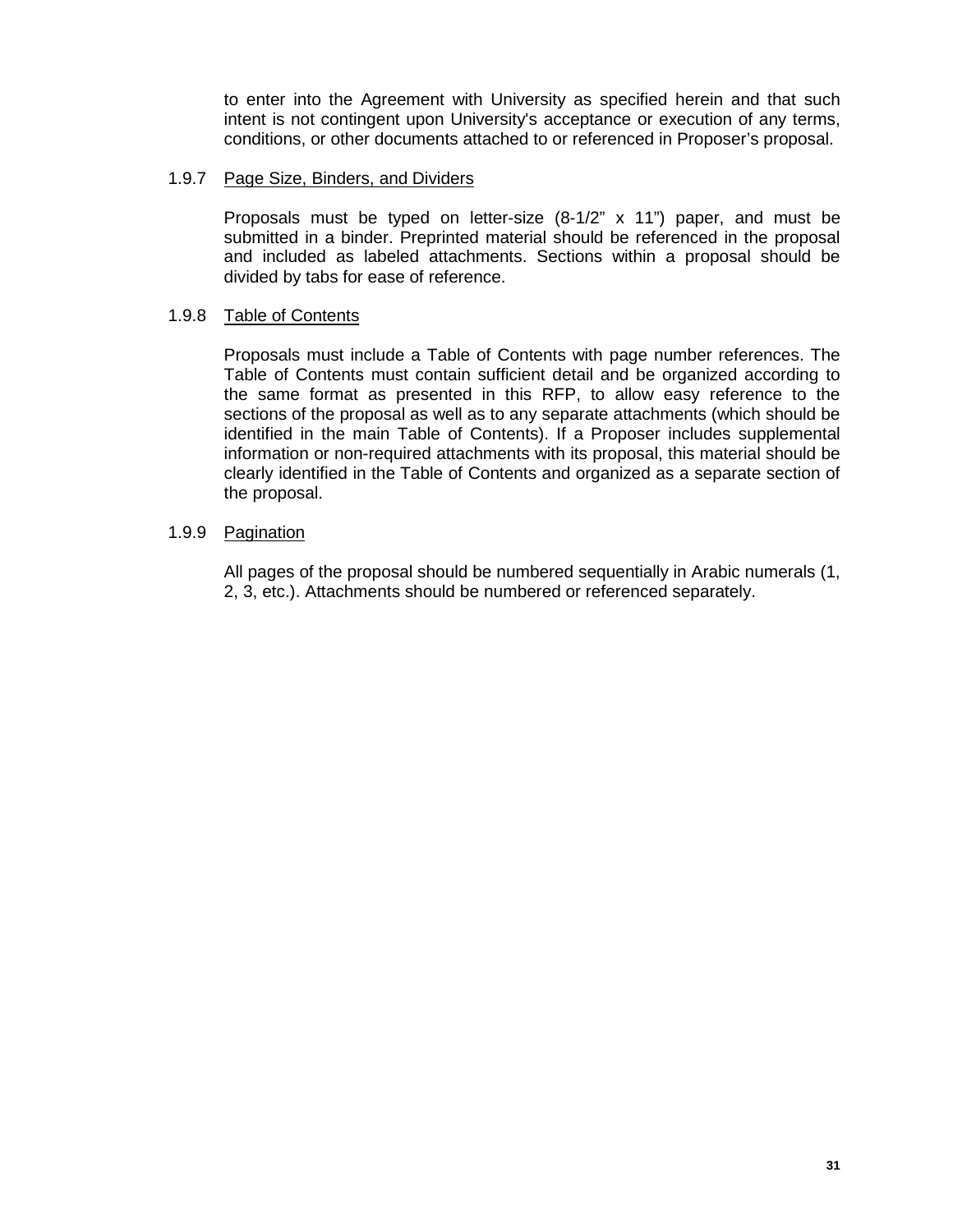to enter into the Agreement with University as specified herein and that such intent is not contingent upon University's acceptance or execution of any terms, conditions, or other documents attached to or referenced in Proposer's proposal.

#### 1.9.7 Page Size, Binders, and Dividers

Proposals must be typed on letter-size (8-1/2" x 11") paper, and must be submitted in a binder. Preprinted material should be referenced in the proposal and included as labeled attachments. Sections within a proposal should be divided by tabs for ease of reference.

# 1.9.8 Table of Contents

Proposals must include a Table of Contents with page number references. The Table of Contents must contain sufficient detail and be organized according to the same format as presented in this RFP, to allow easy reference to the sections of the proposal as well as to any separate attachments (which should be identified in the main Table of Contents). If a Proposer includes supplemental information or non-required attachments with its proposal, this material should be clearly identified in the Table of Contents and organized as a separate section of the proposal.

# 1.9.9 Pagination

All pages of the proposal should be numbered sequentially in Arabic numerals (1, 2, 3, etc.). Attachments should be numbered or referenced separately.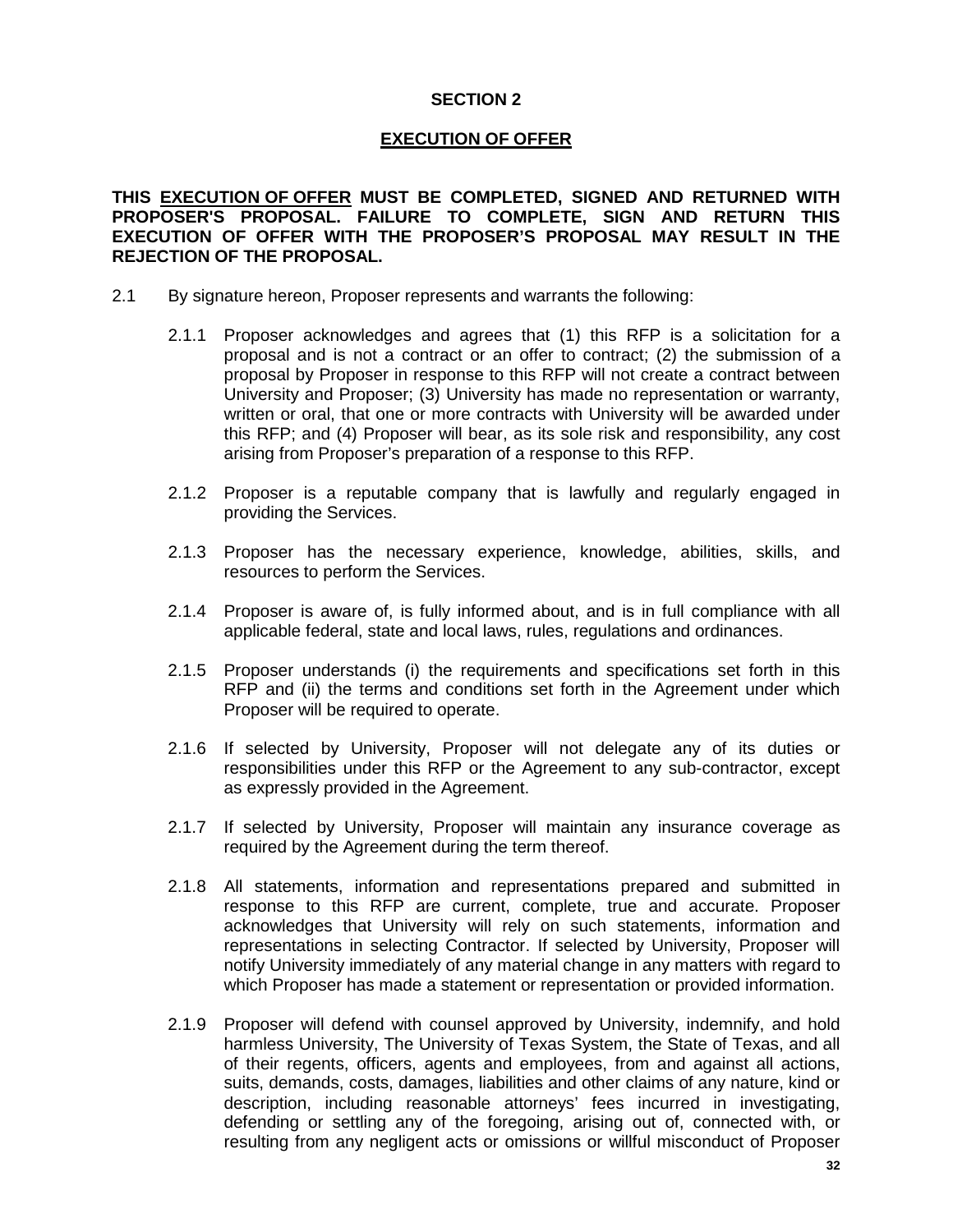# **SECTION 2**

# **EXECUTION OF OFFER**

**THIS EXECUTION OF OFFER MUST BE COMPLETED, SIGNED AND RETURNED WITH PROPOSER'S PROPOSAL. FAILURE TO COMPLETE, SIGN AND RETURN THIS EXECUTION OF OFFER WITH THE PROPOSER'S PROPOSAL MAY RESULT IN THE REJECTION OF THE PROPOSAL.**

- 2.1 By signature hereon, Proposer represents and warrants the following:
	- 2.1.1 Proposer acknowledges and agrees that (1) this RFP is a solicitation for a proposal and is not a contract or an offer to contract; (2) the submission of a proposal by Proposer in response to this RFP will not create a contract between University and Proposer; (3) University has made no representation or warranty, written or oral, that one or more contracts with University will be awarded under this RFP; and (4) Proposer will bear, as its sole risk and responsibility, any cost arising from Proposer's preparation of a response to this RFP.
	- 2.1.2 Proposer is a reputable company that is lawfully and regularly engaged in providing the Services.
	- 2.1.3 Proposer has the necessary experience, knowledge, abilities, skills, and resources to perform the Services.
	- 2.1.4 Proposer is aware of, is fully informed about, and is in full compliance with all applicable federal, state and local laws, rules, regulations and ordinances.
	- 2.1.5 Proposer understands (i) the requirements and specifications set forth in this RFP and (ii) the terms and conditions set forth in the Agreement under which Proposer will be required to operate.
	- 2.1.6 If selected by University, Proposer will not delegate any of its duties or responsibilities under this RFP or the Agreement to any sub-contractor, except as expressly provided in the Agreement.
	- 2.1.7 If selected by University, Proposer will maintain any insurance coverage as required by the Agreement during the term thereof.
	- 2.1.8 All statements, information and representations prepared and submitted in response to this RFP are current, complete, true and accurate. Proposer acknowledges that University will rely on such statements, information and representations in selecting Contractor. If selected by University, Proposer will notify University immediately of any material change in any matters with regard to which Proposer has made a statement or representation or provided information.
	- 2.1.9 Proposer will defend with counsel approved by University, indemnify, and hold harmless University, The University of Texas System, the State of Texas, and all of their regents, officers, agents and employees, from and against all actions, suits, demands, costs, damages, liabilities and other claims of any nature, kind or description, including reasonable attorneys' fees incurred in investigating, defending or settling any of the foregoing, arising out of, connected with, or resulting from any negligent acts or omissions or willful misconduct of Proposer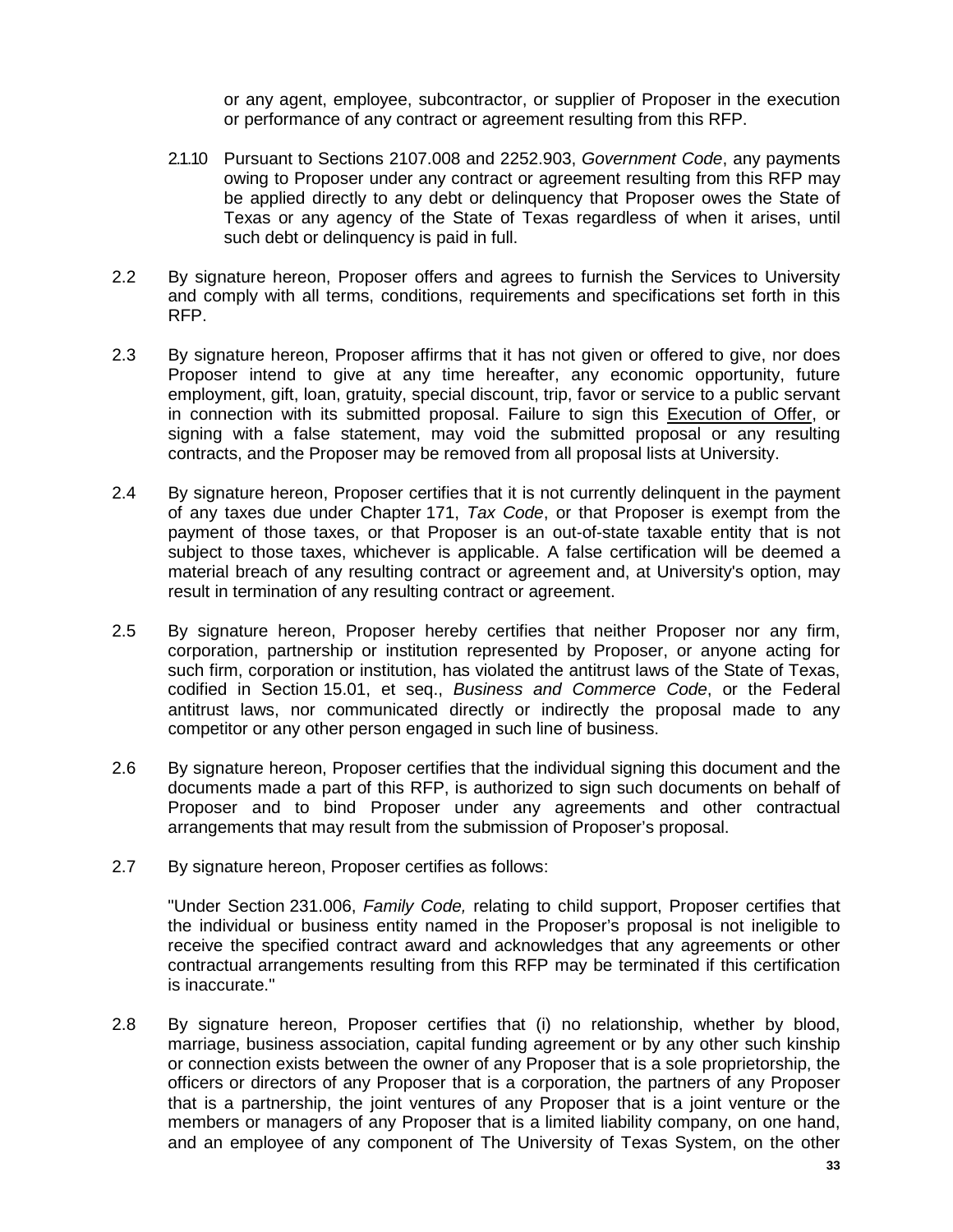or any agent, employee, subcontractor, or supplier of Proposer in the execution or performance of any contract or agreement resulting from this RFP.

- 2.1.10 Pursuant to Sections 2107.008 and 2252.903, *Government Code*, any payments owing to Proposer under any contract or agreement resulting from this RFP may be applied directly to any debt or delinquency that Proposer owes the State of Texas or any agency of the State of Texas regardless of when it arises, until such debt or delinquency is paid in full.
- 2.2 By signature hereon, Proposer offers and agrees to furnish the Services to University and comply with all terms, conditions, requirements and specifications set forth in this RFP.
- 2.3 By signature hereon, Proposer affirms that it has not given or offered to give, nor does Proposer intend to give at any time hereafter, any economic opportunity, future employment, gift, loan, gratuity, special discount, trip, favor or service to a public servant in connection with its submitted proposal. Failure to sign this Execution of Offer, or signing with a false statement, may void the submitted proposal or any resulting contracts, and the Proposer may be removed from all proposal lists at University.
- 2.4 By signature hereon, Proposer certifies that it is not currently delinquent in the payment of any taxes due under Chapter 171, *Tax Code*, or that Proposer is exempt from the payment of those taxes, or that Proposer is an out-of-state taxable entity that is not subject to those taxes, whichever is applicable. A false certification will be deemed a material breach of any resulting contract or agreement and, at University's option, may result in termination of any resulting contract or agreement.
- 2.5 By signature hereon, Proposer hereby certifies that neither Proposer nor any firm, corporation, partnership or institution represented by Proposer, or anyone acting for such firm, corporation or institution, has violated the antitrust laws of the State of Texas, codified in Section 15.01, et seq., *Business and Commerce Code*, or the Federal antitrust laws, nor communicated directly or indirectly the proposal made to any competitor or any other person engaged in such line of business.
- 2.6 By signature hereon, Proposer certifies that the individual signing this document and the documents made a part of this RFP, is authorized to sign such documents on behalf of Proposer and to bind Proposer under any agreements and other contractual arrangements that may result from the submission of Proposer's proposal.
- 2.7 By signature hereon, Proposer certifies as follows:

"Under Section 231.006, *Family Code,* relating to child support, Proposer certifies that the individual or business entity named in the Proposer's proposal is not ineligible to receive the specified contract award and acknowledges that any agreements or other contractual arrangements resulting from this RFP may be terminated if this certification is inaccurate."

2.8 By signature hereon, Proposer certifies that (i) no relationship, whether by blood, marriage, business association, capital funding agreement or by any other such kinship or connection exists between the owner of any Proposer that is a sole proprietorship, the officers or directors of any Proposer that is a corporation, the partners of any Proposer that is a partnership, the joint ventures of any Proposer that is a joint venture or the members or managers of any Proposer that is a limited liability company, on one hand, and an employee of any component of The University of Texas System, on the other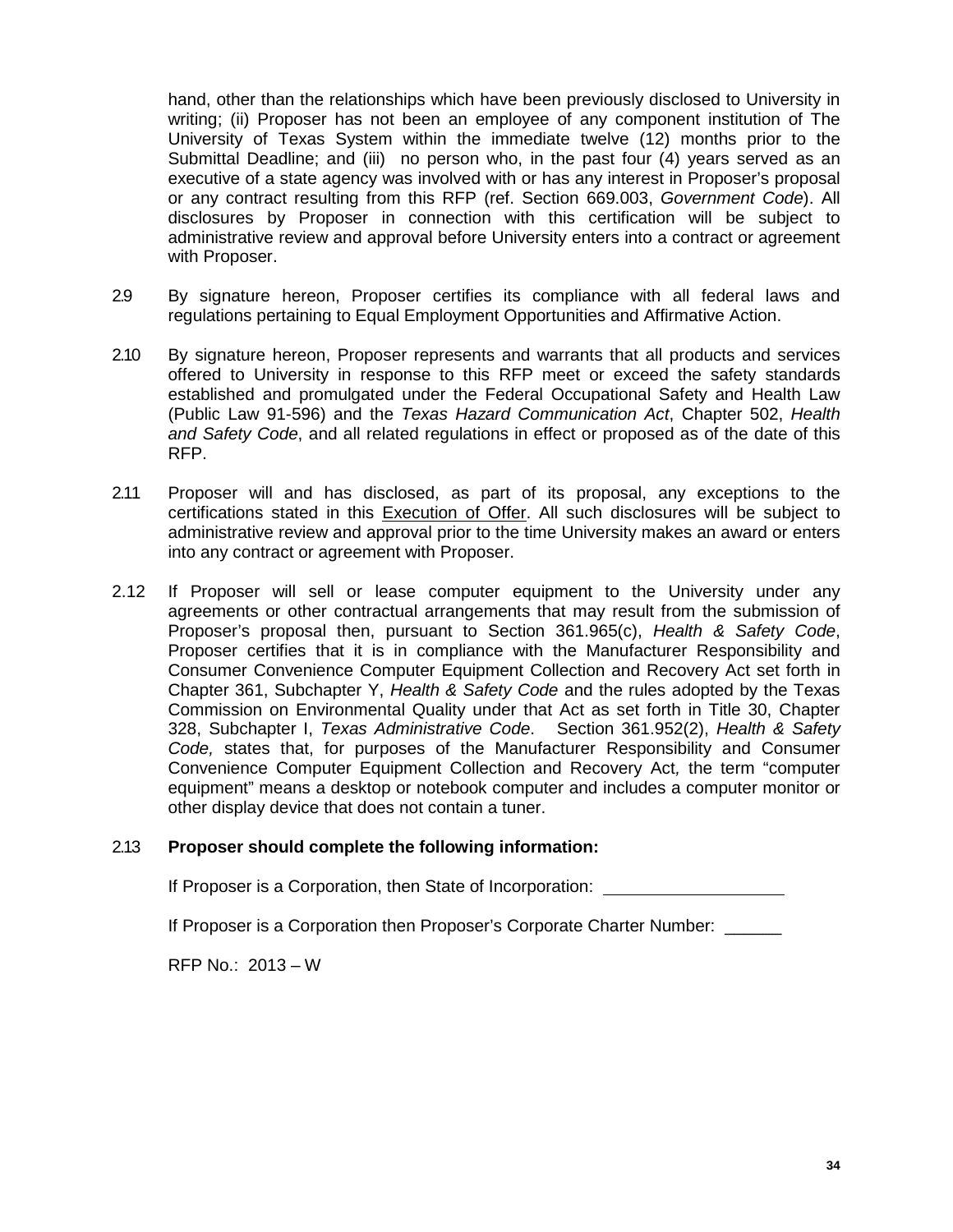hand, other than the relationships which have been previously disclosed to University in writing; (ii) Proposer has not been an employee of any component institution of The University of Texas System within the immediate twelve (12) months prior to the Submittal Deadline; and (iii) no person who, in the past four (4) years served as an executive of a state agency was involved with or has any interest in Proposer's proposal or any contract resulting from this RFP (ref. Section 669.003, *Government Code*). All disclosures by Proposer in connection with this certification will be subject to administrative review and approval before University enters into a contract or agreement with Proposer.

- 2.9 By signature hereon, Proposer certifies its compliance with all federal laws and regulations pertaining to Equal Employment Opportunities and Affirmative Action.
- 2.10 By signature hereon, Proposer represents and warrants that all products and services offered to University in response to this RFP meet or exceed the safety standards established and promulgated under the Federal Occupational Safety and Health Law (Public Law 91-596) and the *Texas Hazard Communication Act*, Chapter 502, *Health and Safety Code*, and all related regulations in effect or proposed as of the date of this RFP.
- 2.11 Proposer will and has disclosed, as part of its proposal, any exceptions to the certifications stated in this Execution of Offer. All such disclosures will be subject to administrative review and approval prior to the time University makes an award or enters into any contract or agreement with Proposer.
- 2.12 If Proposer will sell or lease computer equipment to the University under any agreements or other contractual arrangements that may result from the submission of Proposer's proposal then, pursuant to Section 361.965(c), *Health & Safety Code*, Proposer certifies that it is in compliance with the Manufacturer Responsibility and Consumer Convenience Computer Equipment Collection and Recovery Act set forth in Chapter 361, Subchapter Y, *Health & Safety Code* and the rules adopted by the Texas Commission on Environmental Quality under that Act as set forth in Title 30, Chapter 328, Subchapter I, *Texas Administrative Code*. Section 361.952(2), *Health & Safety Code,* states that, for purposes of the Manufacturer Responsibility and Consumer Convenience Computer Equipment Collection and Recovery Act*,* the term "computer equipment" means a desktop or notebook computer and includes a computer monitor or other display device that does not contain a tuner.

# 2.13 **Proposer should complete the following information:**

If Proposer is a Corporation, then State of Incorporation:

If Proposer is a Corporation then Proposer's Corporate Charter Number: \_\_\_\_\_\_

RFP No.: 2013 – W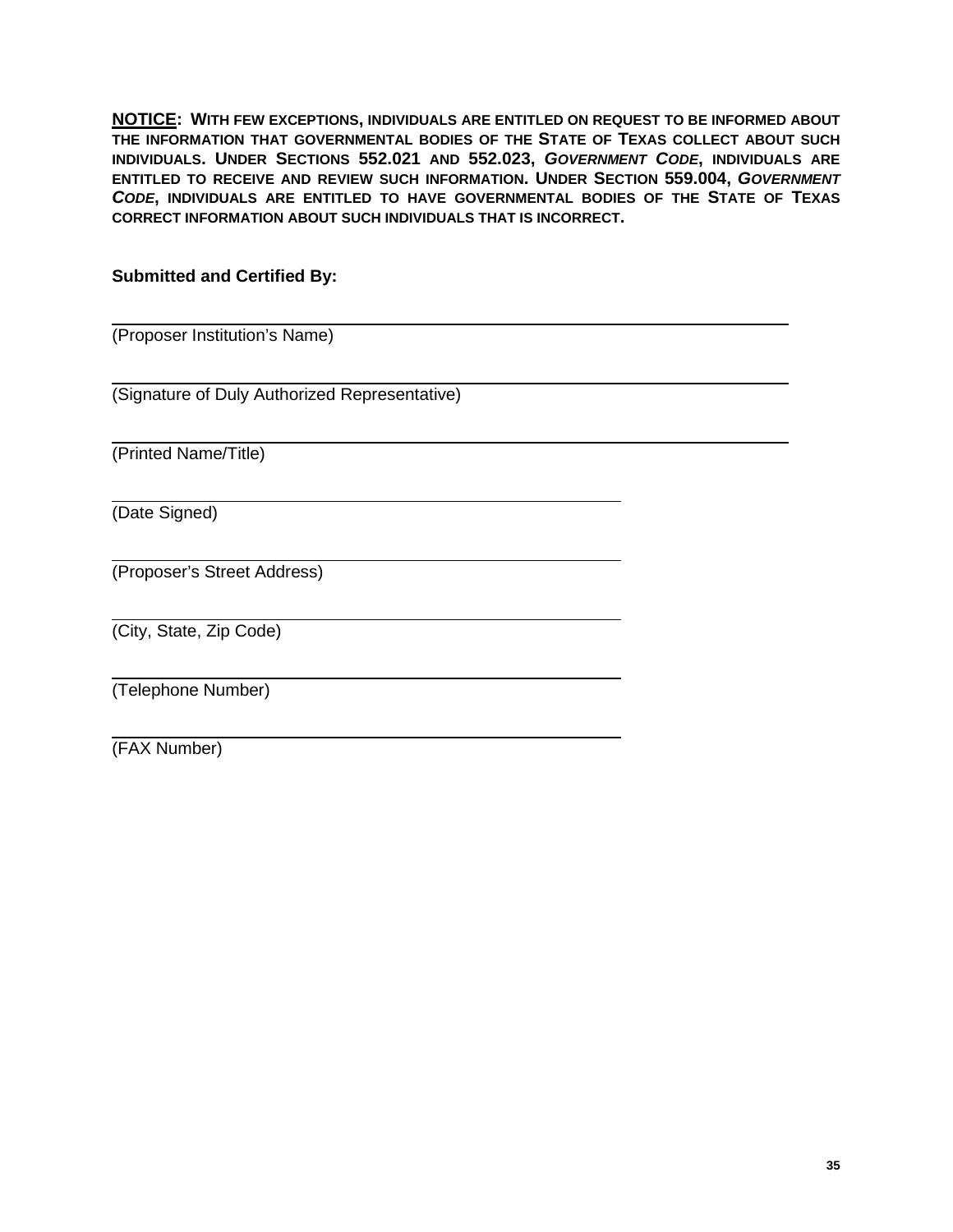**NOTICE: WITH FEW EXCEPTIONS, INDIVIDUALS ARE ENTITLED ON REQUEST TO BE INFORMED ABOUT THE INFORMATION THAT GOVERNMENTAL BODIES OF THE STATE OF TEXAS COLLECT ABOUT SUCH INDIVIDUALS. UNDER SECTIONS 552.021 AND 552.023,** *GOVERNMENT CODE***, INDIVIDUALS ARE ENTITLED TO RECEIVE AND REVIEW SUCH INFORMATION. UNDER SECTION 559.004,** *GOVERNMENT CODE***, INDIVIDUALS ARE ENTITLED TO HAVE GOVERNMENTAL BODIES OF THE STATE OF TEXAS CORRECT INFORMATION ABOUT SUCH INDIVIDUALS THAT IS INCORRECT.**

# **Submitted and Certified By:**

(Proposer Institution's Name)

(Signature of Duly Authorized Representative)

(Printed Name/Title)

(Date Signed)

(Proposer's Street Address)

(City, State, Zip Code)

(Telephone Number)

(FAX Number)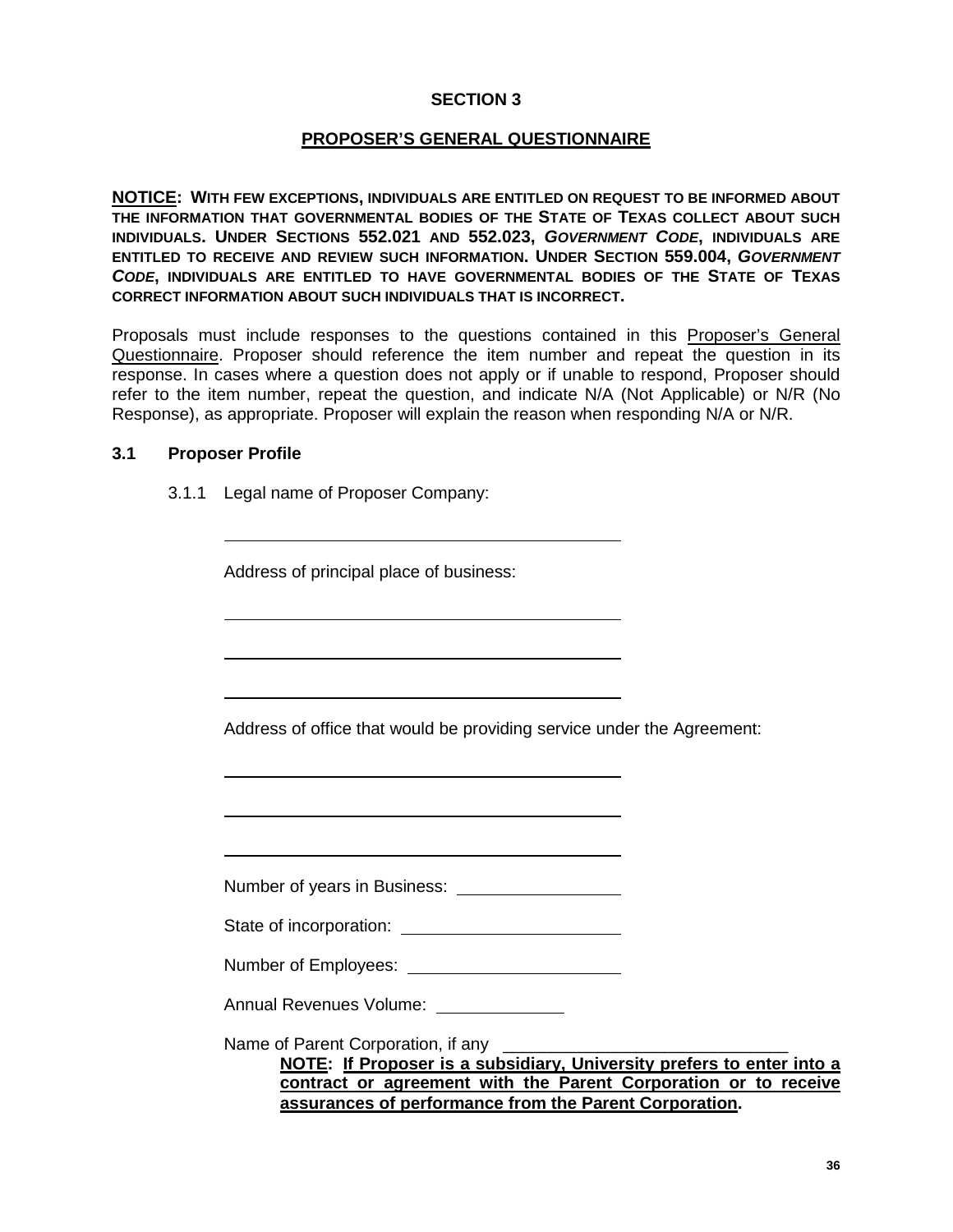# **SECTION 3**

#### **PROPOSER'S GENERAL QUESTIONNAIRE**

**NOTICE: WITH FEW EXCEPTIONS, INDIVIDUALS ARE ENTITLED ON REQUEST TO BE INFORMED ABOUT THE INFORMATION THAT GOVERNMENTAL BODIES OF THE STATE OF TEXAS COLLECT ABOUT SUCH INDIVIDUALS. UNDER SECTIONS 552.021 AND 552.023,** *GOVERNMENT CODE***, INDIVIDUALS ARE ENTITLED TO RECEIVE AND REVIEW SUCH INFORMATION. UNDER SECTION 559.004,** *GOVERNMENT CODE***, INDIVIDUALS ARE ENTITLED TO HAVE GOVERNMENTAL BODIES OF THE STATE OF TEXAS CORRECT INFORMATION ABOUT SUCH INDIVIDUALS THAT IS INCORRECT.**

Proposals must include responses to the questions contained in this Proposer's General Questionnaire. Proposer should reference the item number and repeat the question in its response. In cases where a question does not apply or if unable to respond, Proposer should refer to the item number, repeat the question, and indicate N/A (Not Applicable) or N/R (No Response), as appropriate. Proposer will explain the reason when responding N/A or N/R.

#### **3.1 Proposer Profile**

3.1.1 Legal name of Proposer Company:

| Address of principal place of business: |  |
|-----------------------------------------|--|
|-----------------------------------------|--|

Address of office that would be providing service under the Agreement:

Number of years in Business:

State of incorporation:

Number of Employees:

Annual Revenues Volume:

Name of Parent Corporation, if any

**NOTE: If Proposer is a subsidiary, University prefers to enter into a contract or agreement with the Parent Corporation or to receive assurances of performance from the Parent Corporation.**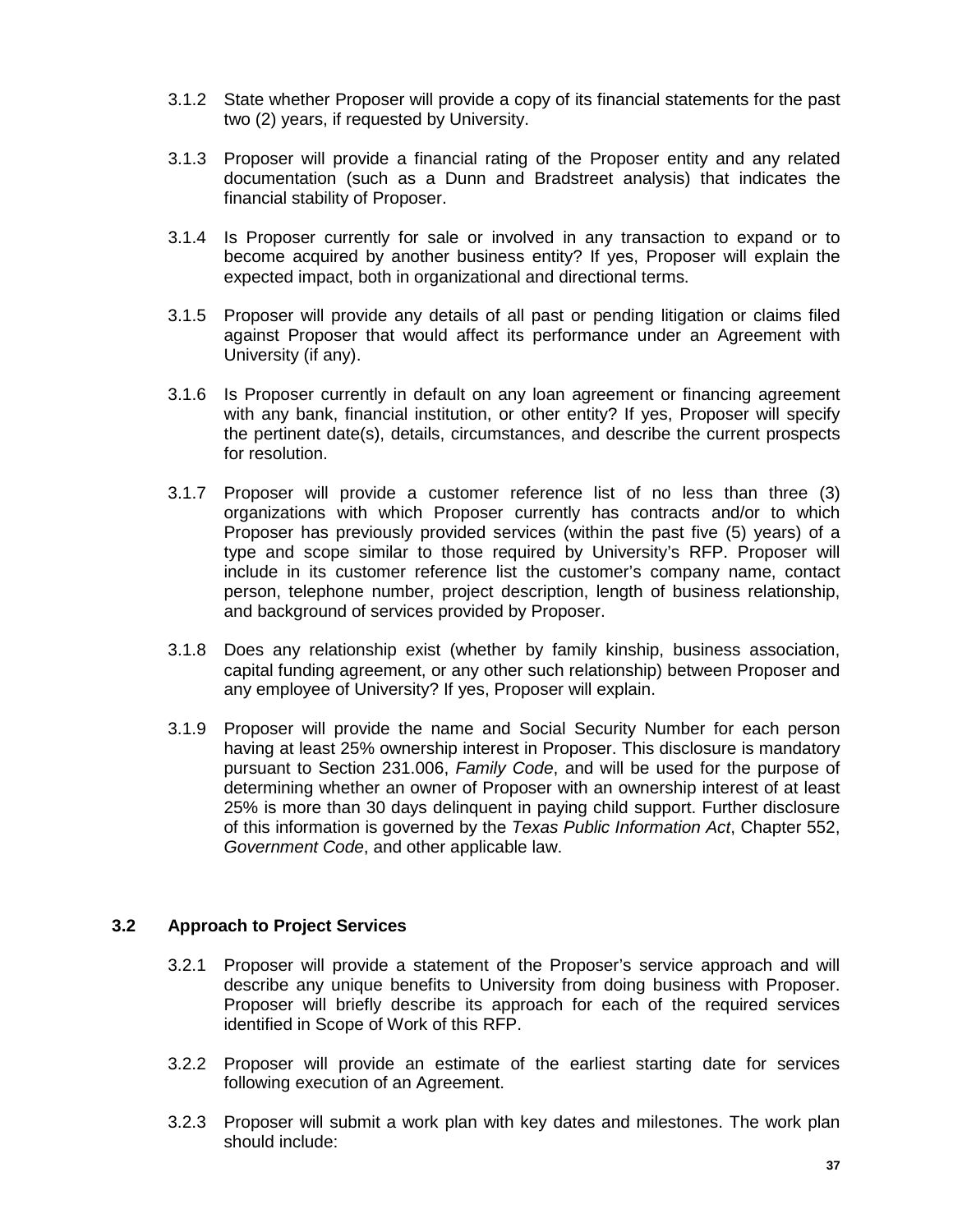- 3.1.2 State whether Proposer will provide a copy of its financial statements for the past two (2) years, if requested by University.
- 3.1.3 Proposer will provide a financial rating of the Proposer entity and any related documentation (such as a Dunn and Bradstreet analysis) that indicates the financial stability of Proposer.
- 3.1.4 Is Proposer currently for sale or involved in any transaction to expand or to become acquired by another business entity? If yes, Proposer will explain the expected impact, both in organizational and directional terms.
- 3.1.5 Proposer will provide any details of all past or pending litigation or claims filed against Proposer that would affect its performance under an Agreement with University (if any).
- 3.1.6 Is Proposer currently in default on any loan agreement or financing agreement with any bank, financial institution, or other entity? If yes, Proposer will specify the pertinent date(s), details, circumstances, and describe the current prospects for resolution.
- 3.1.7 Proposer will provide a customer reference list of no less than three (3) organizations with which Proposer currently has contracts and/or to which Proposer has previously provided services (within the past five (5) years) of a type and scope similar to those required by University's RFP. Proposer will include in its customer reference list the customer's company name, contact person, telephone number, project description, length of business relationship, and background of services provided by Proposer.
- 3.1.8 Does any relationship exist (whether by family kinship, business association, capital funding agreement, or any other such relationship) between Proposer and any employee of University? If yes, Proposer will explain.
- 3.1.9 Proposer will provide the name and Social Security Number for each person having at least 25% ownership interest in Proposer. This disclosure is mandatory pursuant to Section 231.006, *Family Code*, and will be used for the purpose of determining whether an owner of Proposer with an ownership interest of at least 25% is more than 30 days delinquent in paying child support. Further disclosure of this information is governed by the *Texas Public Information Act*, Chapter 552, *Government Code*, and other applicable law.

# **3.2 Approach to Project Services**

- 3.2.1 Proposer will provide a statement of the Proposer's service approach and will describe any unique benefits to University from doing business with Proposer. Proposer will briefly describe its approach for each of the required services identified in Scope of Work of this RFP.
- 3.2.2 Proposer will provide an estimate of the earliest starting date for services following execution of an Agreement.
- 3.2.3 Proposer will submit a work plan with key dates and milestones. The work plan should include: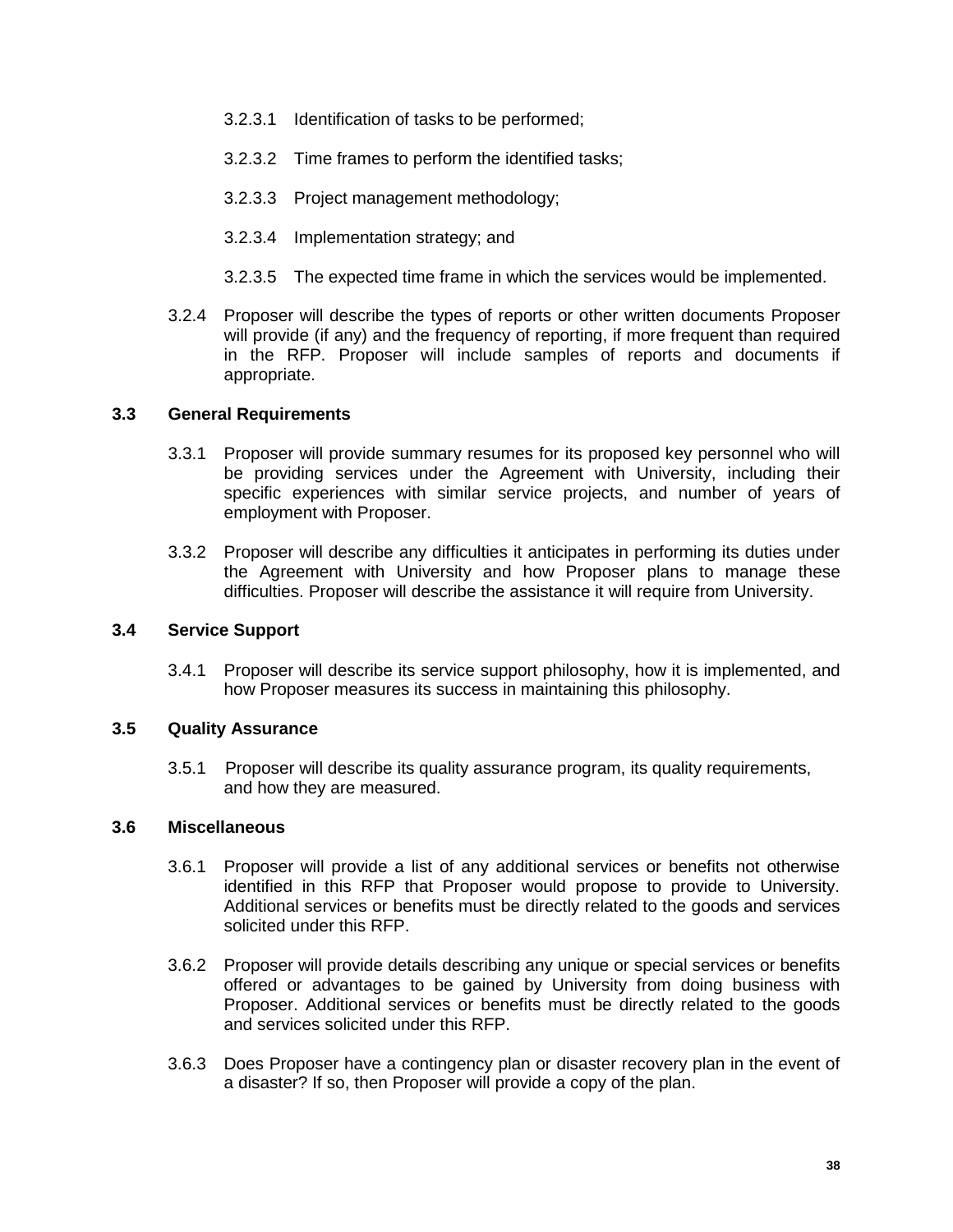- 3.2.3.1 Identification of tasks to be performed;
- 3.2.3.2 Time frames to perform the identified tasks;
- 3.2.3.3 Project management methodology;
- 3.2.3.4 Implementation strategy; and
- 3.2.3.5 The expected time frame in which the services would be implemented.
- 3.2.4 Proposer will describe the types of reports or other written documents Proposer will provide (if any) and the frequency of reporting, if more frequent than required in the RFP. Proposer will include samples of reports and documents if appropriate.

# **3.3 General Requirements**

- 3.3.1 Proposer will provide summary resumes for its proposed key personnel who will be providing services under the Agreement with University, including their specific experiences with similar service projects, and number of years of employment with Proposer.
- 3.3.2 Proposer will describe any difficulties it anticipates in performing its duties under the Agreement with University and how Proposer plans to manage these difficulties. Proposer will describe the assistance it will require from University.

#### **3.4 Service Support**

3.4.1 Proposer will describe its service support philosophy, how it is implemented, and how Proposer measures its success in maintaining this philosophy.

# **3.5 Quality Assurance**

3.5.1 Proposer will describe its quality assurance program, its quality requirements, and how they are measured.

#### **3.6 Miscellaneous**

- 3.6.1 Proposer will provide a list of any additional services or benefits not otherwise identified in this RFP that Proposer would propose to provide to University. Additional services or benefits must be directly related to the goods and services solicited under this RFP.
- 3.6.2 Proposer will provide details describing any unique or special services or benefits offered or advantages to be gained by University from doing business with Proposer. Additional services or benefits must be directly related to the goods and services solicited under this RFP.
- 3.6.3 Does Proposer have a contingency plan or disaster recovery plan in the event of a disaster? If so, then Proposer will provide a copy of the plan.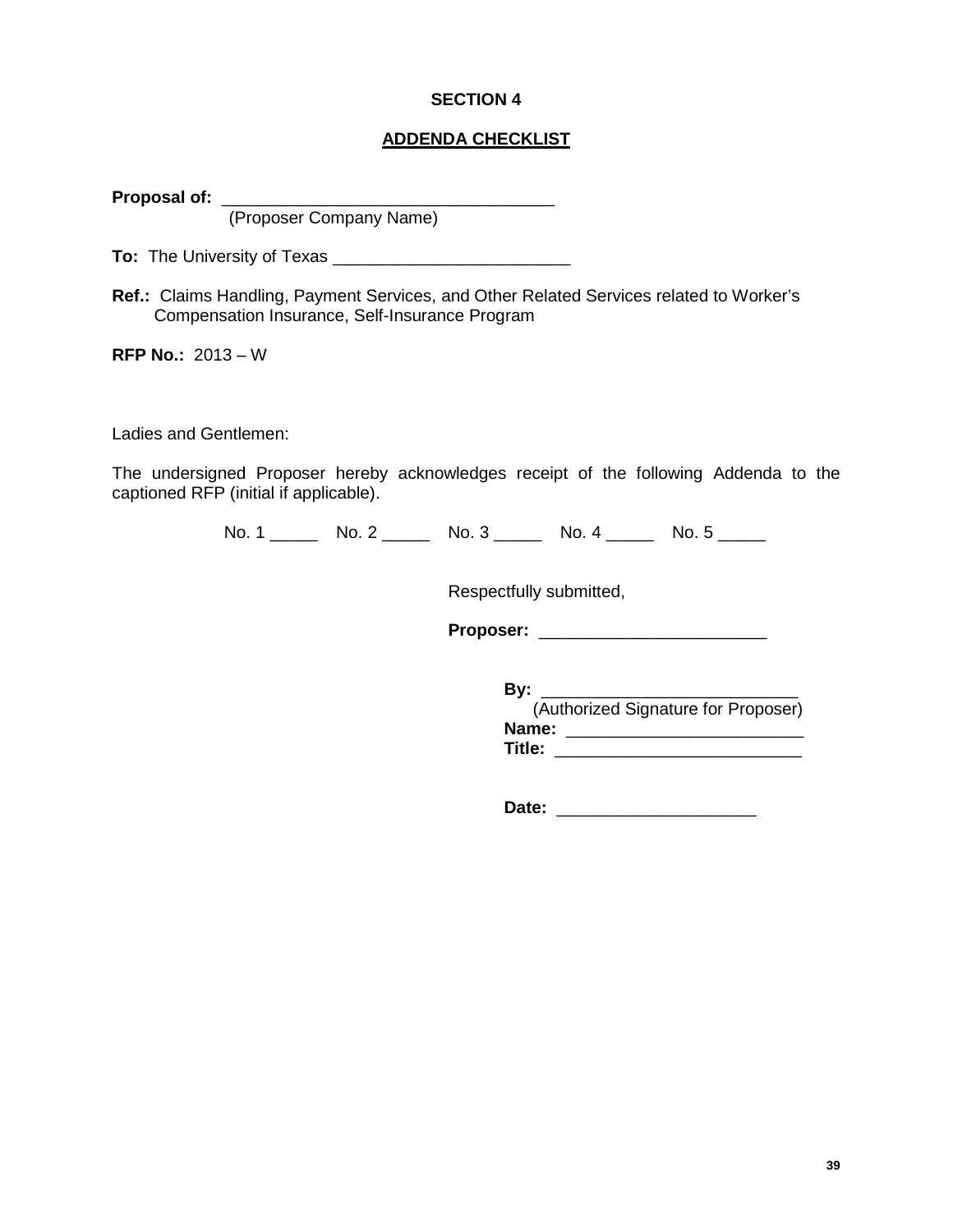# **SECTION 4**

# **ADDENDA CHECKLIST**

**Proposal of:** \_\_\_\_\_\_\_\_\_\_\_\_\_\_\_\_\_\_\_\_\_\_\_\_\_\_\_\_\_\_\_\_\_\_\_

(Proposer Company Name)

**To:** The University of Texas \_\_\_\_\_\_\_\_\_\_\_\_\_\_\_\_\_\_\_\_\_\_\_\_\_

**Ref.:** Claims Handling, Payment Services, and Other Related Services related to Worker's Compensation Insurance, Self-Insurance Program

**RFP No.:** 2013 – W

Ladies and Gentlemen:

The undersigned Proposer hereby acknowledges receipt of the following Addenda to the captioned RFP (initial if applicable).

No. 1 \_\_\_\_\_\_ No. 2 \_\_\_\_\_ No. 3 \_\_\_\_\_ No. 4 \_\_\_\_\_ No. 5 \_\_\_\_\_

Respectfully submitted,

**Proposer:** \_\_\_\_\_\_\_\_\_\_\_\_\_\_\_\_\_\_\_\_\_\_\_\_

**By:** \_\_\_\_\_\_\_\_\_\_\_\_\_\_\_\_\_\_\_\_\_\_\_\_\_\_\_ (Authorized Signature for Proposer) **Name:** \_\_\_\_\_\_\_\_\_\_\_\_\_\_\_\_\_\_\_\_\_\_\_\_\_ **Title:** \_\_\_\_\_\_\_\_\_\_\_\_\_\_\_\_\_\_\_\_\_\_\_\_\_\_

**Date:** \_\_\_\_\_\_\_\_\_\_\_\_\_\_\_\_\_\_\_\_\_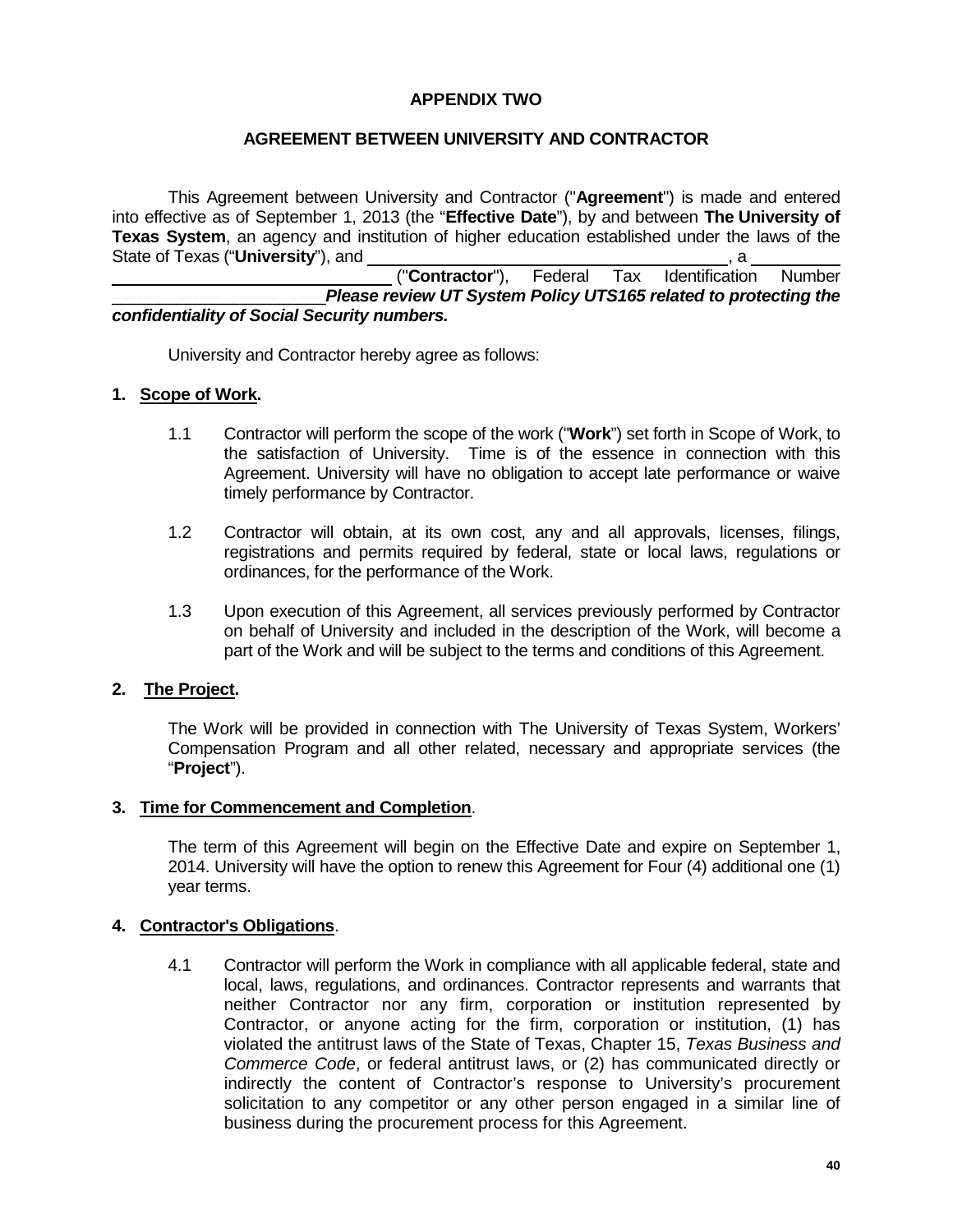# **APPENDIX TWO**

# **AGREEMENT BETWEEN UNIVERSITY AND CONTRACTOR**

This Agreement between University and Contractor ("**Agreement**") is made and entered into effective as of September 1, 2013 (the "**Effective Date**"), by and between **The University of Texas System**, an agency and institution of higher education established under the laws of the State of Texas ("**University**"), and

("**Contractor**"), Federal Tax Identification Number \_\_\_\_\_\_\_\_\_\_\_\_\_\_\_\_\_\_\_\_\_\_\_*Please review UT System Policy UTS165 related to protecting the confidentiality of Social Security numbers.*

University and Contractor hereby agree as follows:

# **1. Scope of Work.**

- 1.1 Contractor will perform the scope of the work ("**Work**") set forth in Scope of Work, to the satisfaction of University. Time is of the essence in connection with this Agreement. University will have no obligation to accept late performance or waive timely performance by Contractor.
- 1.2 Contractor will obtain, at its own cost, any and all approvals, licenses, filings, registrations and permits required by federal, state or local laws, regulations or ordinances, for the performance of the Work.
- 1.3 Upon execution of this Agreement, all services previously performed by Contractor on behalf of University and included in the description of the Work, will become a part of the Work and will be subject to the terms and conditions of this Agreement.

# **2. The Project.**

The Work will be provided in connection with The University of Texas System, Workers' Compensation Program and all other related, necessary and appropriate services (the "**Project**").

#### **3. Time for Commencement and Completion**.

The term of this Agreement will begin on the Effective Date and expire on September 1, 2014. University will have the option to renew this Agreement for Four (4) additional one (1) year terms.

# **4. Contractor's Obligations**.

4.1 Contractor will perform the Work in compliance with all applicable federal, state and local, laws, regulations, and ordinances. Contractor represents and warrants that neither Contractor nor any firm, corporation or institution represented by Contractor, or anyone acting for the firm, corporation or institution, (1) has violated the antitrust laws of the State of Texas, Chapter 15, *Texas Business and Commerce Code*, or federal antitrust laws, or (2) has communicated directly or indirectly the content of Contractor's response to University's procurement solicitation to any competitor or any other person engaged in a similar line of business during the procurement process for this Agreement.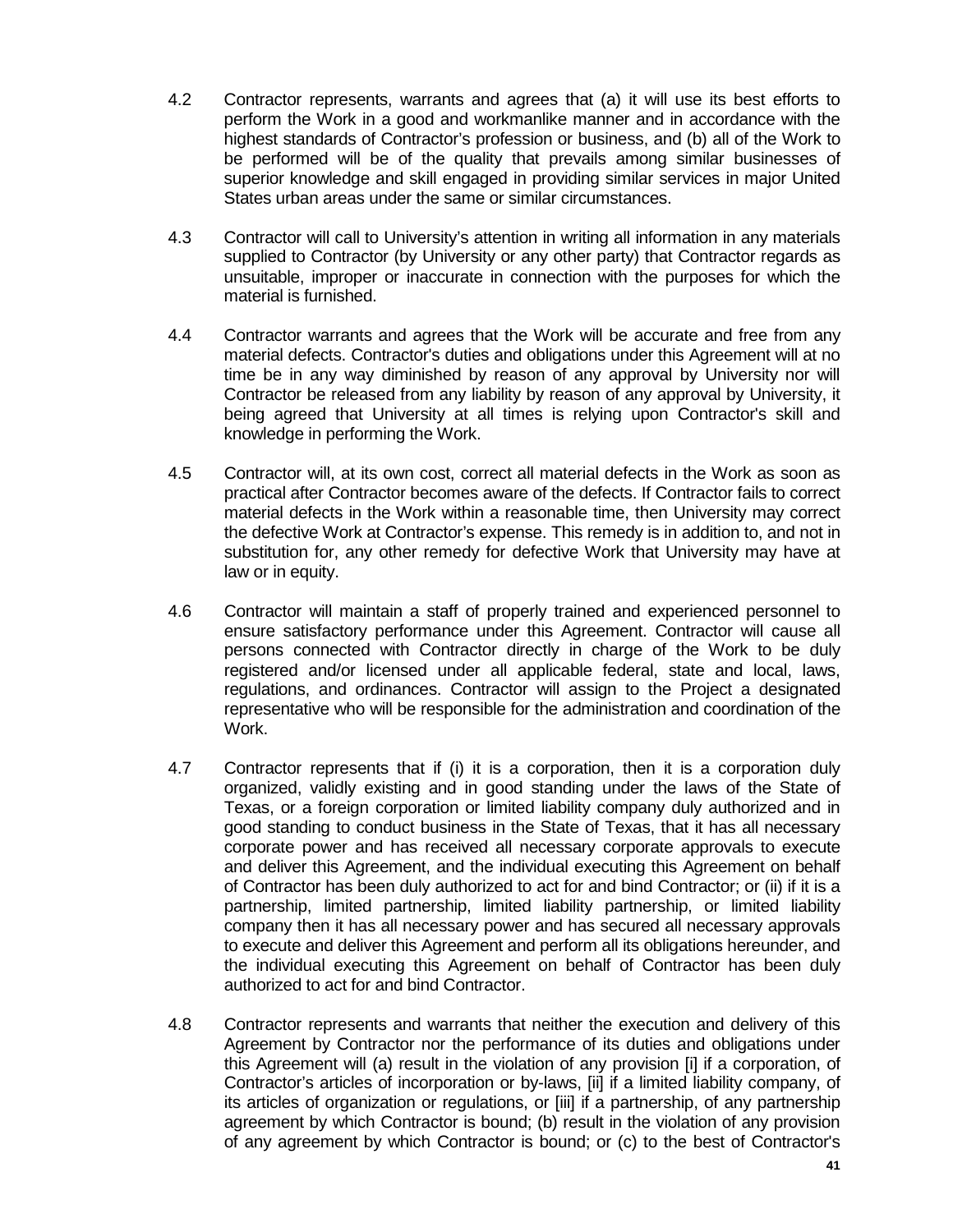- 4.2 Contractor represents, warrants and agrees that (a) it will use its best efforts to perform the Work in a good and workmanlike manner and in accordance with the highest standards of Contractor's profession or business, and (b) all of the Work to be performed will be of the quality that prevails among similar businesses of superior knowledge and skill engaged in providing similar services in major United States urban areas under the same or similar circumstances.
- 4.3 Contractor will call to University's attention in writing all information in any materials supplied to Contractor (by University or any other party) that Contractor regards as unsuitable, improper or inaccurate in connection with the purposes for which the material is furnished.
- 4.4 Contractor warrants and agrees that the Work will be accurate and free from any material defects. Contractor's duties and obligations under this Agreement will at no time be in any way diminished by reason of any approval by University nor will Contractor be released from any liability by reason of any approval by University, it being agreed that University at all times is relying upon Contractor's skill and knowledge in performing the Work.
- 4.5 Contractor will, at its own cost, correct all material defects in the Work as soon as practical after Contractor becomes aware of the defects. If Contractor fails to correct material defects in the Work within a reasonable time, then University may correct the defective Work at Contractor's expense. This remedy is in addition to, and not in substitution for, any other remedy for defective Work that University may have at law or in equity.
- 4.6 Contractor will maintain a staff of properly trained and experienced personnel to ensure satisfactory performance under this Agreement. Contractor will cause all persons connected with Contractor directly in charge of the Work to be duly registered and/or licensed under all applicable federal, state and local, laws, regulations, and ordinances. Contractor will assign to the Project a designated representative who will be responsible for the administration and coordination of the Work.
- 4.7 Contractor represents that if (i) it is a corporation, then it is a corporation duly organized, validly existing and in good standing under the laws of the State of Texas, or a foreign corporation or limited liability company duly authorized and in good standing to conduct business in the State of Texas, that it has all necessary corporate power and has received all necessary corporate approvals to execute and deliver this Agreement, and the individual executing this Agreement on behalf of Contractor has been duly authorized to act for and bind Contractor; or (ii) if it is a partnership, limited partnership, limited liability partnership, or limited liability company then it has all necessary power and has secured all necessary approvals to execute and deliver this Agreement and perform all its obligations hereunder, and the individual executing this Agreement on behalf of Contractor has been duly authorized to act for and bind Contractor.
- 4.8 Contractor represents and warrants that neither the execution and delivery of this Agreement by Contractor nor the performance of its duties and obligations under this Agreement will (a) result in the violation of any provision [i] if a corporation, of Contractor's articles of incorporation or by-laws, [ii] if a limited liability company, of its articles of organization or regulations, or [iii] if a partnership, of any partnership agreement by which Contractor is bound; (b) result in the violation of any provision of any agreement by which Contractor is bound; or (c) to the best of Contractor's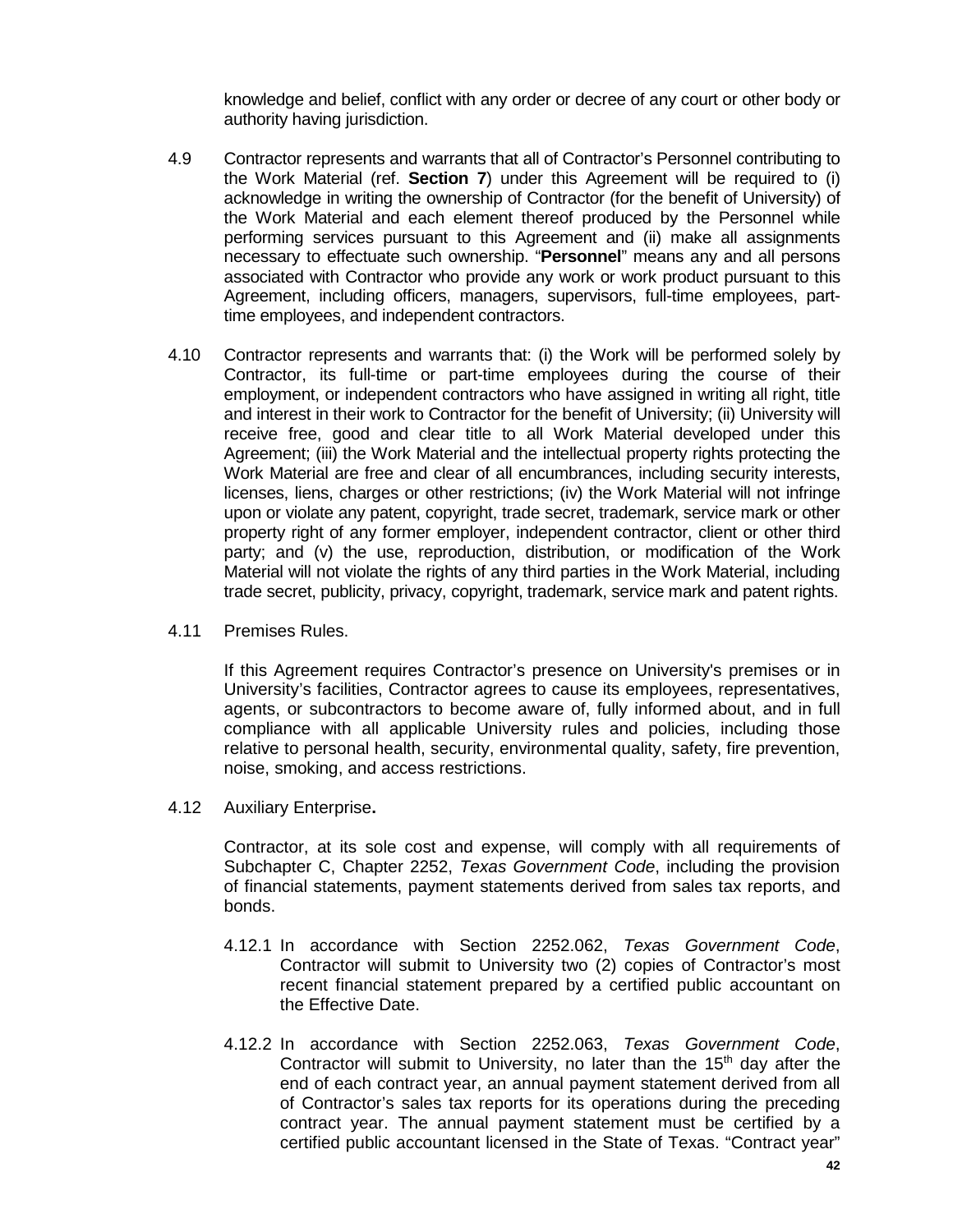knowledge and belief, conflict with any order or decree of any court or other body or authority having jurisdiction.

- 4.9 Contractor represents and warrants that all of Contractor's Personnel contributing to the Work Material (ref. **Section 7**) under this Agreement will be required to (i) acknowledge in writing the ownership of Contractor (for the benefit of University) of the Work Material and each element thereof produced by the Personnel while performing services pursuant to this Agreement and (ii) make all assignments necessary to effectuate such ownership. "**Personnel**" means any and all persons associated with Contractor who provide any work or work product pursuant to this Agreement, including officers, managers, supervisors, full-time employees, parttime employees, and independent contractors.
- 4.10 Contractor represents and warrants that: (i) the Work will be performed solely by Contractor, its full-time or part-time employees during the course of their employment, or independent contractors who have assigned in writing all right, title and interest in their work to Contractor for the benefit of University; (ii) University will receive free, good and clear title to all Work Material developed under this Agreement; (iii) the Work Material and the intellectual property rights protecting the Work Material are free and clear of all encumbrances, including security interests, licenses, liens, charges or other restrictions; (iv) the Work Material will not infringe upon or violate any patent, copyright, trade secret, trademark, service mark or other property right of any former employer, independent contractor, client or other third party; and (v) the use, reproduction, distribution, or modification of the Work Material will not violate the rights of any third parties in the Work Material, including trade secret, publicity, privacy, copyright, trademark, service mark and patent rights.
- 4.11 Premises Rules.

If this Agreement requires Contractor's presence on University's premises or in University's facilities, Contractor agrees to cause its employees, representatives, agents, or subcontractors to become aware of, fully informed about, and in full compliance with all applicable University rules and policies, including those relative to personal health, security, environmental quality, safety, fire prevention, noise, smoking, and access restrictions.

4.12 Auxiliary Enterprise**.**

Contractor, at its sole cost and expense, will comply with all requirements of Subchapter C, Chapter 2252, *Texas Government Code*, including the provision of financial statements, payment statements derived from sales tax reports, and bonds.

- 4.12.1 In accordance with Section 2252.062, *Texas Government Code*, Contractor will submit to University two (2) copies of Contractor's most recent financial statement prepared by a certified public accountant on the Effective Date.
- 4.12.2 In accordance with Section 2252.063, *Texas Government Code*, Contractor will submit to University, no later than the  $15<sup>th</sup>$  day after the end of each contract year, an annual payment statement derived from all of Contractor's sales tax reports for its operations during the preceding contract year. The annual payment statement must be certified by a certified public accountant licensed in the State of Texas. "Contract year"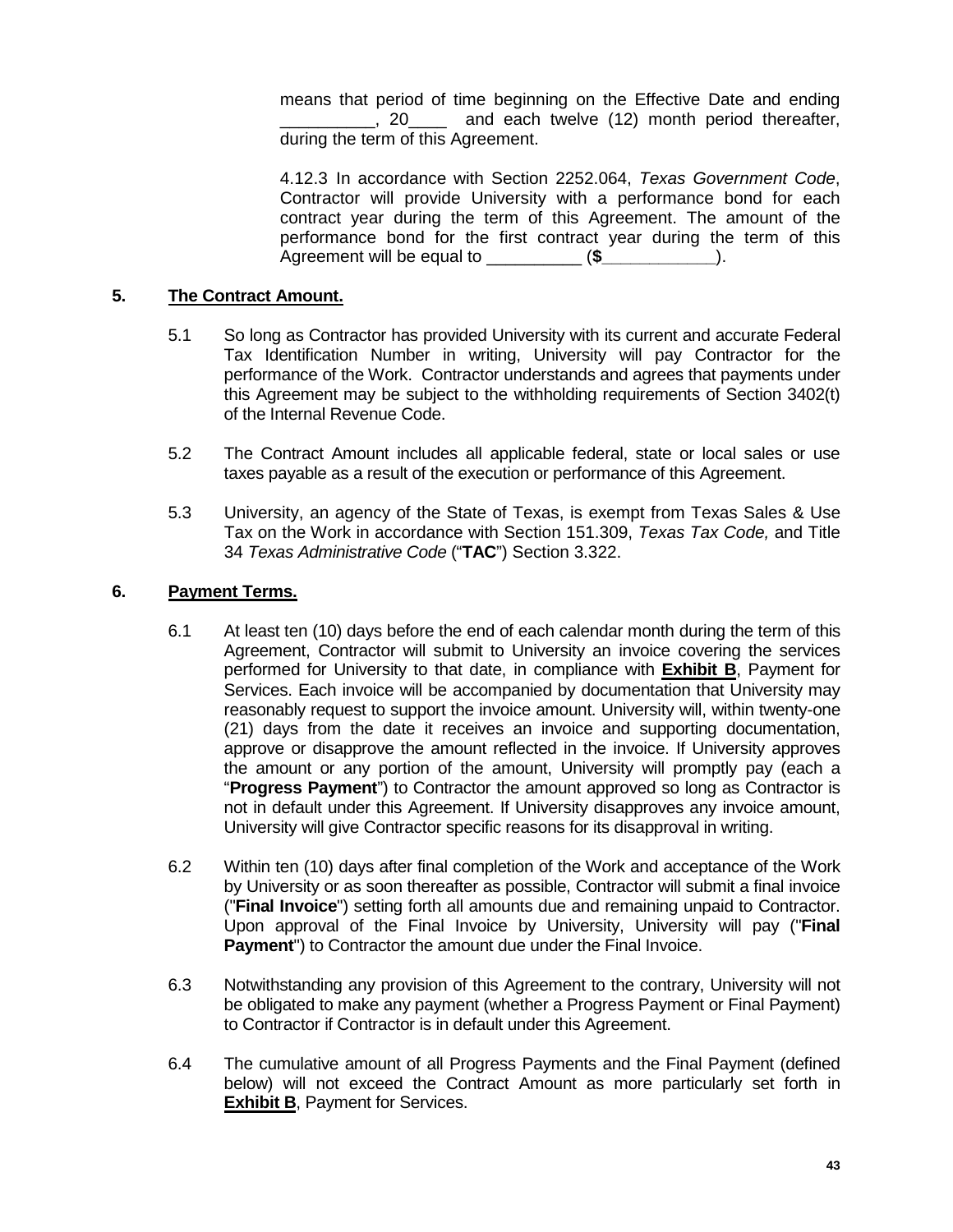means that period of time beginning on the Effective Date and ending \_\_\_\_\_\_\_\_\_\_, 20\_\_\_\_ and each twelve (12) month period thereafter, during the term of this Agreement.

4.12.3 In accordance with Section 2252.064, *Texas Government Code*, Contractor will provide University with a performance bond for each contract year during the term of this Agreement. The amount of the performance bond for the first contract year during the term of this Agreement will be equal to  $(\text{$\bullet$})$ .

# **5. The Contract Amount.**

- 5.1 So long as Contractor has provided University with its current and accurate Federal Tax Identification Number in writing, University will pay Contractor for the performance of the Work. Contractor understands and agrees that payments under this Agreement may be subject to the withholding requirements of Section 3402(t) of the Internal Revenue Code.
- 5.2 The Contract Amount includes all applicable federal, state or local sales or use taxes payable as a result of the execution or performance of this Agreement.
- 5.3 University, an agency of the State of Texas, is exempt from Texas Sales & Use Tax on the Work in accordance with Section 151.309, *Texas Tax Code,* and Title 34 *Texas Administrative Code* ("**TAC**") Section 3.322.

# **6. Payment Terms.**

- 6.1 At least ten (10) days before the end of each calendar month during the term of this Agreement, Contractor will submit to University an invoice covering the services performed for University to that date, in compliance with **Exhibit B**, Payment for Services. Each invoice will be accompanied by documentation that University may reasonably request to support the invoice amount. University will, within twenty-one (21) days from the date it receives an invoice and supporting documentation, approve or disapprove the amount reflected in the invoice. If University approves the amount or any portion of the amount, University will promptly pay (each a "**Progress Payment**") to Contractor the amount approved so long as Contractor is not in default under this Agreement. If University disapproves any invoice amount, University will give Contractor specific reasons for its disapproval in writing.
- 6.2 Within ten (10) days after final completion of the Work and acceptance of the Work by University or as soon thereafter as possible, Contractor will submit a final invoice ("**Final Invoice**") setting forth all amounts due and remaining unpaid to Contractor. Upon approval of the Final Invoice by University, University will pay ("**Final Payment**") to Contractor the amount due under the Final Invoice.
- 6.3 Notwithstanding any provision of this Agreement to the contrary, University will not be obligated to make any payment (whether a Progress Payment or Final Payment) to Contractor if Contractor is in default under this Agreement.
- 6.4 The cumulative amount of all Progress Payments and the Final Payment (defined below) will not exceed the Contract Amount as more particularly set forth in **Exhibit B**, Payment for Services.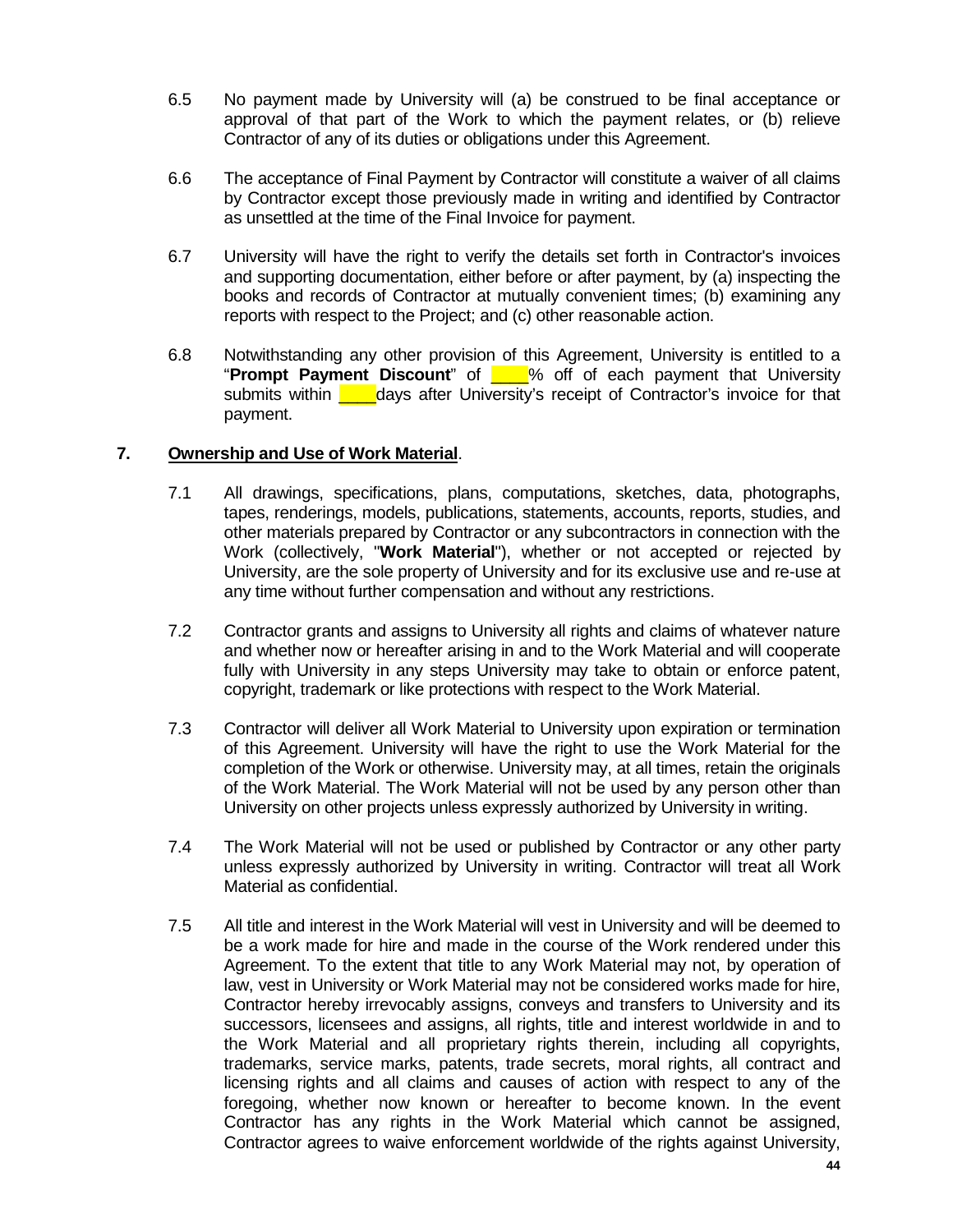- 6.5 No payment made by University will (a) be construed to be final acceptance or approval of that part of the Work to which the payment relates, or (b) relieve Contractor of any of its duties or obligations under this Agreement.
- 6.6 The acceptance of Final Payment by Contractor will constitute a waiver of all claims by Contractor except those previously made in writing and identified by Contractor as unsettled at the time of the Final Invoice for payment.
- 6.7 University will have the right to verify the details set forth in Contractor's invoices and supporting documentation, either before or after payment, by (a) inspecting the books and records of Contractor at mutually convenient times; (b) examining any reports with respect to the Project; and (c) other reasonable action.
- 6.8 Notwithstanding any other provision of this Agreement, University is entitled to a "**Prompt Payment Discount**" of \_\_\_\_% off of each payment that University submits within **Lack** days after University's receipt of Contractor's invoice for that payment.

# **7. Ownership and Use of Work Material**.

- 7.1 All drawings, specifications, plans, computations, sketches, data, photographs, tapes, renderings, models, publications, statements, accounts, reports, studies, and other materials prepared by Contractor or any subcontractors in connection with the Work (collectively, "**Work Material**"), whether or not accepted or rejected by University, are the sole property of University and for its exclusive use and re-use at any time without further compensation and without any restrictions.
- 7.2 Contractor grants and assigns to University all rights and claims of whatever nature and whether now or hereafter arising in and to the Work Material and will cooperate fully with University in any steps University may take to obtain or enforce patent, copyright, trademark or like protections with respect to the Work Material.
- 7.3 Contractor will deliver all Work Material to University upon expiration or termination of this Agreement. University will have the right to use the Work Material for the completion of the Work or otherwise. University may, at all times, retain the originals of the Work Material. The Work Material will not be used by any person other than University on other projects unless expressly authorized by University in writing.
- 7.4 The Work Material will not be used or published by Contractor or any other party unless expressly authorized by University in writing. Contractor will treat all Work Material as confidential.
- 7.5 All title and interest in the Work Material will vest in University and will be deemed to be a work made for hire and made in the course of the Work rendered under this Agreement. To the extent that title to any Work Material may not, by operation of law, vest in University or Work Material may not be considered works made for hire, Contractor hereby irrevocably assigns, conveys and transfers to University and its successors, licensees and assigns, all rights, title and interest worldwide in and to the Work Material and all proprietary rights therein, including all copyrights, trademarks, service marks, patents, trade secrets, moral rights, all contract and licensing rights and all claims and causes of action with respect to any of the foregoing, whether now known or hereafter to become known. In the event Contractor has any rights in the Work Material which cannot be assigned, Contractor agrees to waive enforcement worldwide of the rights against University,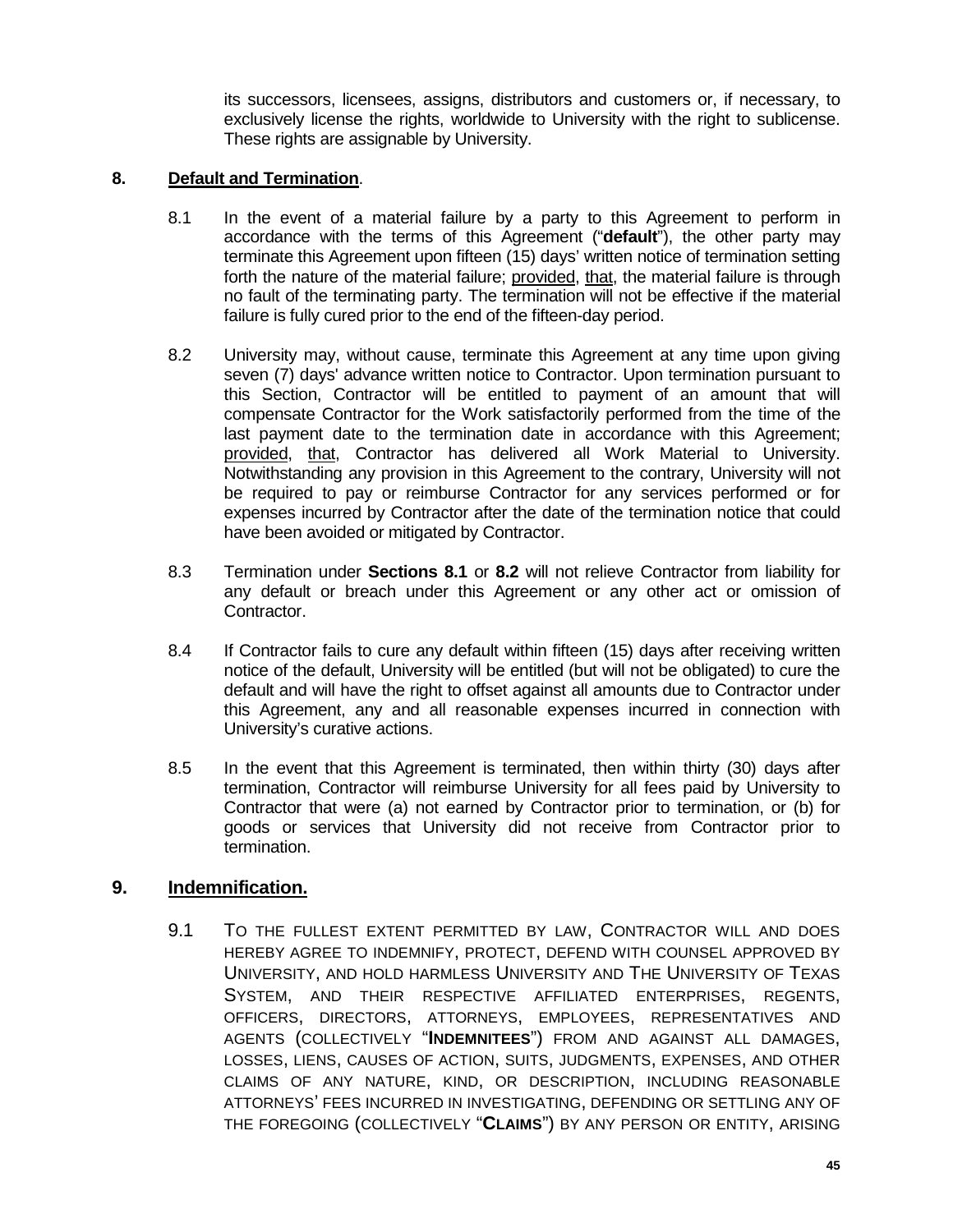its successors, licensees, assigns, distributors and customers or, if necessary, to exclusively license the rights, worldwide to University with the right to sublicense. These rights are assignable by University.

# **8. Default and Termination**.

- 8.1 In the event of a material failure by a party to this Agreement to perform in accordance with the terms of this Agreement ("**default**"), the other party may terminate this Agreement upon fifteen (15) days' written notice of termination setting forth the nature of the material failure; provided, that, the material failure is through no fault of the terminating party. The termination will not be effective if the material failure is fully cured prior to the end of the fifteen-day period.
- 8.2 University may, without cause, terminate this Agreement at any time upon giving seven (7) days' advance written notice to Contractor. Upon termination pursuant to this Section, Contractor will be entitled to payment of an amount that will compensate Contractor for the Work satisfactorily performed from the time of the last payment date to the termination date in accordance with this Agreement; provided, that, Contractor has delivered all Work Material to University. Notwithstanding any provision in this Agreement to the contrary, University will not be required to pay or reimburse Contractor for any services performed or for expenses incurred by Contractor after the date of the termination notice that could have been avoided or mitigated by Contractor.
- 8.3 Termination under **Sections 8.1** or **8.2** will not relieve Contractor from liability for any default or breach under this Agreement or any other act or omission of Contractor.
- 8.4 If Contractor fails to cure any default within fifteen (15) days after receiving written notice of the default, University will be entitled (but will not be obligated) to cure the default and will have the right to offset against all amounts due to Contractor under this Agreement, any and all reasonable expenses incurred in connection with University's curative actions.
- 8.5 In the event that this Agreement is terminated, then within thirty (30) days after termination, Contractor will reimburse University for all fees paid by University to Contractor that were (a) not earned by Contractor prior to termination, or (b) for goods or services that University did not receive from Contractor prior to termination.

# **9. Indemnification.**

9.1 TO THE FULLEST EXTENT PERMITTED BY LAW, CONTRACTOR WILL AND DOES HEREBY AGREE TO INDEMNIFY, PROTECT, DEFEND WITH COUNSEL APPROVED BY UNIVERSITY, AND HOLD HARMLESS UNIVERSITY AND THE UNIVERSITY OF TEXAS SYSTEM, AND THEIR RESPECTIVE AFFILIATED ENTERPRISES, REGENTS, OFFICERS, DIRECTORS, ATTORNEYS, EMPLOYEES, REPRESENTATIVES AND AGENTS (COLLECTIVELY "**INDEMNITEES**") FROM AND AGAINST ALL DAMAGES, LOSSES, LIENS, CAUSES OF ACTION, SUITS, JUDGMENTS, EXPENSES, AND OTHER CLAIMS OF ANY NATURE, KIND, OR DESCRIPTION, INCLUDING REASONABLE ATTORNEYS' FEES INCURRED IN INVESTIGATING, DEFENDING OR SETTLING ANY OF THE FOREGOING (COLLECTIVELY "**CLAIMS**") BY ANY PERSON OR ENTITY, ARISING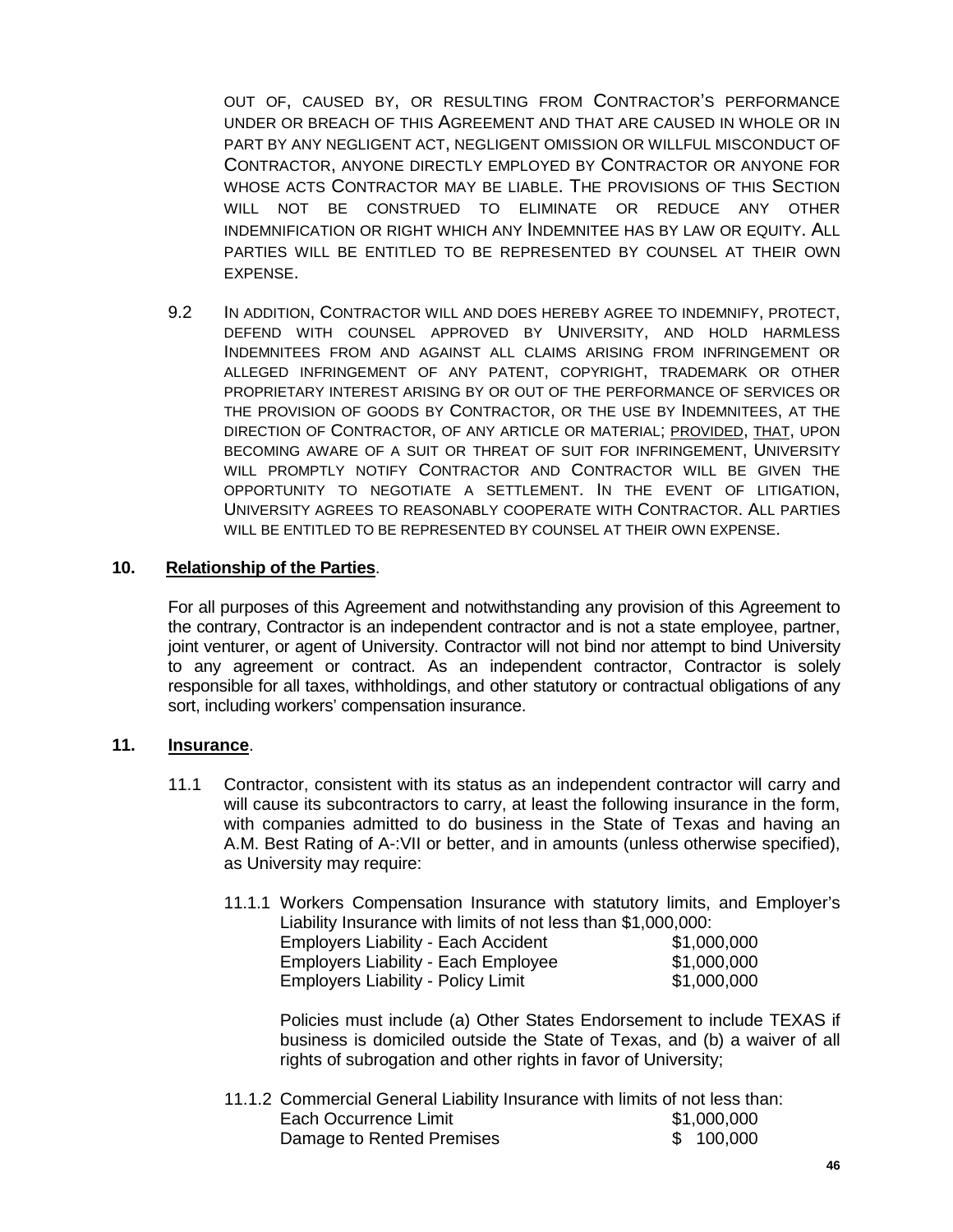OUT OF, CAUSED BY, OR RESULTING FROM CONTRACTOR'S PERFORMANCE UNDER OR BREACH OF THIS AGREEMENT AND THAT ARE CAUSED IN WHOLE OR IN PART BY ANY NEGLIGENT ACT, NEGLIGENT OMISSION OR WILLFUL MISCONDUCT OF CONTRACTOR, ANYONE DIRECTLY EMPLOYED BY CONTRACTOR OR ANYONE FOR WHOSE ACTS CONTRACTOR MAY BE LIABLE. THE PROVISIONS OF THIS SECTION WILL NOT BE CONSTRUED TO ELIMINATE OR REDUCE ANY OTHER INDEMNIFICATION OR RIGHT WHICH ANY INDEMNITEE HAS BY LAW OR EQUITY. ALL PARTIES WILL BE ENTITLED TO BE REPRESENTED BY COUNSEL AT THEIR OWN EXPENSE.

9.2 IN ADDITION, CONTRACTOR WILL AND DOES HEREBY AGREE TO INDEMNIFY, PROTECT, DEFEND WITH COUNSEL APPROVED BY UNIVERSITY, AND HOLD HARMLESS INDEMNITEES FROM AND AGAINST ALL CLAIMS ARISING FROM INFRINGEMENT OR ALLEGED INFRINGEMENT OF ANY PATENT, COPYRIGHT, TRADEMARK OR OTHER PROPRIETARY INTEREST ARISING BY OR OUT OF THE PERFORMANCE OF SERVICES OR THE PROVISION OF GOODS BY CONTRACTOR, OR THE USE BY INDEMNITEES, AT THE DIRECTION OF CONTRACTOR, OF ANY ARTICLE OR MATERIAL; PROVIDED, THAT, UPON BECOMING AWARE OF A SUIT OR THREAT OF SUIT FOR INFRINGEMENT, UNIVERSITY WILL PROMPTLY NOTIFY CONTRACTOR AND CONTRACTOR WILL BE GIVEN THE OPPORTUNITY TO NEGOTIATE A SETTLEMENT. IN THE EVENT OF LITIGATION, UNIVERSITY AGREES TO REASONABLY COOPERATE WITH CONTRACTOR. ALL PARTIES WILL BE ENTITLED TO BE REPRESENTED BY COUNSEL AT THEIR OWN EXPENSE.

# **10. Relationship of the Parties**.

For all purposes of this Agreement and notwithstanding any provision of this Agreement to the contrary, Contractor is an independent contractor and is not a state employee, partner, joint venturer, or agent of University. Contractor will not bind nor attempt to bind University to any agreement or contract. As an independent contractor, Contractor is solely responsible for all taxes, withholdings, and other statutory or contractual obligations of any sort, including workers' compensation insurance.

# **11. Insurance**.

11.1 Contractor, consistent with its status as an independent contractor will carry and will cause its subcontractors to carry, at least the following insurance in the form, with companies admitted to do business in the State of Texas and having an A.M. Best Rating of A-:VII or better, and in amounts (unless otherwise specified), as University may require:

| 11.1.1 Workers Compensation Insurance with statutory limits, and Employer's |             |
|-----------------------------------------------------------------------------|-------------|
| Liability Insurance with limits of not less than \$1,000,000:               |             |
| <b>Employers Liability - Each Accident</b>                                  | \$1,000,000 |
| <b>Employers Liability - Each Employee</b>                                  | \$1,000,000 |
| <b>Employers Liability - Policy Limit</b>                                   | \$1,000,000 |

Policies must include (a) Other States Endorsement to include TEXAS if business is domiciled outside the State of Texas, and (b) a waiver of all rights of subrogation and other rights in favor of University;

11.1.2 Commercial General Liability Insurance with limits of not less than: Each Occurrence Limit<br>
Damage to Rented Premises<br>
\$100,000 Damage to Rented Premises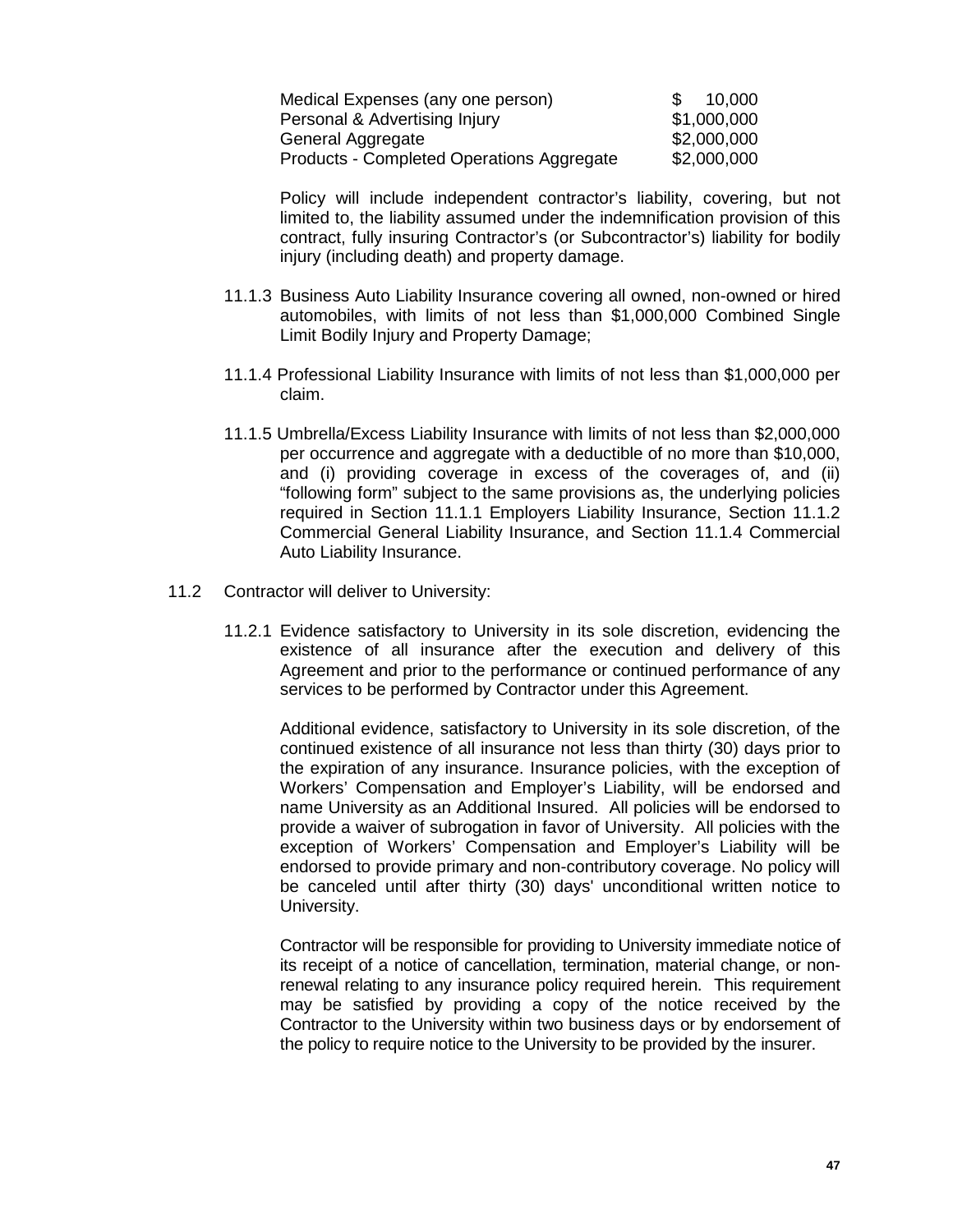| Medical Expenses (any one person)         | -SS | 10,000      |
|-------------------------------------------|-----|-------------|
| Personal & Advertising Injury             |     | \$1,000,000 |
| General Aggregate                         |     | \$2,000,000 |
| Products - Completed Operations Aggregate |     | \$2,000,000 |

Policy will include independent contractor's liability, covering, but not limited to, the liability assumed under the indemnification provision of this contract, fully insuring Contractor's (or Subcontractor's) liability for bodily injury (including death) and property damage.

- 11.1.3 Business Auto Liability Insurance covering all owned, non-owned or hired automobiles, with limits of not less than \$1,000,000 Combined Single Limit Bodily Injury and Property Damage;
- 11.1.4 Professional Liability Insurance with limits of not less than \$1,000,000 per claim.
- 11.1.5 Umbrella/Excess Liability Insurance with limits of not less than \$2,000,000 per occurrence and aggregate with a deductible of no more than \$10,000, and (i) providing coverage in excess of the coverages of, and (ii) "following form" subject to the same provisions as, the underlying policies required in Section 11.1.1 Employers Liability Insurance, Section 11.1.2 Commercial General Liability Insurance, and Section 11.1.4 Commercial Auto Liability Insurance.
- 11.2 Contractor will deliver to University:
	- 11.2.1 Evidence satisfactory to University in its sole discretion, evidencing the existence of all insurance after the execution and delivery of this Agreement and prior to the performance or continued performance of any services to be performed by Contractor under this Agreement.

Additional evidence, satisfactory to University in its sole discretion, of the continued existence of all insurance not less than thirty (30) days prior to the expiration of any insurance. Insurance policies, with the exception of Workers' Compensation and Employer's Liability, will be endorsed and name University as an Additional Insured. All policies will be endorsed to provide a waiver of subrogation in favor of University. All policies with the exception of Workers' Compensation and Employer's Liability will be endorsed to provide primary and non-contributory coverage. No policy will be canceled until after thirty (30) days' unconditional written notice to University.

Contractor will be responsible for providing to University immediate notice of its receipt of a notice of cancellation, termination, material change, or nonrenewal relating to any insurance policy required herein. This requirement may be satisfied by providing a copy of the notice received by the Contractor to the University within two business days or by endorsement of the policy to require notice to the University to be provided by the insurer.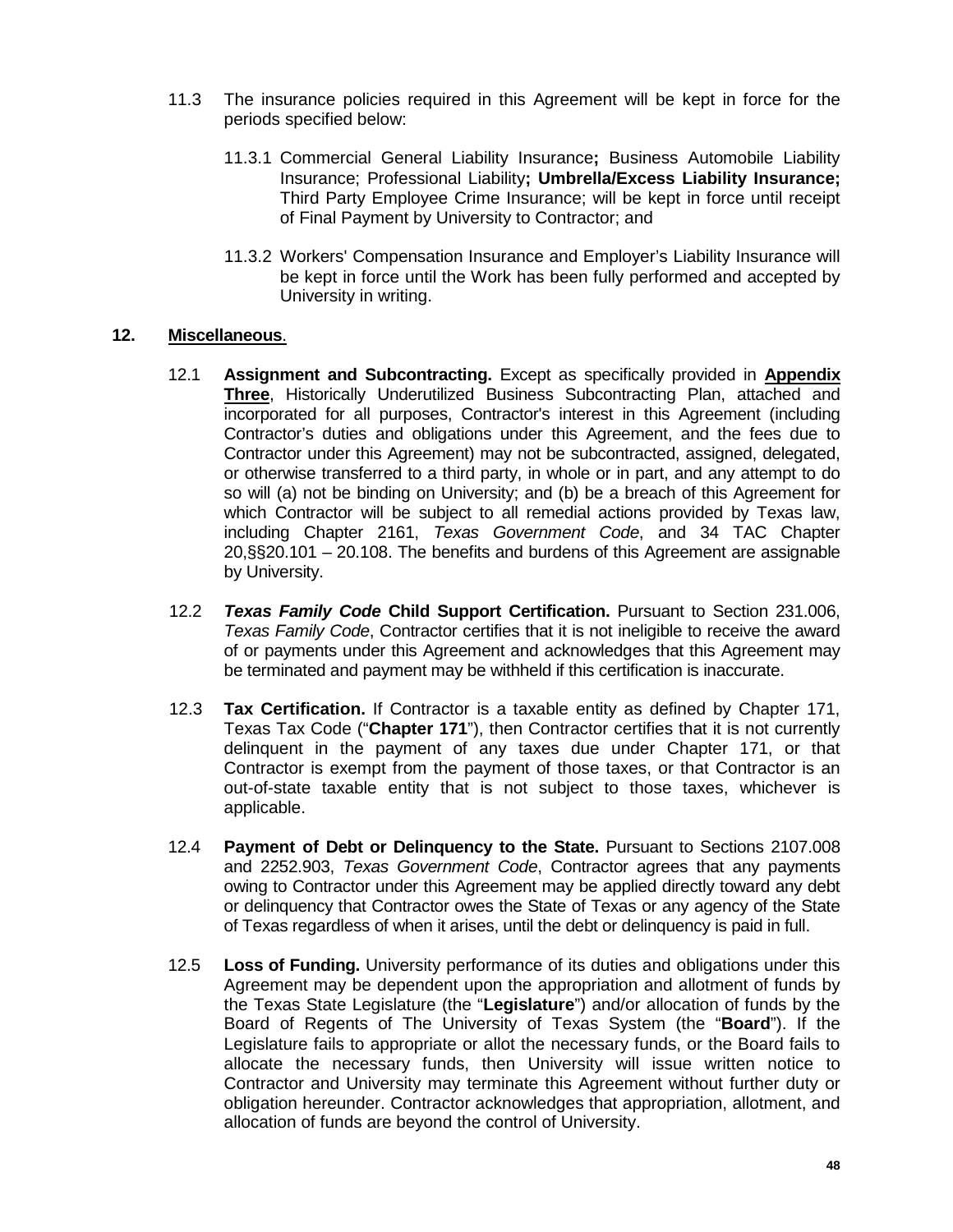- 11.3 The insurance policies required in this Agreement will be kept in force for the periods specified below:
	- 11.3.1 Commercial General Liability Insurance**;** Business Automobile Liability Insurance; Professional Liability**; Umbrella/Excess Liability Insurance;**  Third Party Employee Crime Insurance; will be kept in force until receipt of Final Payment by University to Contractor; and
	- 11.3.2 Workers' Compensation Insurance and Employer's Liability Insurance will be kept in force until the Work has been fully performed and accepted by University in writing.

# **12. Miscellaneous**.

- 12.1 **Assignment and Subcontracting.** Except as specifically provided in **Appendix Three**, Historically Underutilized Business Subcontracting Plan, attached and incorporated for all purposes, Contractor's interest in this Agreement (including Contractor's duties and obligations under this Agreement, and the fees due to Contractor under this Agreement) may not be subcontracted, assigned, delegated, or otherwise transferred to a third party, in whole or in part, and any attempt to do so will (a) not be binding on University; and (b) be a breach of this Agreement for which Contractor will be subject to all remedial actions provided by Texas law, including Chapter 2161, *Texas Government Code*, and 34 TAC Chapter 20,§§20.101 – 20.108. The benefits and burdens of this Agreement are assignable by University.
- 12.2 *Texas Family Code* **Child Support Certification.** Pursuant to Section 231.006, *Texas Family Code*, Contractor certifies that it is not ineligible to receive the award of or payments under this Agreement and acknowledges that this Agreement may be terminated and payment may be withheld if this certification is inaccurate.
- 12.3 **Tax Certification.** If Contractor is a taxable entity as defined by Chapter 171, Texas Tax Code ("**Chapter 171**"), then Contractor certifies that it is not currently delinquent in the payment of any taxes due under Chapter 171, or that Contractor is exempt from the payment of those taxes, or that Contractor is an out-of-state taxable entity that is not subject to those taxes, whichever is applicable.
- 12.4 **Payment of Debt or Delinquency to the State.** Pursuant to Sections 2107.008 and 2252.903, *Texas Government Code*, Contractor agrees that any payments owing to Contractor under this Agreement may be applied directly toward any debt or delinquency that Contractor owes the State of Texas or any agency of the State of Texas regardless of when it arises, until the debt or delinquency is paid in full.
- 12.5 **Loss of Funding.** University performance of its duties and obligations under this Agreement may be dependent upon the appropriation and allotment of funds by the Texas State Legislature (the "**Legislature**") and/or allocation of funds by the Board of Regents of The University of Texas System (the "**Board**"). If the Legislature fails to appropriate or allot the necessary funds, or the Board fails to allocate the necessary funds, then University will issue written notice to Contractor and University may terminate this Agreement without further duty or obligation hereunder. Contractor acknowledges that appropriation, allotment, and allocation of funds are beyond the control of University.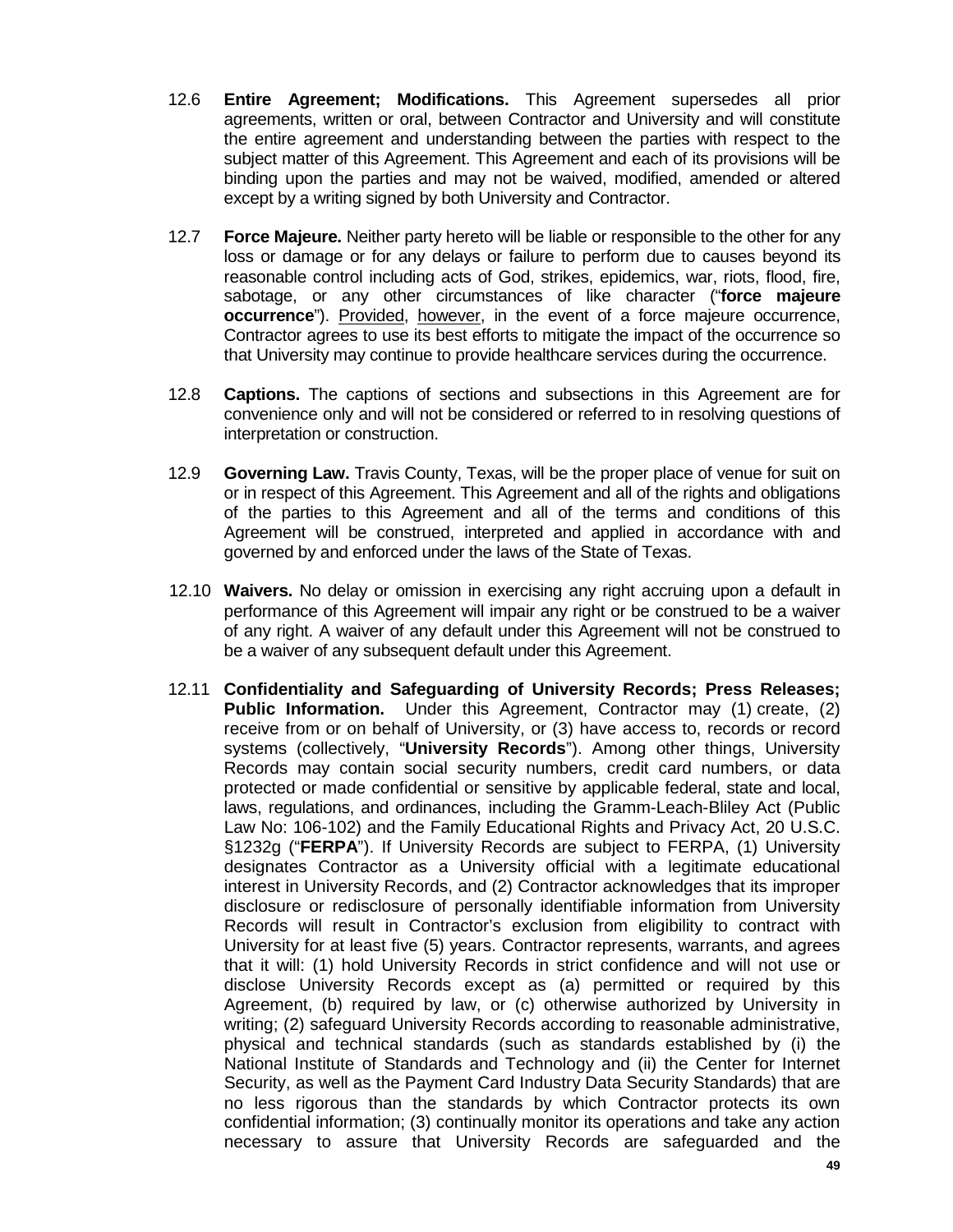- 12.6 **Entire Agreement; Modifications.** This Agreement supersedes all prior agreements, written or oral, between Contractor and University and will constitute the entire agreement and understanding between the parties with respect to the subject matter of this Agreement. This Agreement and each of its provisions will be binding upon the parties and may not be waived, modified, amended or altered except by a writing signed by both University and Contractor.
- 12.7 **Force Majeure.** Neither party hereto will be liable or responsible to the other for any loss or damage or for any delays or failure to perform due to causes beyond its reasonable control including acts of God, strikes, epidemics, war, riots, flood, fire, sabotage, or any other circumstances of like character ("**force majeure occurrence**"). Provided, however, in the event of a force majeure occurrence, Contractor agrees to use its best efforts to mitigate the impact of the occurrence so that University may continue to provide healthcare services during the occurrence.
- 12.8 **Captions.** The captions of sections and subsections in this Agreement are for convenience only and will not be considered or referred to in resolving questions of interpretation or construction.
- 12.9 **Governing Law.** Travis County, Texas, will be the proper place of venue for suit on or in respect of this Agreement. This Agreement and all of the rights and obligations of the parties to this Agreement and all of the terms and conditions of this Agreement will be construed, interpreted and applied in accordance with and governed by and enforced under the laws of the State of Texas.
- 12.10 **Waivers.** No delay or omission in exercising any right accruing upon a default in performance of this Agreement will impair any right or be construed to be a waiver of any right. A waiver of any default under this Agreement will not be construed to be a waiver of any subsequent default under this Agreement.
- 12.11 **Confidentiality and Safeguarding of University Records; Press Releases; Public Information.** Under this Agreement, Contractor may (1) create, (2) receive from or on behalf of University, or (3) have access to, records or record systems (collectively, "**University Records**"). Among other things, University Records may contain social security numbers, credit card numbers, or data protected or made confidential or sensitive by applicable federal, state and local, laws, regulations, and ordinances, including the Gramm-Leach-Bliley Act (Public Law No: 106-102) and the Family Educational Rights and Privacy Act, 20 U.S.C. §1232g ("**FERPA**"). If University Records are subject to FERPA, (1) University designates Contractor as a University official with a legitimate educational interest in University Records, and (2) Contractor acknowledges that its improper disclosure or redisclosure of personally identifiable information from University Records will result in Contractor's exclusion from eligibility to contract with University for at least five (5) years. Contractor represents, warrants, and agrees that it will: (1) hold University Records in strict confidence and will not use or disclose University Records except as (a) permitted or required by this Agreement, (b) required by law, or (c) otherwise authorized by University in writing; (2) safeguard University Records according to reasonable administrative, physical and technical standards (such as standards established by (i) the National Institute of Standards and Technology and (ii) the Center for Internet Security, as well as the Payment Card Industry Data Security Standards) that are no less rigorous than the standards by which Contractor protects its own confidential information; (3) continually monitor its operations and take any action necessary to assure that University Records are safeguarded and the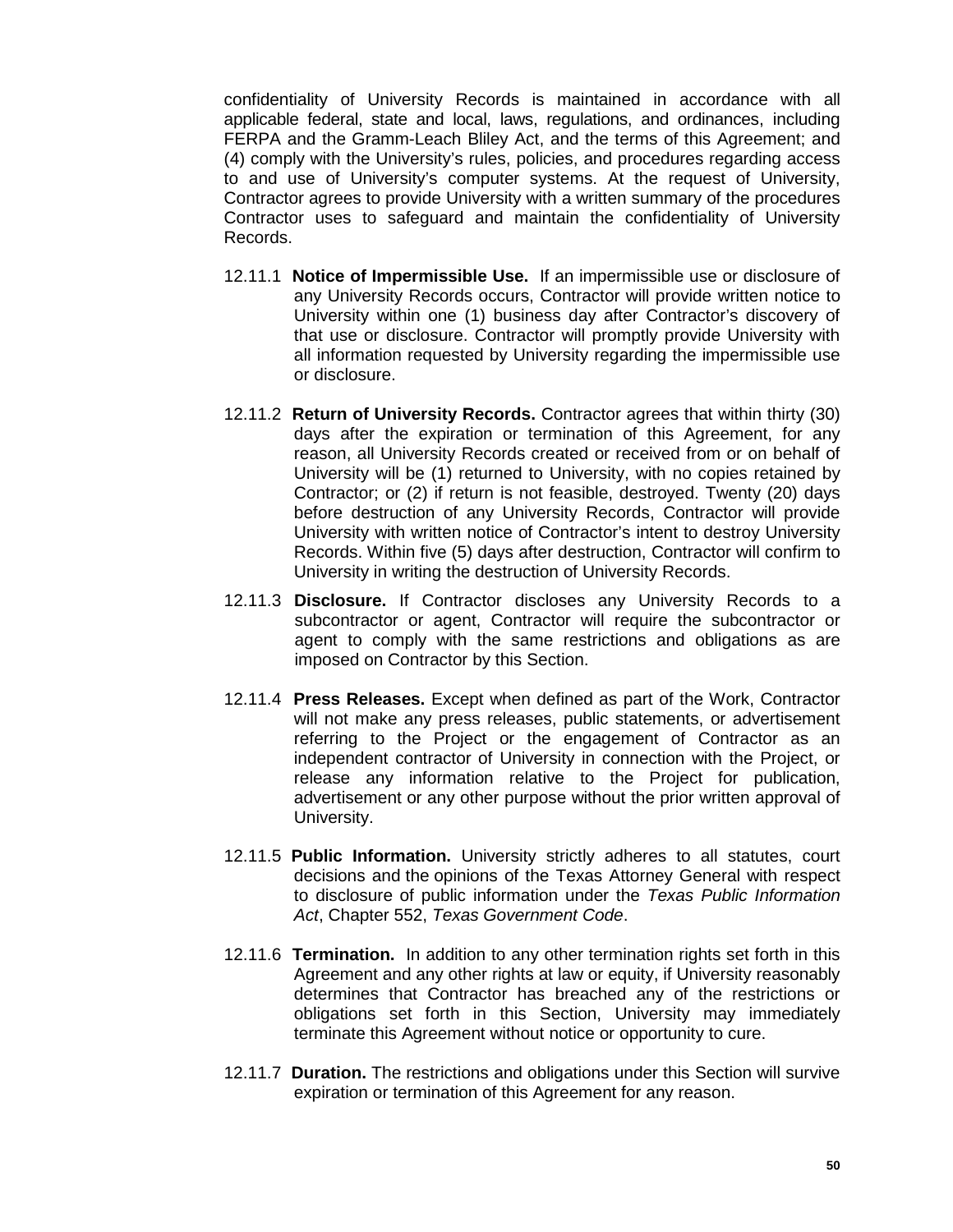confidentiality of University Records is maintained in accordance with all applicable federal, state and local, laws, regulations, and ordinances, including FERPA and the Gramm-Leach Bliley Act, and the terms of this Agreement; and (4) comply with the University's rules, policies, and procedures regarding access to and use of University's computer systems. At the request of University, Contractor agrees to provide University with a written summary of the procedures Contractor uses to safeguard and maintain the confidentiality of University Records.

- 12.11.1 **Notice of Impermissible Use.** If an impermissible use or disclosure of any University Records occurs, Contractor will provide written notice to University within one (1) business day after Contractor's discovery of that use or disclosure. Contractor will promptly provide University with all information requested by University regarding the impermissible use or disclosure.
- 12.11.2 **Return of University Records.** Contractor agrees that within thirty (30) days after the expiration or termination of this Agreement, for any reason, all University Records created or received from or on behalf of University will be (1) returned to University, with no copies retained by Contractor; or (2) if return is not feasible, destroyed. Twenty (20) days before destruction of any University Records, Contractor will provide University with written notice of Contractor's intent to destroy University Records. Within five (5) days after destruction, Contractor will confirm to University in writing the destruction of University Records.
- 12.11.3 **Disclosure.** If Contractor discloses any University Records to a subcontractor or agent, Contractor will require the subcontractor or agent to comply with the same restrictions and obligations as are imposed on Contractor by this Section.
- 12.11.4 **Press Releases.** Except when defined as part of the Work, Contractor will not make any press releases, public statements, or advertisement referring to the Project or the engagement of Contractor as an independent contractor of University in connection with the Project, or release any information relative to the Project for publication, advertisement or any other purpose without the prior written approval of University.
- 12.11.5 **Public Information.** University strictly adheres to all statutes, court decisions and the opinions of the Texas Attorney General with respect to disclosure of public information under the *Texas Public Information Act*, Chapter 552, *Texas Government Code*.
- 12.11.6 **Termination.** In addition to any other termination rights set forth in this Agreement and any other rights at law or equity, if University reasonably determines that Contractor has breached any of the restrictions or obligations set forth in this Section, University may immediately terminate this Agreement without notice or opportunity to cure.
- 12.11.7 **Duration.** The restrictions and obligations under this Section will survive expiration or termination of this Agreement for any reason.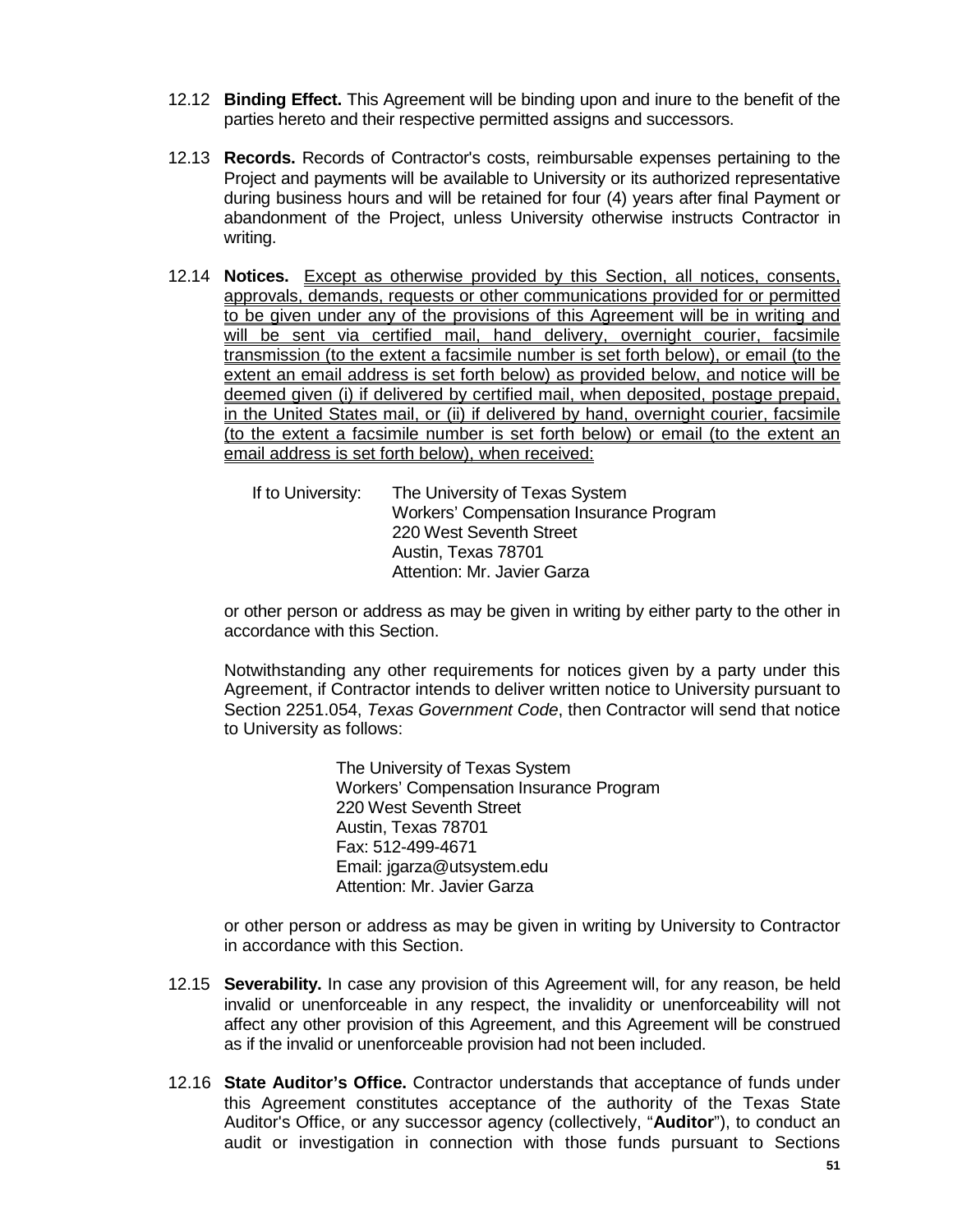- 12.12 **Binding Effect.** This Agreement will be binding upon and inure to the benefit of the parties hereto and their respective permitted assigns and successors.
- 12.13 **Records.** Records of Contractor's costs, reimbursable expenses pertaining to the Project and payments will be available to University or its authorized representative during business hours and will be retained for four (4) years after final Payment or abandonment of the Project, unless University otherwise instructs Contractor in writing.
- 12.14 **Notices.** Except as otherwise provided by this Section, all notices, consents, approvals, demands, requests or other communications provided for or permitted to be given under any of the provisions of this Agreement will be in writing and will be sent via certified mail, hand delivery, overnight courier, facsimile transmission (to the extent a facsimile number is set forth below), or email (to the extent an email address is set forth below) as provided below, and notice will be deemed given (i) if delivered by certified mail, when deposited, postage prepaid, in the United States mail, or (ii) if delivered by hand, overnight courier, facsimile (to the extent a facsimile number is set forth below) or email (to the extent an email address is set forth below), when received:

If to University: The University of Texas System Workers' Compensation Insurance Program 220 West Seventh Street Austin, Texas 78701 Attention: Mr. Javier Garza

or other person or address as may be given in writing by either party to the other in accordance with this Section.

Notwithstanding any other requirements for notices given by a party under this Agreement, if Contractor intends to deliver written notice to University pursuant to Section 2251.054, *Texas Government Code*, then Contractor will send that notice to University as follows:

> The University of Texas System Workers' Compensation Insurance Program 220 West Seventh Street Austin, Texas 78701 Fax: 512-499-4671 Email: jgarza@utsystem.edu Attention: Mr. Javier Garza

or other person or address as may be given in writing by University to Contractor in accordance with this Section.

- 12.15 **Severability.** In case any provision of this Agreement will, for any reason, be held invalid or unenforceable in any respect, the invalidity or unenforceability will not affect any other provision of this Agreement, and this Agreement will be construed as if the invalid or unenforceable provision had not been included.
- 12.16 **State Auditor's Office.** Contractor understands that acceptance of funds under this Agreement constitutes acceptance of the authority of the Texas State Auditor's Office, or any successor agency (collectively, "**Auditor**"), to conduct an audit or investigation in connection with those funds pursuant to Sections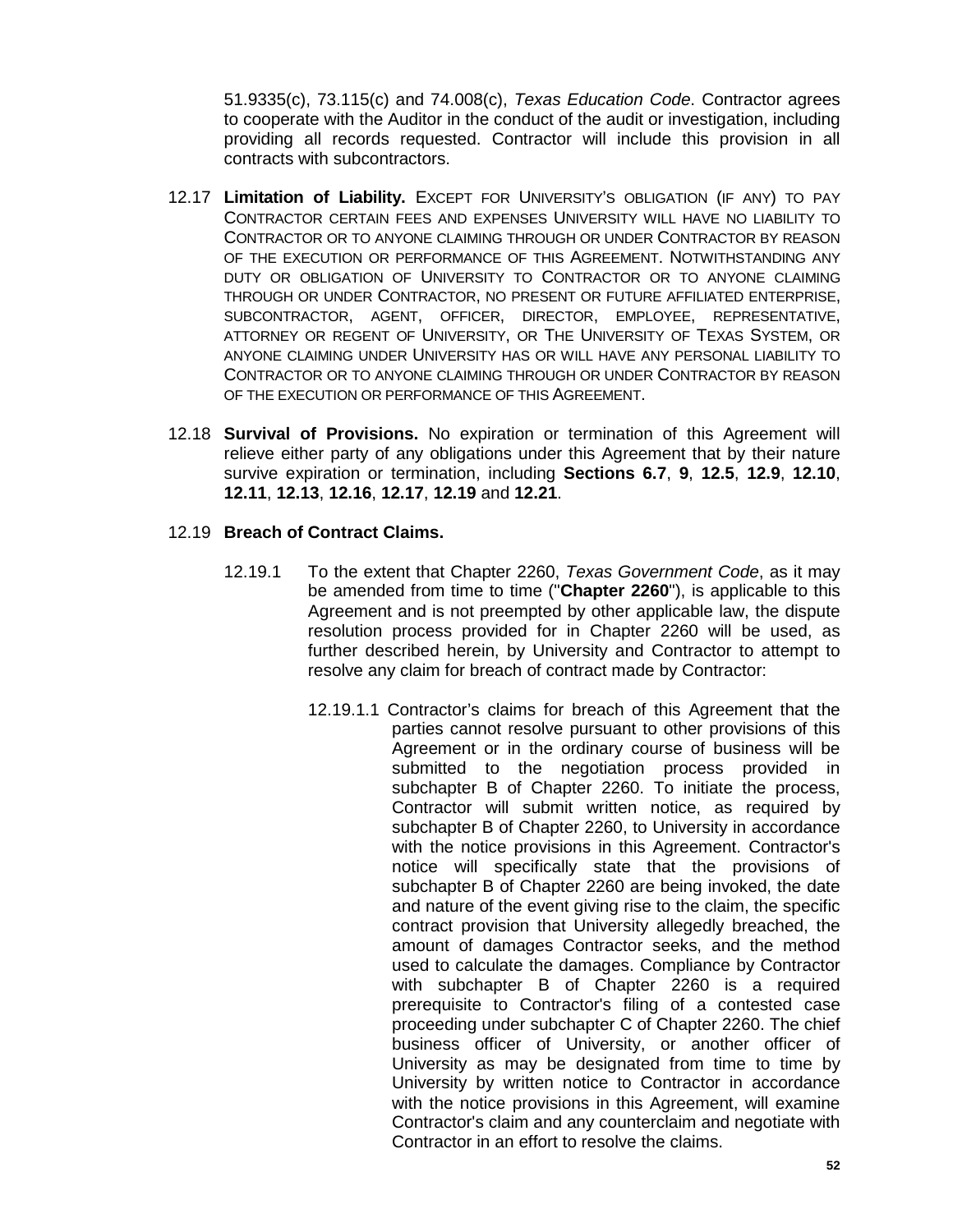51.9335(c), 73.115(c) and 74.008(c), *Texas Education Code*. Contractor agrees to cooperate with the Auditor in the conduct of the audit or investigation, including providing all records requested. Contractor will include this provision in all contracts with subcontractors.

- 12.17 **Limitation of Liability.** EXCEPT FOR UNIVERSITY'S OBLIGATION (IF ANY) TO PAY CONTRACTOR CERTAIN FEES AND EXPENSES UNIVERSITY WILL HAVE NO LIABILITY TO CONTRACTOR OR TO ANYONE CLAIMING THROUGH OR UNDER CONTRACTOR BY REASON OF THE EXECUTION OR PERFORMANCE OF THIS AGREEMENT. NOTWITHSTANDING ANY DUTY OR OBLIGATION OF UNIVERSITY TO CONTRACTOR OR TO ANYONE CLAIMING THROUGH OR UNDER CONTRACTOR, NO PRESENT OR FUTURE AFFILIATED ENTERPRISE, SUBCONTRACTOR, AGENT, OFFICER, DIRECTOR, EMPLOYEE, REPRESENTATIVE, ATTORNEY OR REGENT OF UNIVERSITY, OR THE UNIVERSITY OF TEXAS SYSTEM, OR ANYONE CLAIMING UNDER UNIVERSITY HAS OR WILL HAVE ANY PERSONAL LIABILITY TO CONTRACTOR OR TO ANYONE CLAIMING THROUGH OR UNDER CONTRACTOR BY REASON OF THE EXECUTION OR PERFORMANCE OF THIS AGREEMENT.
- 12.18 **Survival of Provisions.** No expiration or termination of this Agreement will relieve either party of any obligations under this Agreement that by their nature survive expiration or termination, including **Sections 6.7**, **9**, **12.5**, **12.9**, **12.10**, **12.11**, **12.13**, **12.16**, **12.17**, **12.19** and **12.21**.

# 12.19 **Breach of Contract Claims.**

- 12.19.1 To the extent that Chapter 2260, *Texas Government Code*, as it may be amended from time to time ("**Chapter 2260**"), is applicable to this Agreement and is not preempted by other applicable law, the dispute resolution process provided for in Chapter 2260 will be used, as further described herein, by University and Contractor to attempt to resolve any claim for breach of contract made by Contractor:
	- 12.19.1.1 Contractor's claims for breach of this Agreement that the parties cannot resolve pursuant to other provisions of this Agreement or in the ordinary course of business will be submitted to the negotiation process provided in subchapter B of Chapter 2260. To initiate the process, Contractor will submit written notice, as required by subchapter B of Chapter 2260, to University in accordance with the notice provisions in this Agreement. Contractor's notice will specifically state that the provisions of subchapter B of Chapter 2260 are being invoked, the date and nature of the event giving rise to the claim, the specific contract provision that University allegedly breached, the amount of damages Contractor seeks, and the method used to calculate the damages. Compliance by Contractor with subchapter B of Chapter 2260 is a required prerequisite to Contractor's filing of a contested case proceeding under subchapter C of Chapter 2260. The chief business officer of University, or another officer of University as may be designated from time to time by University by written notice to Contractor in accordance with the notice provisions in this Agreement, will examine Contractor's claim and any counterclaim and negotiate with Contractor in an effort to resolve the claims.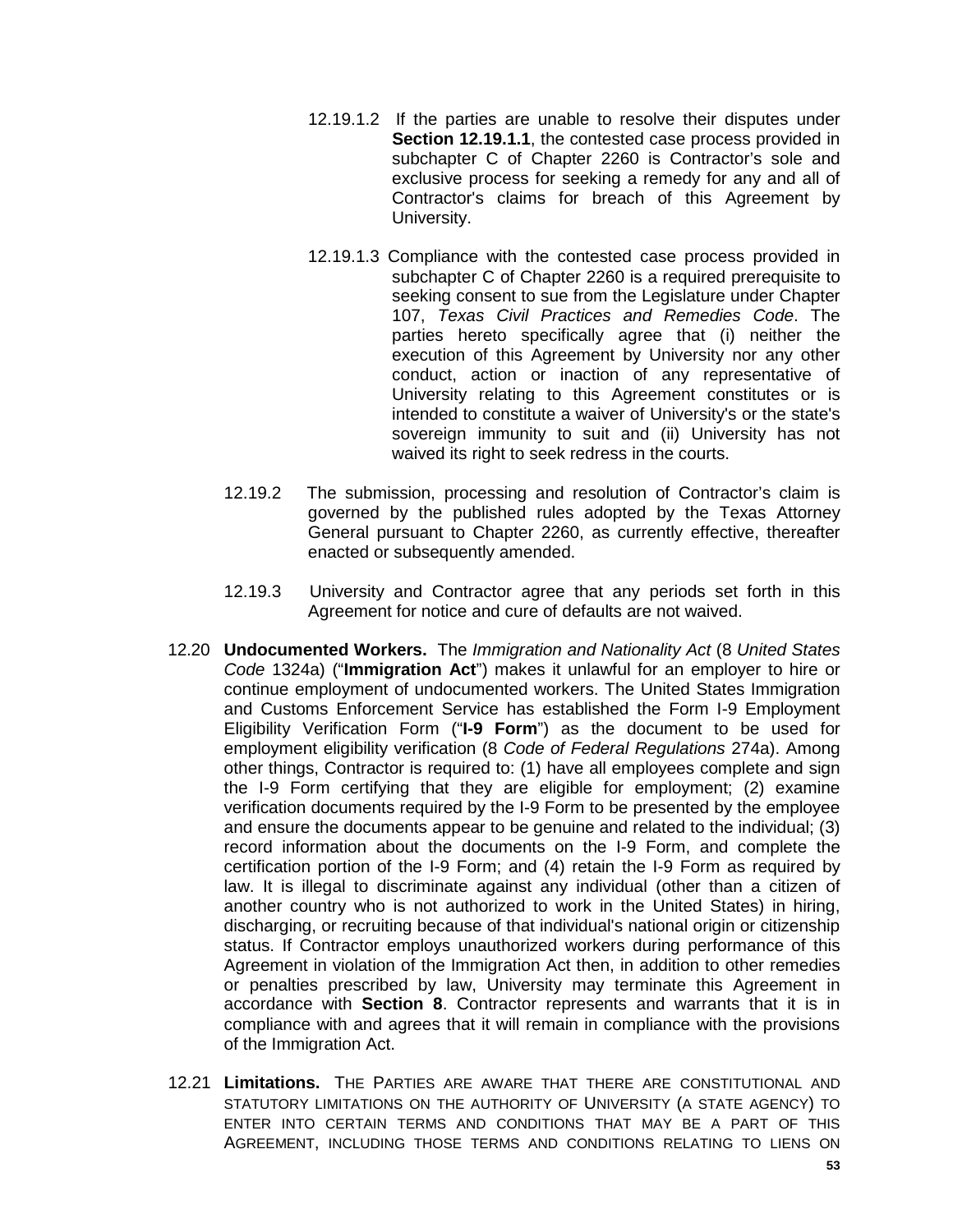- 12.19.1.2 If the parties are unable to resolve their disputes under **Section 12.19.1.1.** the contested case process provided in subchapter C of Chapter 2260 is Contractor's sole and exclusive process for seeking a remedy for any and all of Contractor's claims for breach of this Agreement by University.
- 12.19.1.3 Compliance with the contested case process provided in subchapter C of Chapter 2260 is a required prerequisite to seeking consent to sue from the Legislature under Chapter 107, *Texas Civil Practices and Remedies Code*. The parties hereto specifically agree that (i) neither the execution of this Agreement by University nor any other conduct, action or inaction of any representative of University relating to this Agreement constitutes or is intended to constitute a waiver of University's or the state's sovereign immunity to suit and (ii) University has not waived its right to seek redress in the courts.
- 12.19.2 The submission, processing and resolution of Contractor's claim is governed by the published rules adopted by the Texas Attorney General pursuant to Chapter 2260, as currently effective, thereafter enacted or subsequently amended.
- 12.19.3 University and Contractor agree that any periods set forth in this Agreement for notice and cure of defaults are not waived.
- 12.20 **Undocumented Workers.** The *Immigration and Nationality Act* (8 *United States Code* 1324a) ("**Immigration Act**") makes it unlawful for an employer to hire or continue employment of undocumented workers. The United States Immigration and Customs Enforcement Service has established the Form I-9 Employment Eligibility Verification Form ("**I-9 Form**") as the document to be used for employment eligibility verification (8 *Code of Federal Regulations* 274a). Among other things, Contractor is required to: (1) have all employees complete and sign the I-9 Form certifying that they are eligible for employment; (2) examine verification documents required by the I-9 Form to be presented by the employee and ensure the documents appear to be genuine and related to the individual; (3) record information about the documents on the I-9 Form, and complete the certification portion of the I-9 Form; and (4) retain the I-9 Form as required by law. It is illegal to discriminate against any individual (other than a citizen of another country who is not authorized to work in the United States) in hiring, discharging, or recruiting because of that individual's national origin or citizenship status. If Contractor employs unauthorized workers during performance of this Agreement in violation of the Immigration Act then, in addition to other remedies or penalties prescribed by law, University may terminate this Agreement in accordance with **Section 8**. Contractor represents and warrants that it is in compliance with and agrees that it will remain in compliance with the provisions of the Immigration Act.
- 12.21 **Limitations.** THE PARTIES ARE AWARE THAT THERE ARE CONSTITUTIONAL AND STATUTORY LIMITATIONS ON THE AUTHORITY OF UNIVERSITY (A STATE AGENCY) TO ENTER INTO CERTAIN TERMS AND CONDITIONS THAT MAY BE A PART OF THIS AGREEMENT, INCLUDING THOSE TERMS AND CONDITIONS RELATING TO LIENS ON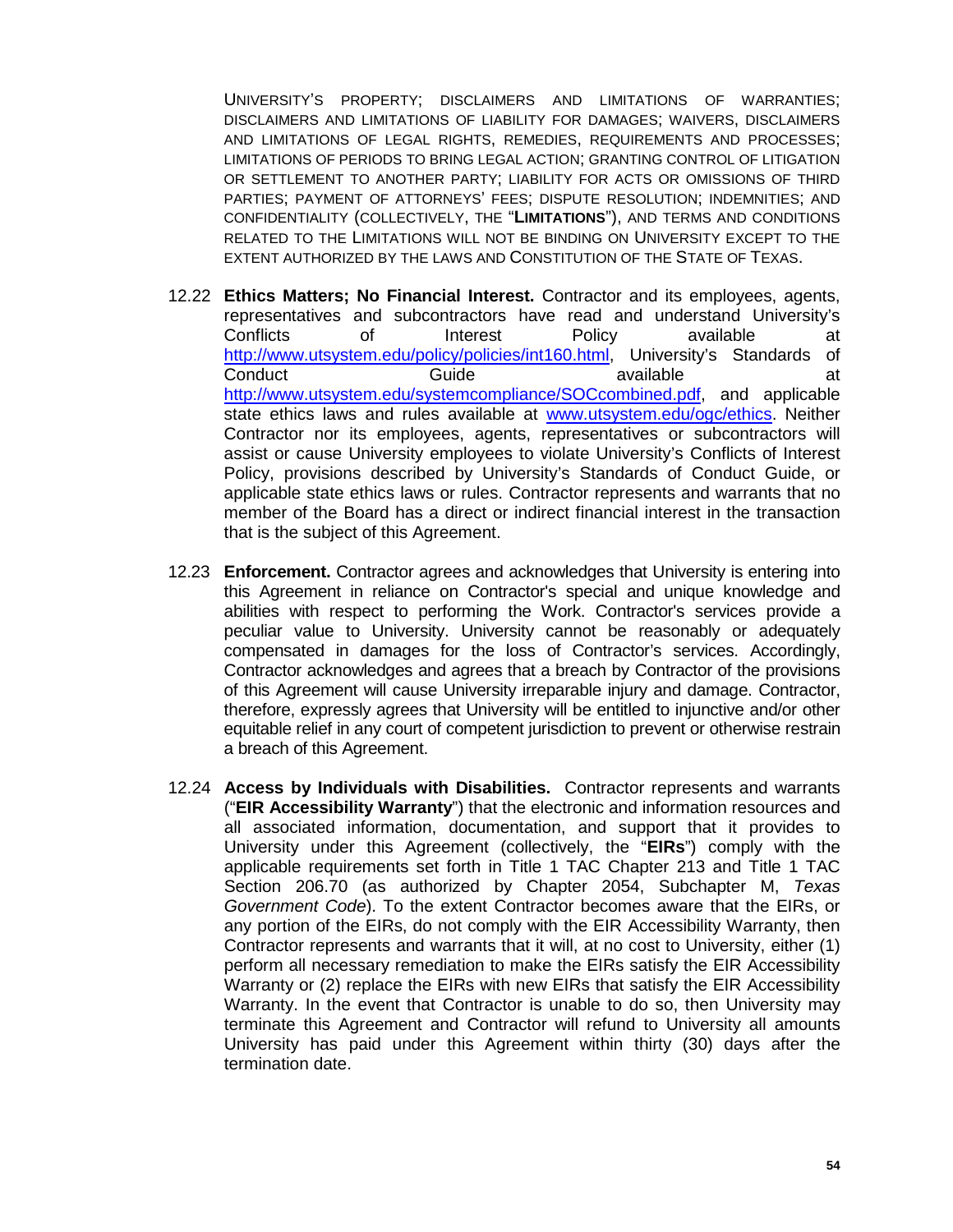UNIVERSITY'S PROPERTY; DISCLAIMERS AND LIMITATIONS OF WARRANTIES; DISCLAIMERS AND LIMITATIONS OF LIABILITY FOR DAMAGES; WAIVERS, DISCLAIMERS AND LIMITATIONS OF LEGAL RIGHTS, REMEDIES, REQUIREMENTS AND PROCESSES; LIMITATIONS OF PERIODS TO BRING LEGAL ACTION; GRANTING CONTROL OF LITIGATION OR SETTLEMENT TO ANOTHER PARTY; LIABILITY FOR ACTS OR OMISSIONS OF THIRD PARTIES; PAYMENT OF ATTORNEYS' FEES; DISPUTE RESOLUTION; INDEMNITIES; AND CONFIDENTIALITY (COLLECTIVELY, THE "**LIMITATIONS**"), AND TERMS AND CONDITIONS RELATED TO THE LIMITATIONS WILL NOT BE BINDING ON UNIVERSITY EXCEPT TO THE EXTENT AUTHORIZED BY THE LAWS AND CONSTITUTION OF THE STATE OF TEXAS.

- 12.22 **Ethics Matters; No Financial Interest.** Contractor and its employees, agents, representatives and subcontractors have read and understand University's Conflicts of Interest Policy available at [http://www.utsystem.edu/policy/policies/int160.html,](http://www.utsystem.edu/policy/policies/int160.html) University's Standards of Conduct **Guide** Guide available available at [http://www.utsystem.edu/systemcompliance/SOCcombined.pdf,](http://www.utsystem.edu/systemcompliance/SOCcombined.pdf) and applicable state ethics laws and rules available at [www.utsystem.edu/ogc/ethics.](http://www.utsystem.edu/ogc/ethics) Neither Contractor nor its employees, agents, representatives or subcontractors will assist or cause University employees to violate University's Conflicts of Interest Policy, provisions described by University's Standards of Conduct Guide, or applicable state ethics laws or rules. Contractor represents and warrants that no member of the Board has a direct or indirect financial interest in the transaction that is the subject of this Agreement.
- 12.23 **Enforcement.** Contractor agrees and acknowledges that University is entering into this Agreement in reliance on Contractor's special and unique knowledge and abilities with respect to performing the Work. Contractor's services provide a peculiar value to University. University cannot be reasonably or adequately compensated in damages for the loss of Contractor's services. Accordingly, Contractor acknowledges and agrees that a breach by Contractor of the provisions of this Agreement will cause University irreparable injury and damage. Contractor, therefore, expressly agrees that University will be entitled to injunctive and/or other equitable relief in any court of competent jurisdiction to prevent or otherwise restrain a breach of this Agreement.
- 12.24 **Access by Individuals with Disabilities.** Contractor represents and warrants ("**EIR Accessibility Warranty**") that the electronic and information resources and all associated information, documentation, and support that it provides to University under this Agreement (collectively, the "**EIRs**") comply with the applicable requirements set forth in Title 1 TAC Chapter 213 and Title 1 TAC Section 206.70 (as authorized by Chapter 2054, Subchapter M, *Texas Government Code*). To the extent Contractor becomes aware that the EIRs, or any portion of the EIRs, do not comply with the EIR Accessibility Warranty, then Contractor represents and warrants that it will, at no cost to University, either (1) perform all necessary remediation to make the EIRs satisfy the EIR Accessibility Warranty or (2) replace the EIRs with new EIRs that satisfy the EIR Accessibility Warranty. In the event that Contractor is unable to do so, then University may terminate this Agreement and Contractor will refund to University all amounts University has paid under this Agreement within thirty (30) days after the termination date.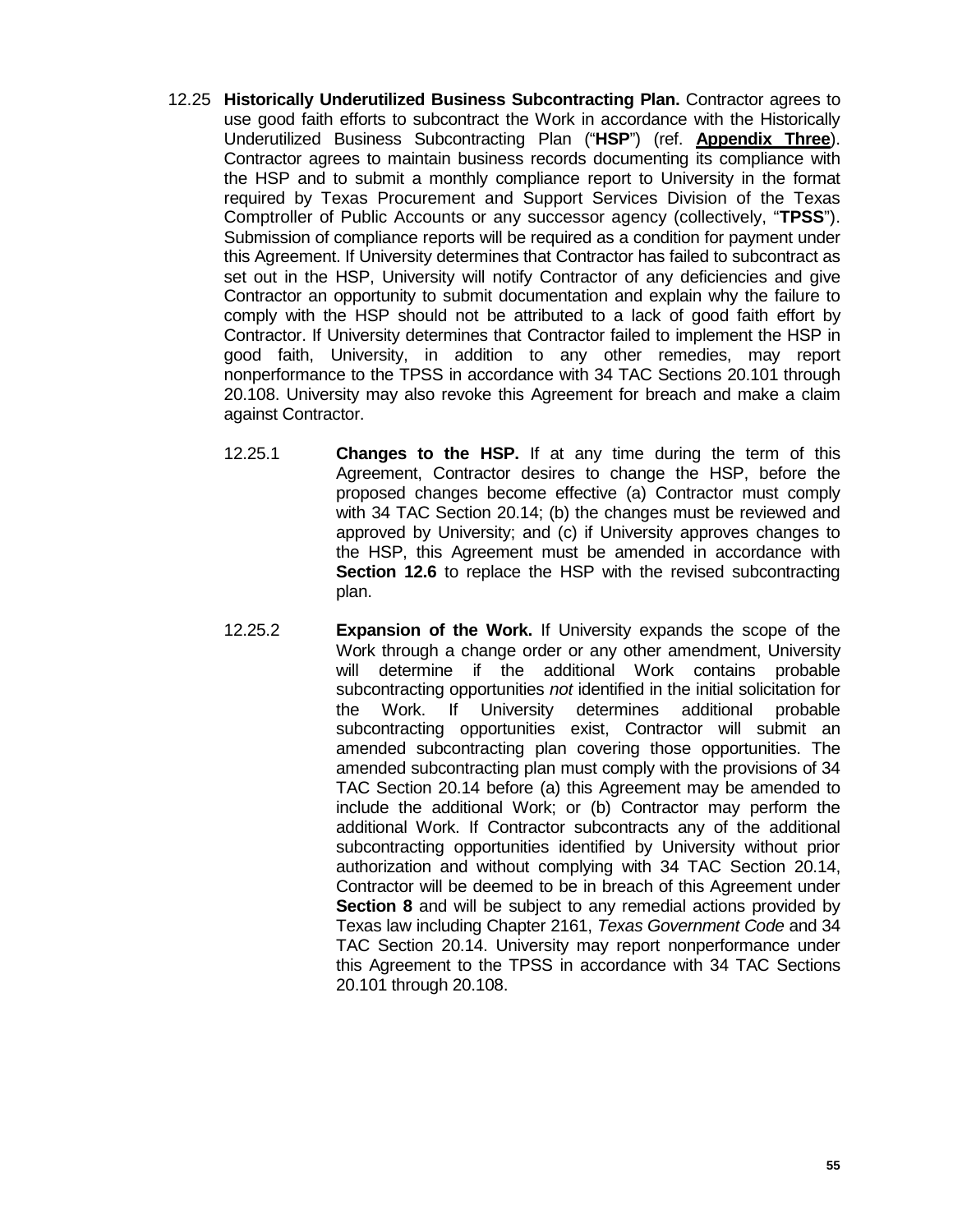- 12.25 **Historically Underutilized Business Subcontracting Plan.** Contractor agrees to use good faith efforts to subcontract the Work in accordance with the Historically Underutilized Business Subcontracting Plan ("**HSP**") (ref. **Appendix Three**). Contractor agrees to maintain business records documenting its compliance with the HSP and to submit a monthly compliance report to University in the format required by Texas Procurement and Support Services Division of the Texas Comptroller of Public Accounts or any successor agency (collectively, "**TPSS**"). Submission of compliance reports will be required as a condition for payment under this Agreement. If University determines that Contractor has failed to subcontract as set out in the HSP, University will notify Contractor of any deficiencies and give Contractor an opportunity to submit documentation and explain why the failure to comply with the HSP should not be attributed to a lack of good faith effort by Contractor. If University determines that Contractor failed to implement the HSP in good faith, University, in addition to any other remedies, may report nonperformance to the TPSS in accordance with 34 TAC Sections 20.101 through 20.108. University may also revoke this Agreement for breach and make a claim against Contractor.
	- 12.25.1 **Changes to the HSP.** If at any time during the term of this Agreement, Contractor desires to change the HSP, before the proposed changes become effective (a) Contractor must comply with 34 TAC Section 20.14; (b) the changes must be reviewed and approved by University; and (c) if University approves changes to the HSP, this Agreement must be amended in accordance with **Section 12.6** to replace the HSP with the revised subcontracting plan.
	- 12.25.2 **Expansion of the Work.** If University expands the scope of the Work through a change order or any other amendment, University will determine if the additional Work contains probable subcontracting opportunities *not* identified in the initial solicitation for the Work. If University determines additional probable subcontracting opportunities exist, Contractor will submit an amended subcontracting plan covering those opportunities. The amended subcontracting plan must comply with the provisions of 34 TAC Section 20.14 before (a) this Agreement may be amended to include the additional Work; or (b) Contractor may perform the additional Work. If Contractor subcontracts any of the additional subcontracting opportunities identified by University without prior authorization and without complying with 34 TAC Section 20.14, Contractor will be deemed to be in breach of this Agreement under **Section 8** and will be subject to any remedial actions provided by Texas law including Chapter 2161, *Texas Government Code* and 34 TAC Section 20.14. University may report nonperformance under this Agreement to the TPSS in accordance with 34 TAC Sections 20.101 through 20.108.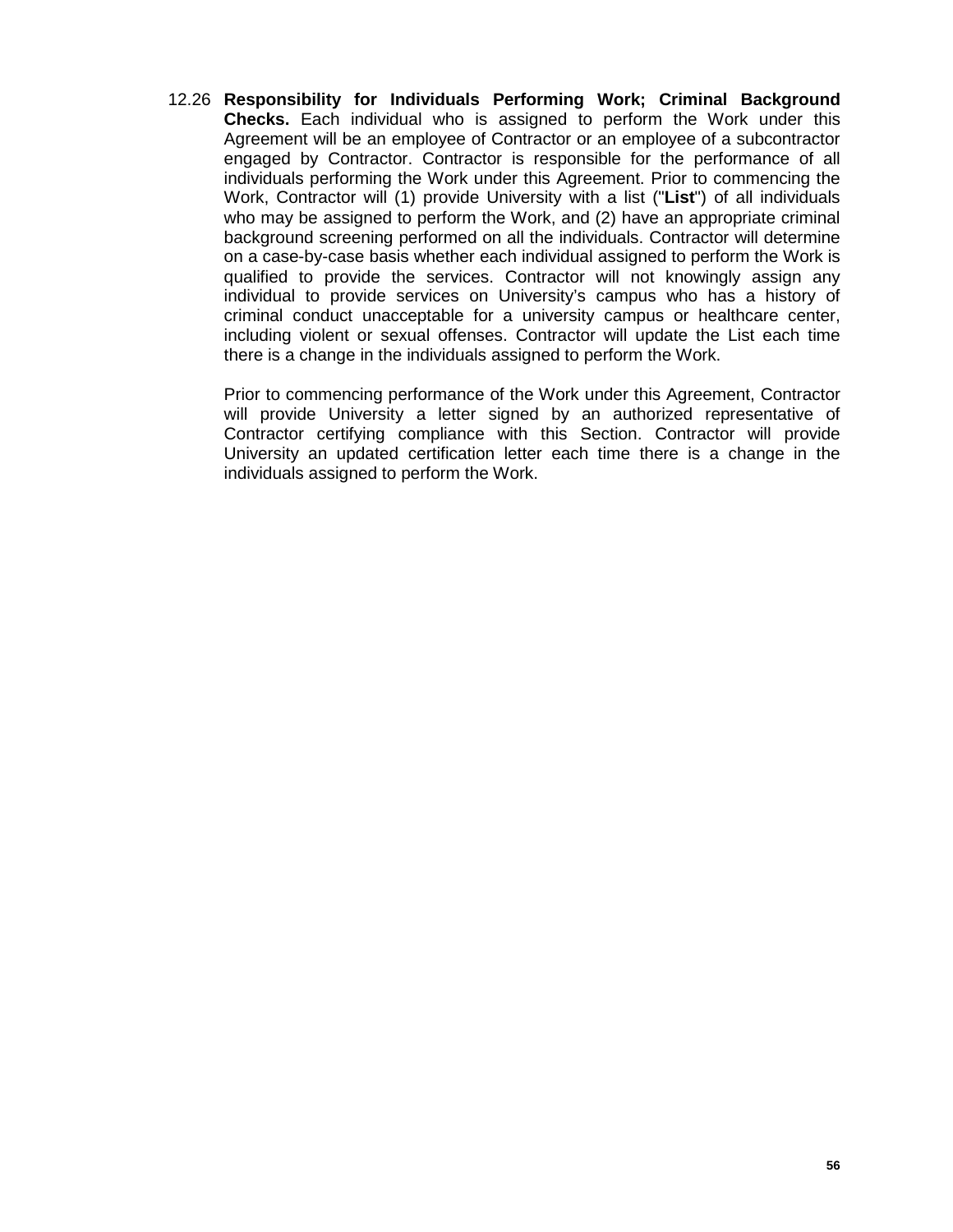12.26 **Responsibility for Individuals Performing Work; Criminal Background Checks.** Each individual who is assigned to perform the Work under this Agreement will be an employee of Contractor or an employee of a subcontractor engaged by Contractor. Contractor is responsible for the performance of all individuals performing the Work under this Agreement. Prior to commencing the Work, Contractor will (1) provide University with a list ("**List**") of all individuals who may be assigned to perform the Work, and (2) have an appropriate criminal background screening performed on all the individuals. Contractor will determine on a case-by-case basis whether each individual assigned to perform the Work is qualified to provide the services. Contractor will not knowingly assign any individual to provide services on University's campus who has a history of criminal conduct unacceptable for a university campus or healthcare center, including violent or sexual offenses. Contractor will update the List each time there is a change in the individuals assigned to perform the Work.

Prior to commencing performance of the Work under this Agreement, Contractor will provide University a letter signed by an authorized representative of Contractor certifying compliance with this Section. Contractor will provide University an updated certification letter each time there is a change in the individuals assigned to perform the Work.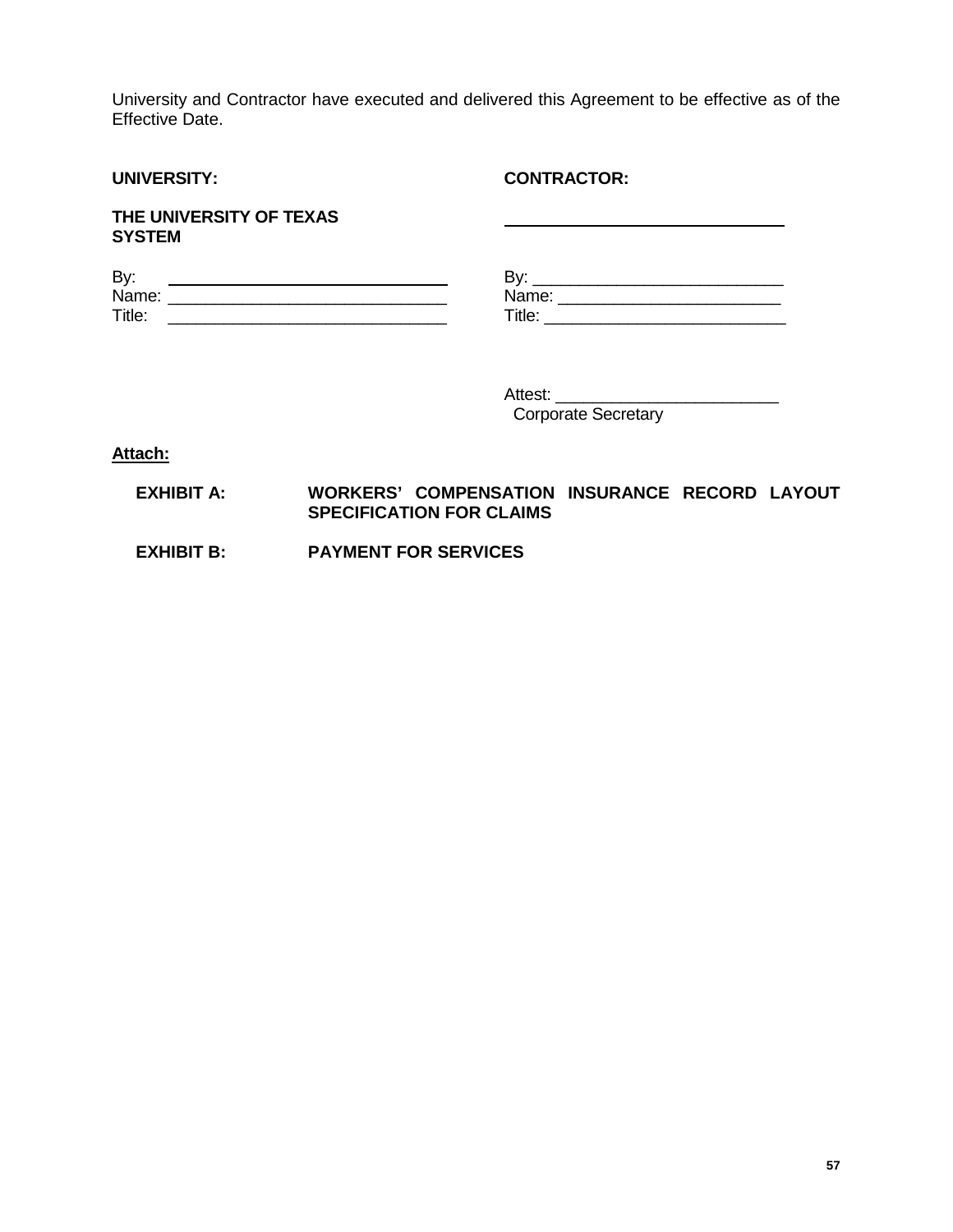University and Contractor have executed and delivered this Agreement to be effective as of the Effective Date.

| <b>UNIVERSITY:</b>                                                                                                                                                                                                                                                                                        | <b>CONTRACTOR:</b>                                                      |
|-----------------------------------------------------------------------------------------------------------------------------------------------------------------------------------------------------------------------------------------------------------------------------------------------------------|-------------------------------------------------------------------------|
| THE UNIVERSITY OF TEXAS<br><b>SYSTEM</b>                                                                                                                                                                                                                                                                  | <u> 1980 - Johann Barn, fransk politik amerikansk politik (d. 1980)</u> |
| By:<br><u> 1989 - Johann Barbara, martin amerikan basar da</u><br>Name: Name and the service of the service of the service of the service of the service of the service of the service of the service of the service of the service of the service of the service of the service of the service<br>Title: |                                                                         |

Attest:

Corporate Secretary

**Attach:**

# **EXHIBIT A: WORKERS' COMPENSATION INSURANCE RECORD LAYOUT SPECIFICATION FOR CLAIMS**

 **EXHIBIT B: PAYMENT FOR SERVICES**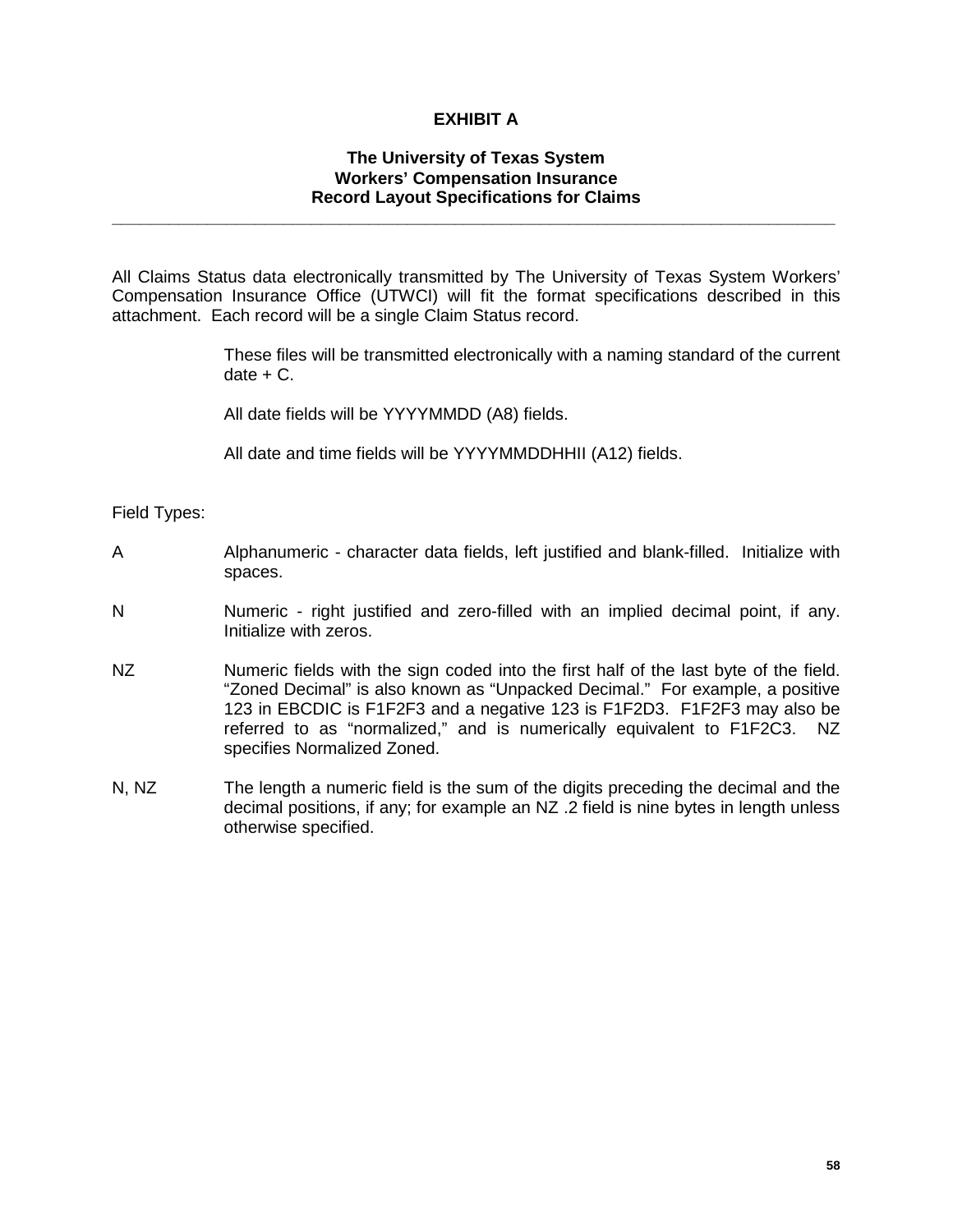# **EXHIBIT A**

#### **The University of Texas System Workers' Compensation Insurance Record Layout Specifications for Claims**

**\_\_\_\_\_\_\_\_\_\_\_\_\_\_\_\_\_\_\_\_\_\_\_\_\_\_\_\_\_\_\_\_\_\_\_\_\_\_\_\_\_\_\_\_\_\_\_\_\_\_\_\_\_\_\_\_\_\_\_\_\_\_\_\_\_\_\_\_\_\_\_\_\_\_\_\_**

All Claims Status data electronically transmitted by The University of Texas System Workers' Compensation Insurance Office (UTWCI) will fit the format specifications described in this attachment. Each record will be a single Claim Status record.

> These files will be transmitted electronically with a naming standard of the current  $date + C.$

All date fields will be YYYYMMDD (A8) fields.

All date and time fields will be YYYYMMDDHHII (A12) fields.

Field Types:

- A Alphanumeric character data fields, left justified and blank-filled. Initialize with spaces.
- N Numeric right justified and zero-filled with an implied decimal point, if any. Initialize with zeros.
- NZ Numeric fields with the sign coded into the first half of the last byte of the field. "Zoned Decimal" is also known as "Unpacked Decimal." For example, a positive 123 in EBCDIC is F1F2F3 and a negative 123 is F1F2D3. F1F2F3 may also be referred to as "normalized," and is numerically equivalent to F1F2C3. NZ specifies Normalized Zoned.
- N, NZ The length a numeric field is the sum of the digits preceding the decimal and the decimal positions, if any; for example an NZ .2 field is nine bytes in length unless otherwise specified.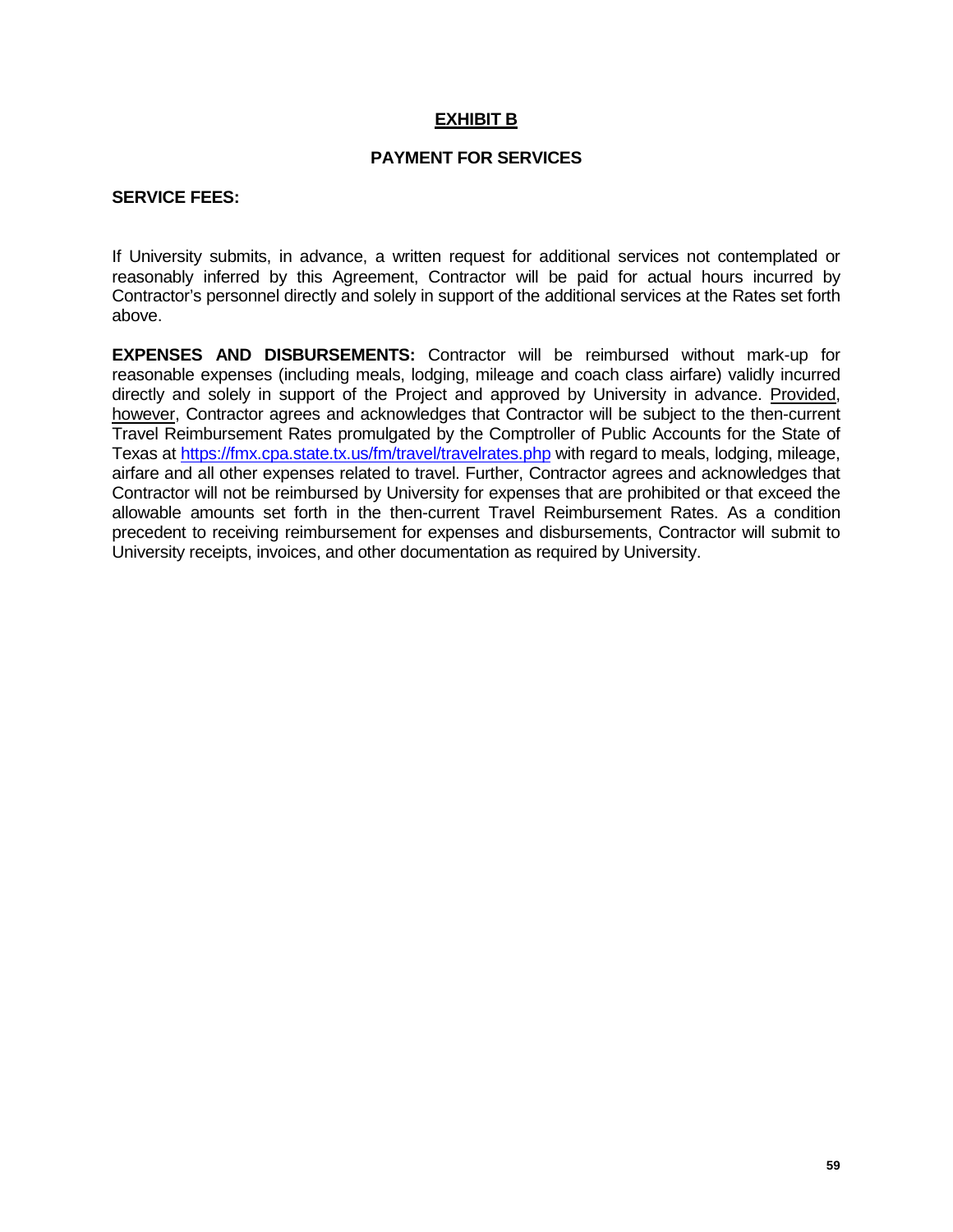# **EXHIBIT B**

# **PAYMENT FOR SERVICES**

#### **SERVICE FEES:**

If University submits, in advance, a written request for additional services not contemplated or reasonably inferred by this Agreement, Contractor will be paid for actual hours incurred by Contractor's personnel directly and solely in support of the additional services at the Rates set forth above.

**EXPENSES AND DISBURSEMENTS:** Contractor will be reimbursed without mark-up for reasonable expenses (including meals, lodging, mileage and coach class airfare) validly incurred directly and solely in support of the Project and approved by University in advance. Provided, however, Contractor agrees and acknowledges that Contractor will be subject to the then-current Travel Reimbursement Rates promulgated by the Comptroller of Public Accounts for the State of Texas at<https://fmx.cpa.state.tx.us/fm/travel/travelrates.php> with regard to meals, lodging, mileage, airfare and all other expenses related to travel. Further, Contractor agrees and acknowledges that Contractor will not be reimbursed by University for expenses that are prohibited or that exceed the allowable amounts set forth in the then-current Travel Reimbursement Rates. As a condition precedent to receiving reimbursement for expenses and disbursements, Contractor will submit to University receipts, invoices, and other documentation as required by University.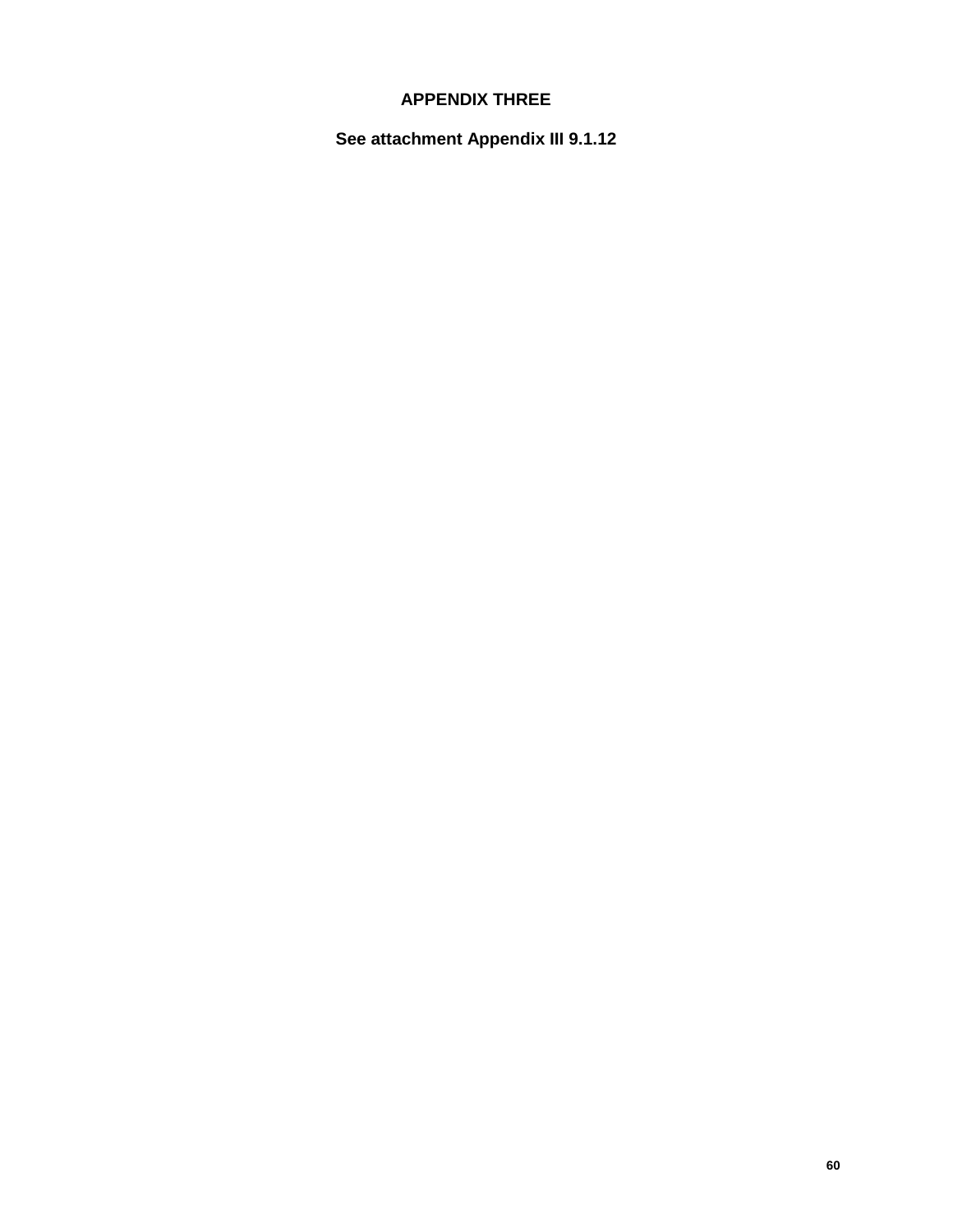# **APPENDIX THREE**

**See attachment Appendix III 9.1.12**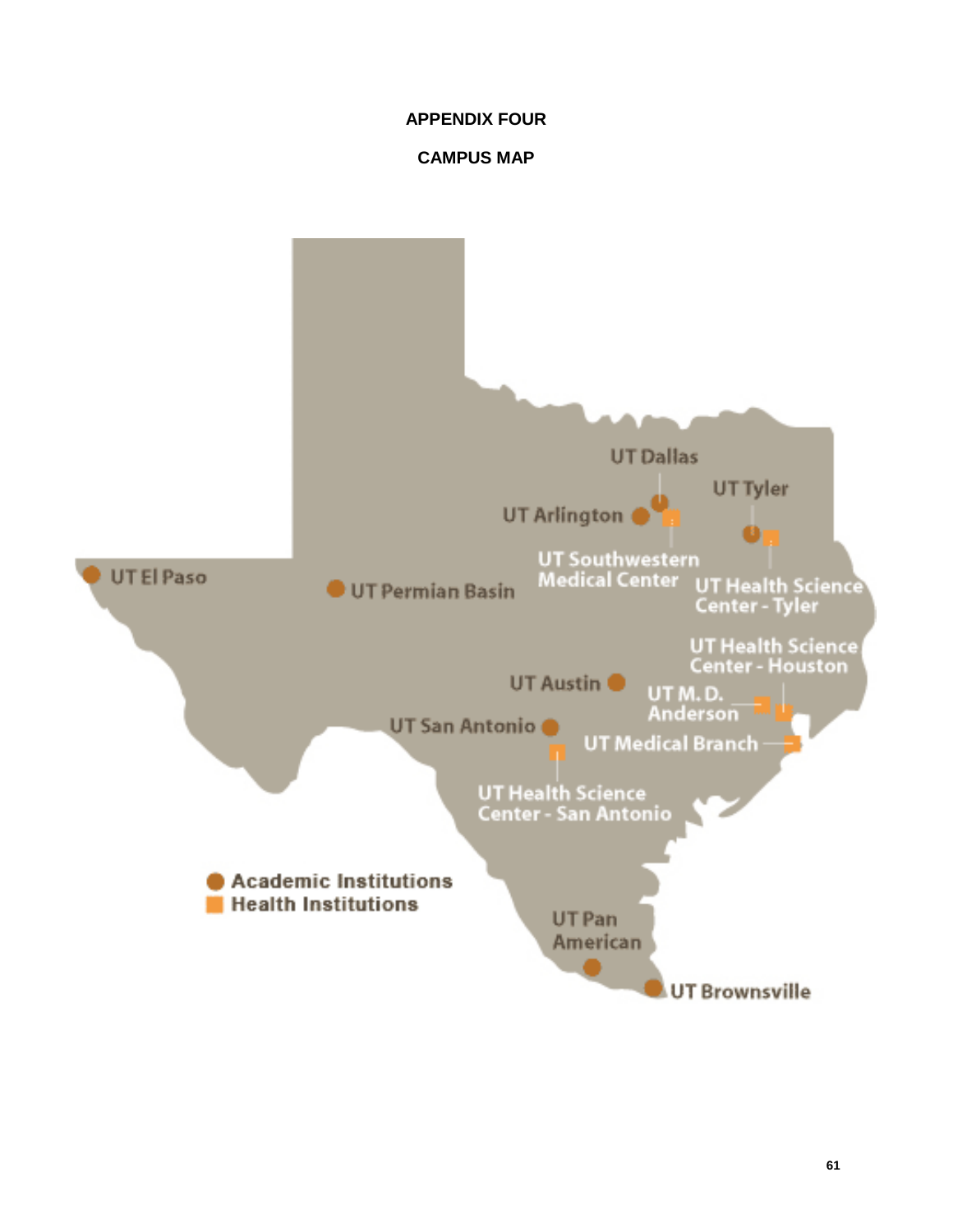# **APPENDIX FOUR**

# **CAMPUS MAP**

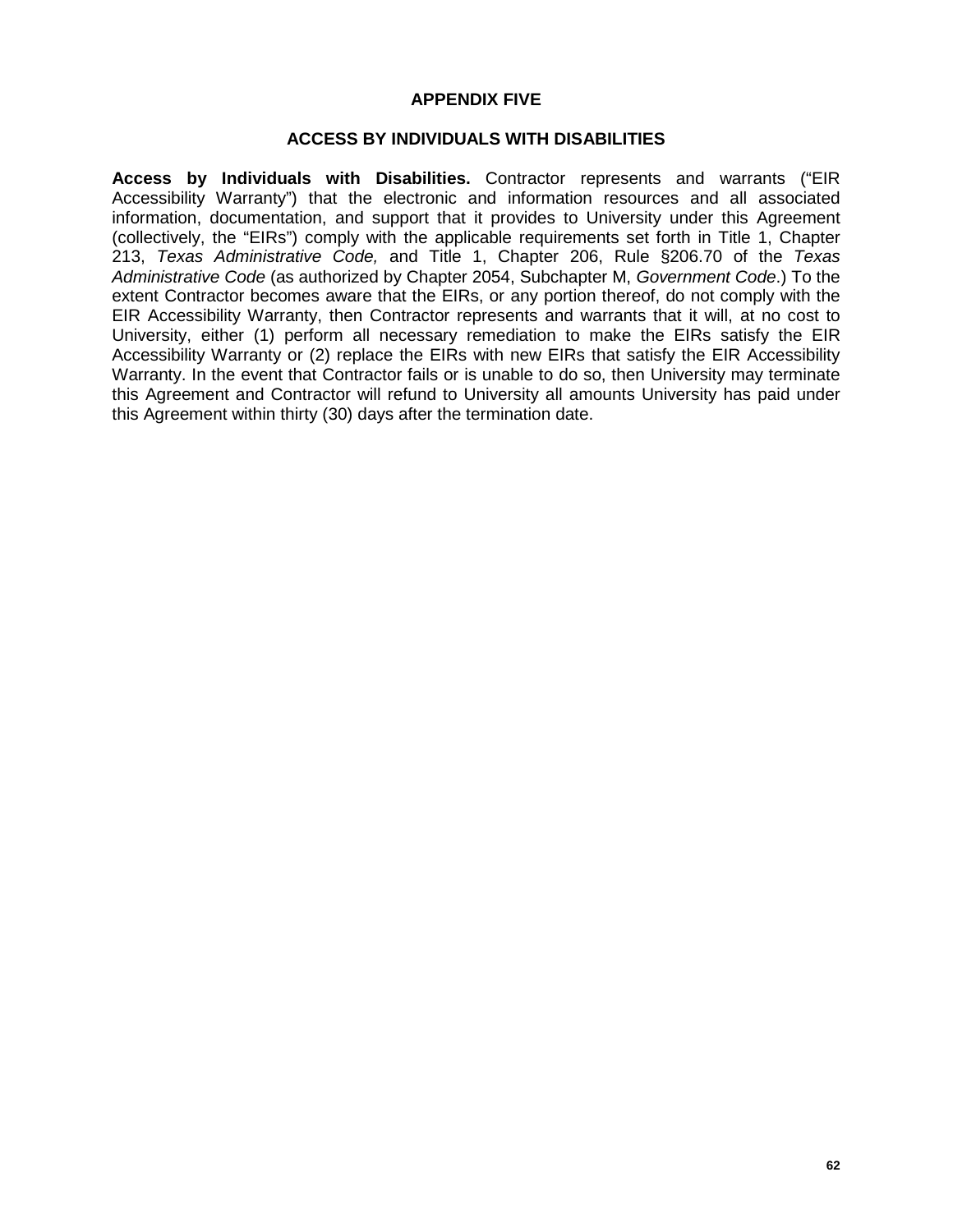#### **APPENDIX FIVE**

#### **ACCESS BY INDIVIDUALS WITH DISABILITIES**

**Access by Individuals with Disabilities.** Contractor represents and warrants ("EIR Accessibility Warranty") that the electronic and information resources and all associated information, documentation, and support that it provides to University under this Agreement (collectively, the "EIRs") comply with the applicable requirements set forth in Title 1, Chapter 213, *Texas Administrative Code,* and Title 1, Chapter 206, Rule §206.70 of the *Texas Administrative Code* (as authorized by Chapter 2054, Subchapter M, *Government Code*.) To the extent Contractor becomes aware that the EIRs, or any portion thereof, do not comply with the EIR Accessibility Warranty, then Contractor represents and warrants that it will, at no cost to University, either (1) perform all necessary remediation to make the EIRs satisfy the EIR Accessibility Warranty or (2) replace the EIRs with new EIRs that satisfy the EIR Accessibility Warranty. In the event that Contractor fails or is unable to do so, then University may terminate this Agreement and Contractor will refund to University all amounts University has paid under this Agreement within thirty (30) days after the termination date.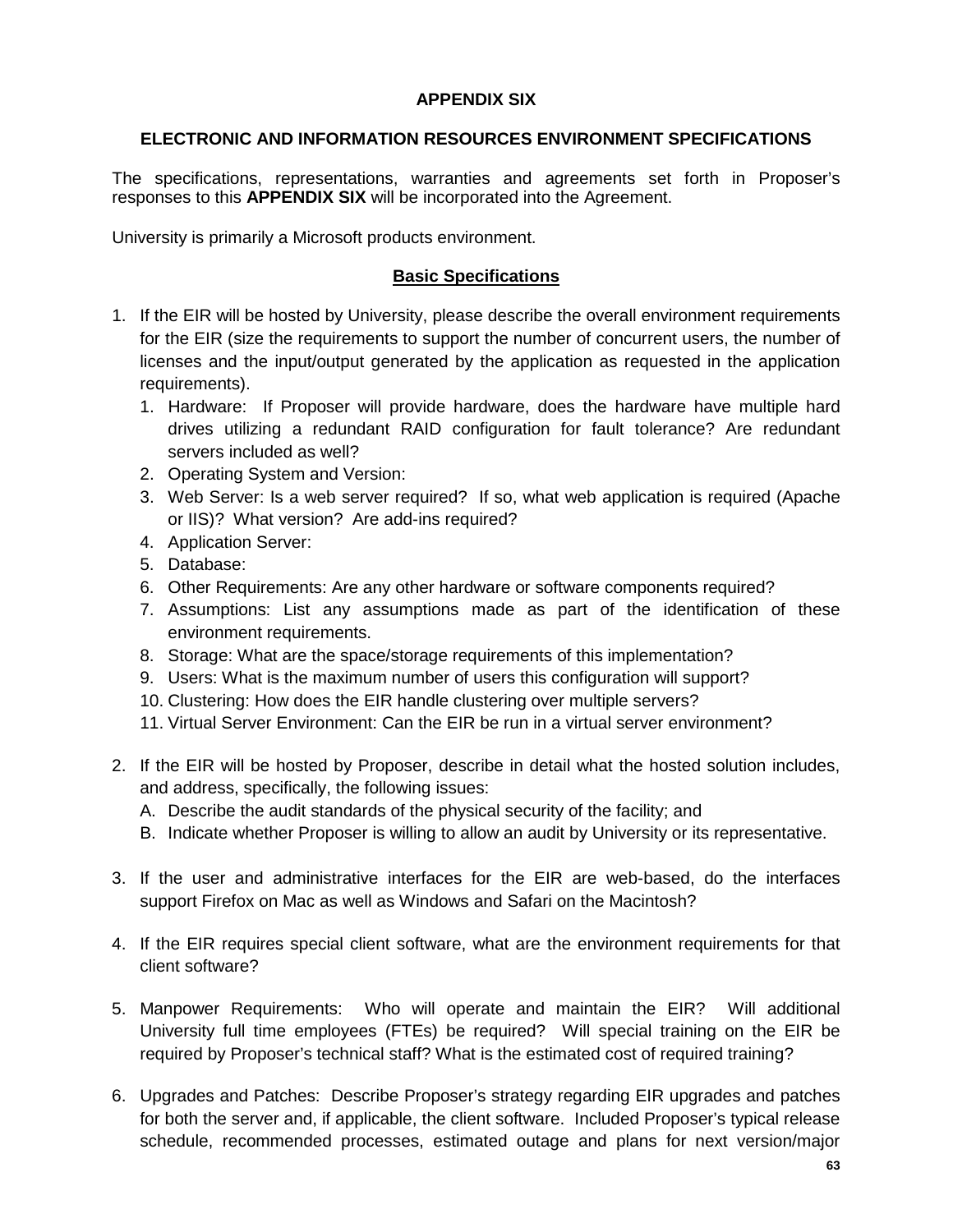# **APPENDIX SIX**

# **ELECTRONIC AND INFORMATION RESOURCES ENVIRONMENT SPECIFICATIONS**

The specifications, representations, warranties and agreements set forth in Proposer's responses to this **APPENDIX SIX** will be incorporated into the Agreement.

University is primarily a Microsoft products environment.

# **Basic Specifications**

- 1. If the EIR will be hosted by University, please describe the overall environment requirements for the EIR (size the requirements to support the number of concurrent users, the number of licenses and the input/output generated by the application as requested in the application requirements).
	- 1. Hardware: If Proposer will provide hardware, does the hardware have multiple hard drives utilizing a redundant RAID configuration for fault tolerance? Are redundant servers included as well?
	- 2. Operating System and Version:
	- 3. Web Server: Is a web server required? If so, what web application is required (Apache or IIS)? What version? Are add-ins required?
	- 4. Application Server:
	- 5. Database:
	- 6. Other Requirements: Are any other hardware or software components required?
	- 7. Assumptions: List any assumptions made as part of the identification of these environment requirements.
	- 8. Storage: What are the space/storage requirements of this implementation?
	- 9. Users: What is the maximum number of users this configuration will support?
	- 10. Clustering: How does the EIR handle clustering over multiple servers?
	- 11. Virtual Server Environment: Can the EIR be run in a virtual server environment?
- 2. If the EIR will be hosted by Proposer, describe in detail what the hosted solution includes, and address, specifically, the following issues:
	- A. Describe the audit standards of the physical security of the facility; and
	- B. Indicate whether Proposer is willing to allow an audit by University or its representative.
- 3. If the user and administrative interfaces for the EIR are web-based, do the interfaces support Firefox on Mac as well as Windows and Safari on the Macintosh?
- 4. If the EIR requires special client software, what are the environment requirements for that client software?
- 5. Manpower Requirements: Who will operate and maintain the EIR? Will additional University full time employees (FTEs) be required? Will special training on the EIR be required by Proposer's technical staff? What is the estimated cost of required training?
- 6. Upgrades and Patches: Describe Proposer's strategy regarding EIR upgrades and patches for both the server and, if applicable, the client software. Included Proposer's typical release schedule, recommended processes, estimated outage and plans for next version/major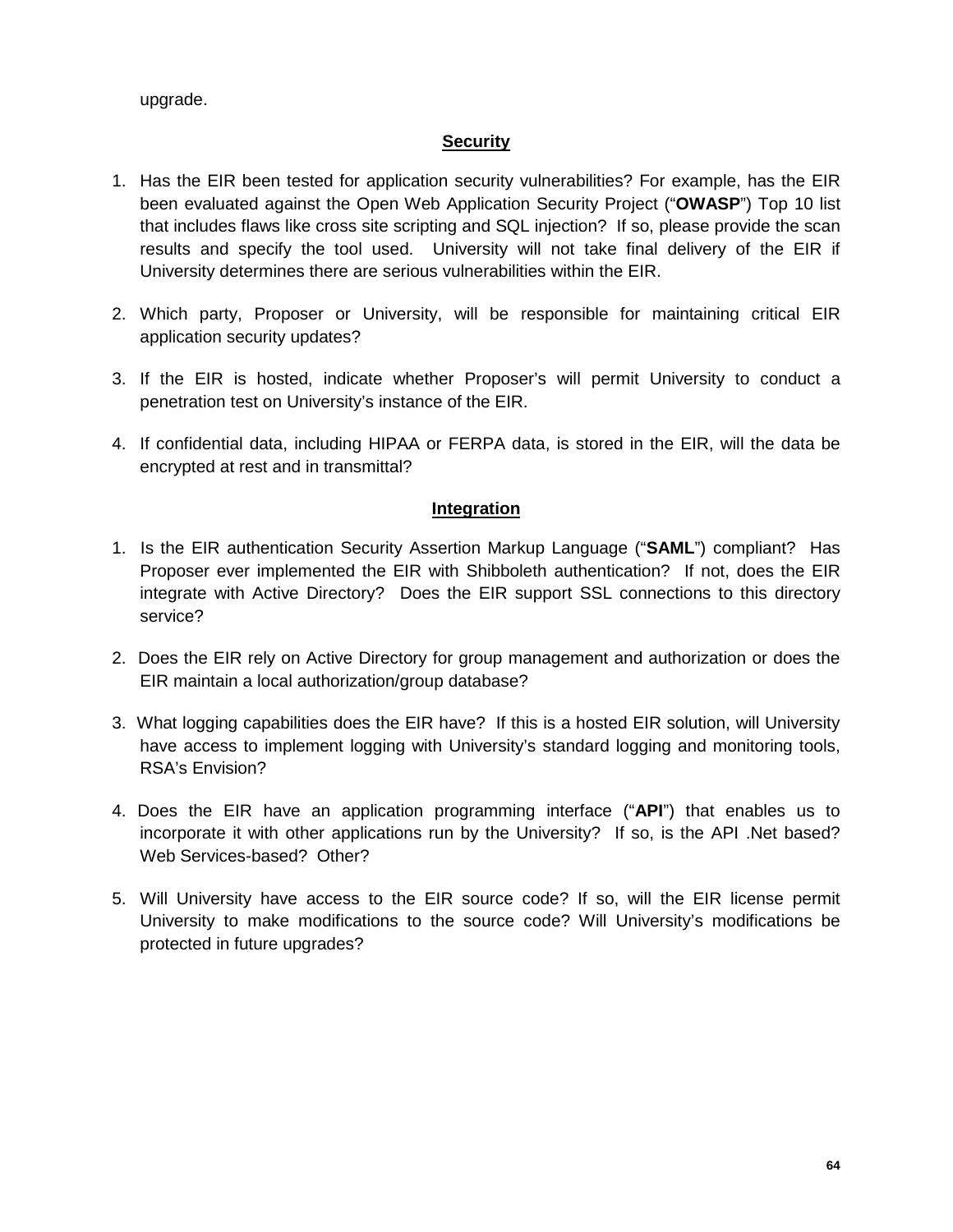upgrade.

# **Security**

- 1. Has the EIR been tested for application security vulnerabilities? For example, has the EIR been evaluated against the Open Web Application Security Project ("**OWASP**") Top 10 list that includes flaws like cross site scripting and SQL injection? If so, please provide the scan results and specify the tool used. University will not take final delivery of the EIR if University determines there are serious vulnerabilities within the EIR.
- 2. Which party, Proposer or University, will be responsible for maintaining critical EIR application security updates?
- 3. If the EIR is hosted, indicate whether Proposer's will permit University to conduct a penetration test on University's instance of the EIR.
- 4. If confidential data, including HIPAA or FERPA data, is stored in the EIR, will the data be encrypted at rest and in transmittal?

# **Integration**

- 1. Is the EIR authentication Security Assertion Markup Language ("**SAML**") compliant? Has Proposer ever implemented the EIR with Shibboleth authentication? If not, does the EIR integrate with Active Directory? Does the EIR support SSL connections to this directory service?
- 2. Does the EIR rely on Active Directory for group management and authorization or does the EIR maintain a local authorization/group database?
- 3. What logging capabilities does the EIR have? If this is a hosted EIR solution, will University have access to implement logging with University's standard logging and monitoring tools, RSA's Envision?
- 4. Does the EIR have an application programming interface ("**API**") that enables us to incorporate it with other applications run by the University? If so, is the API .Net based? Web Services-based? Other?
- 5. Will University have access to the EIR source code? If so, will the EIR license permit University to make modifications to the source code? Will University's modifications be protected in future upgrades?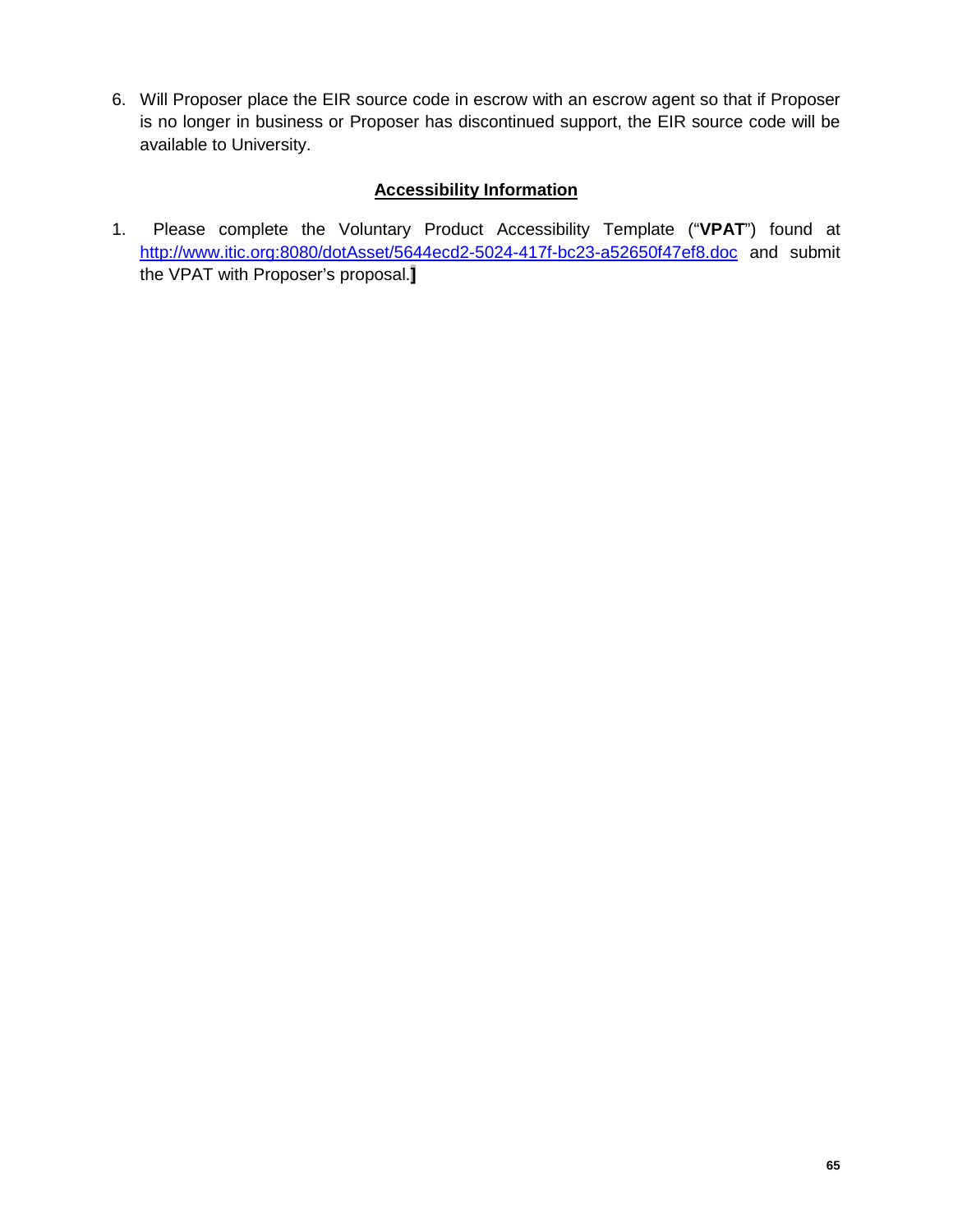6. Will Proposer place the EIR source code in escrow with an escrow agent so that if Proposer is no longer in business or Proposer has discontinued support, the EIR source code will be available to University.

# **Accessibility Information**

1. Please complete the Voluntary Product Accessibility Template ("**VPAT**") found at <http://www.itic.org:8080/dotAsset/5644ecd2-5024-417f-bc23-a52650f47ef8.doc> and submit the VPAT with Proposer's proposal.**]**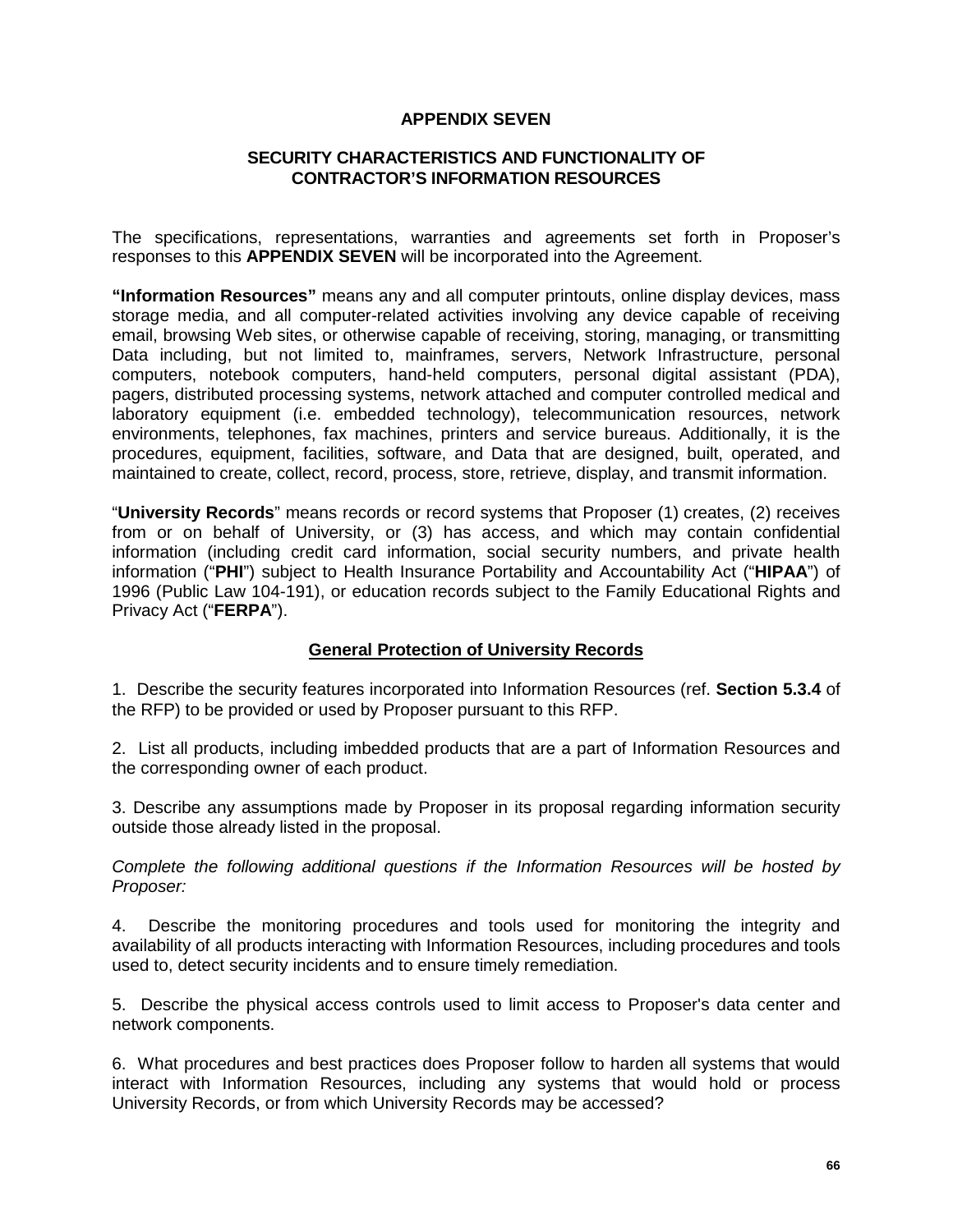#### **APPENDIX SEVEN**

## **SECURITY CHARACTERISTICS AND FUNCTIONALITY OF CONTRACTOR'S INFORMATION RESOURCES**

The specifications, representations, warranties and agreements set forth in Proposer's responses to this **APPENDIX SEVEN** will be incorporated into the Agreement.

**"Information Resources"** means any and all computer printouts, online display devices, mass storage media, and all computer-related activities involving any device capable of receiving email, browsing Web sites, or otherwise capable of receiving, storing, managing, or transmitting Data including, but not limited to, mainframes, servers, Network Infrastructure, personal computers, notebook computers, hand-held computers, personal digital assistant (PDA), pagers, distributed processing systems, network attached and computer controlled medical and laboratory equipment (i.e. embedded technology), telecommunication resources, network environments, telephones, fax machines, printers and service bureaus. Additionally, it is the procedures, equipment, facilities, software, and Data that are designed, built, operated, and maintained to create, collect, record, process, store, retrieve, display, and transmit information.

"**University Records**" means records or record systems that Proposer (1) creates, (2) receives from or on behalf of University, or (3) has access, and which may contain confidential information (including credit card information, social security numbers, and private health information ("**PHI**") subject to Health Insurance Portability and Accountability Act ("**HIPAA**") of 1996 (Public Law 104-191), or education records subject to the Family Educational Rights and Privacy Act ("**FERPA**").

#### **General Protection of University Records**

1. Describe the security features incorporated into Information Resources (ref. **Section 5.3.4** of the RFP) to be provided or used by Proposer pursuant to this RFP.

2. List all products, including imbedded products that are a part of Information Resources and the corresponding owner of each product.

3. Describe any assumptions made by Proposer in its proposal regarding information security outside those already listed in the proposal.

*Complete the following additional questions if the Information Resources will be hosted by Proposer:*

4. Describe the monitoring procedures and tools used for monitoring the integrity and availability of all products interacting with Information Resources, including procedures and tools used to, detect security incidents and to ensure timely remediation.

5. Describe the physical access controls used to limit access to Proposer's data center and network components.

6. What procedures and best practices does Proposer follow to harden all systems that would interact with Information Resources, including any systems that would hold or process University Records, or from which University Records may be accessed?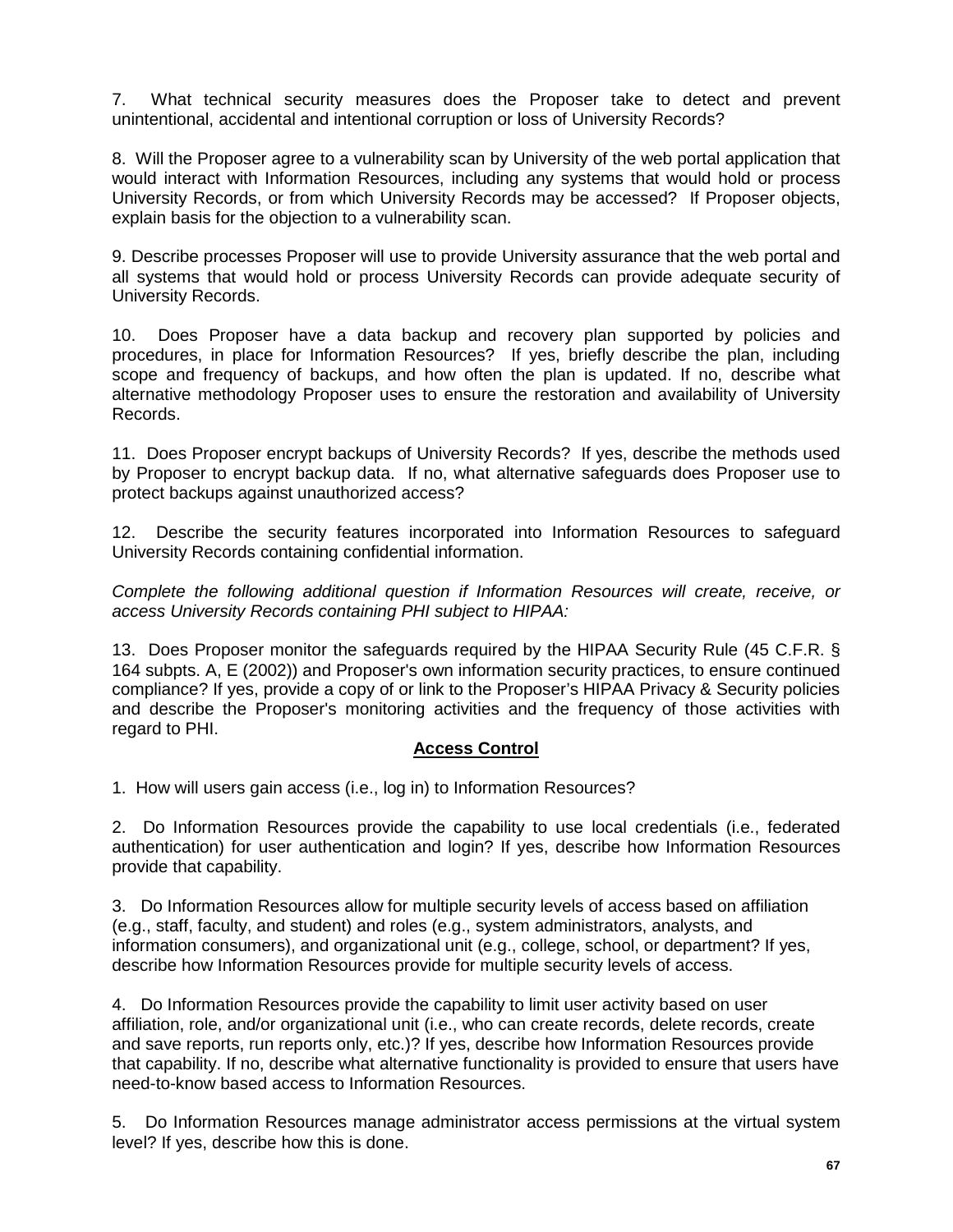7. What technical security measures does the Proposer take to detect and prevent unintentional, accidental and intentional corruption or loss of University Records?

8. Will the Proposer agree to a vulnerability scan by University of the web portal application that would interact with Information Resources, including any systems that would hold or process University Records, or from which University Records may be accessed? If Proposer objects, explain basis for the objection to a vulnerability scan.

9. Describe processes Proposer will use to provide University assurance that the web portal and all systems that would hold or process University Records can provide adequate security of University Records.

10. Does Proposer have a data backup and recovery plan supported by policies and procedures, in place for Information Resources? If yes, briefly describe the plan, including scope and frequency of backups, and how often the plan is updated. If no, describe what alternative methodology Proposer uses to ensure the restoration and availability of University Records.

11. Does Proposer encrypt backups of University Records? If yes, describe the methods used by Proposer to encrypt backup data. If no, what alternative safeguards does Proposer use to protect backups against unauthorized access?

12. Describe the security features incorporated into Information Resources to safeguard University Records containing confidential information.

*Complete the following additional question if Information Resources will create, receive, or access University Records containing PHI subject to HIPAA:*

13. Does Proposer monitor the safeguards required by the HIPAA Security Rule (45 C.F.R. § 164 subpts. A, E (2002)) and Proposer's own information security practices, to ensure continued compliance? If yes, provide a copy of or link to the Proposer's HIPAA Privacy & Security policies and describe the Proposer's monitoring activities and the frequency of those activities with regard to PHI.

# **Access Control**

1. How will users gain access (i.e., log in) to Information Resources?

2. Do Information Resources provide the capability to use local credentials (i.e., federated authentication) for user authentication and login? If yes, describe how Information Resources provide that capability.

3. Do Information Resources allow for multiple security levels of access based on affiliation (e.g., staff, faculty, and student) and roles (e.g., system administrators, analysts, and information consumers), and organizational unit (e.g., college, school, or department? If yes, describe how Information Resources provide for multiple security levels of access.

4. Do Information Resources provide the capability to limit user activity based on user affiliation, role, and/or organizational unit (i.e., who can create records, delete records, create and save reports, run reports only, etc.)? If yes, describe how Information Resources provide that capability. If no, describe what alternative functionality is provided to ensure that users have need-to-know based access to Information Resources.

5. Do Information Resources manage administrator access permissions at the virtual system level? If yes, describe how this is done.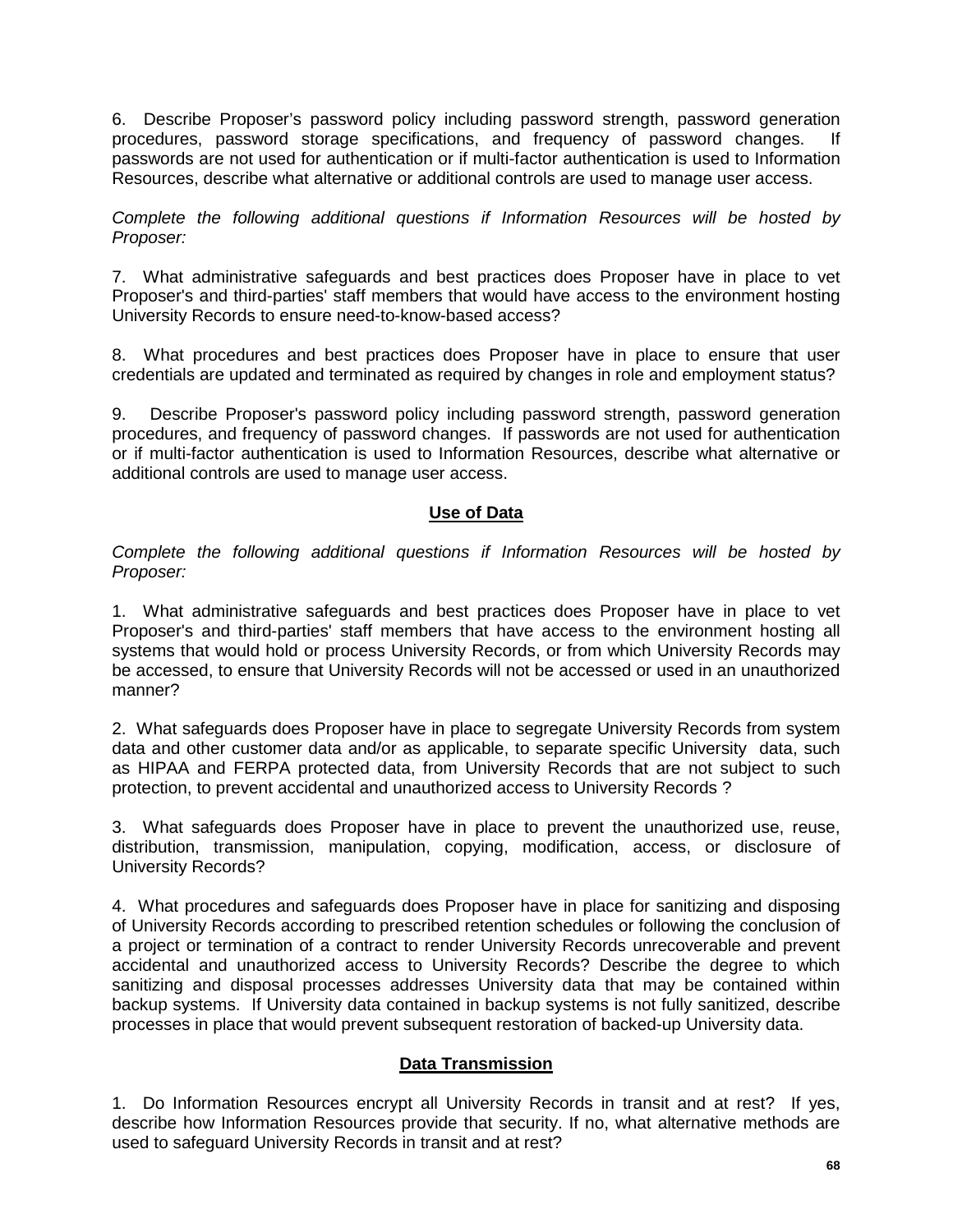6. Describe Proposer's password policy including password strength, password generation procedures, password storage specifications, and frequency of password changes. passwords are not used for authentication or if multi-factor authentication is used to Information Resources, describe what alternative or additional controls are used to manage user access.

*Complete the following additional questions if Information Resources will be hosted by Proposer:*

7. What administrative safeguards and best practices does Proposer have in place to vet Proposer's and third-parties' staff members that would have access to the environment hosting University Records to ensure need-to-know-based access?

8. What procedures and best practices does Proposer have in place to ensure that user credentials are updated and terminated as required by changes in role and employment status?

9. Describe Proposer's password policy including password strength, password generation procedures, and frequency of password changes. If passwords are not used for authentication or if multi-factor authentication is used to Information Resources, describe what alternative or additional controls are used to manage user access.

# **Use of Data**

*Complete the following additional questions if Information Resources will be hosted by Proposer:*

1. What administrative safeguards and best practices does Proposer have in place to vet Proposer's and third-parties' staff members that have access to the environment hosting all systems that would hold or process University Records, or from which University Records may be accessed, to ensure that University Records will not be accessed or used in an unauthorized manner?

2. What safeguards does Proposer have in place to segregate University Records from system data and other customer data and/or as applicable, to separate specific University data, such as HIPAA and FERPA protected data, from University Records that are not subject to such protection, to prevent accidental and unauthorized access to University Records ?

3. What safeguards does Proposer have in place to prevent the unauthorized use, reuse, distribution, transmission, manipulation, copying, modification, access, or disclosure of University Records?

4. What procedures and safeguards does Proposer have in place for sanitizing and disposing of University Records according to prescribed retention schedules or following the conclusion of a project or termination of a contract to render University Records unrecoverable and prevent accidental and unauthorized access to University Records? Describe the degree to which sanitizing and disposal processes addresses University data that may be contained within backup systems. If University data contained in backup systems is not fully sanitized, describe processes in place that would prevent subsequent restoration of backed-up University data.

# **Data Transmission**

1. Do Information Resources encrypt all University Records in transit and at rest? If yes, describe how Information Resources provide that security. If no, what alternative methods are used to safeguard University Records in transit and at rest?